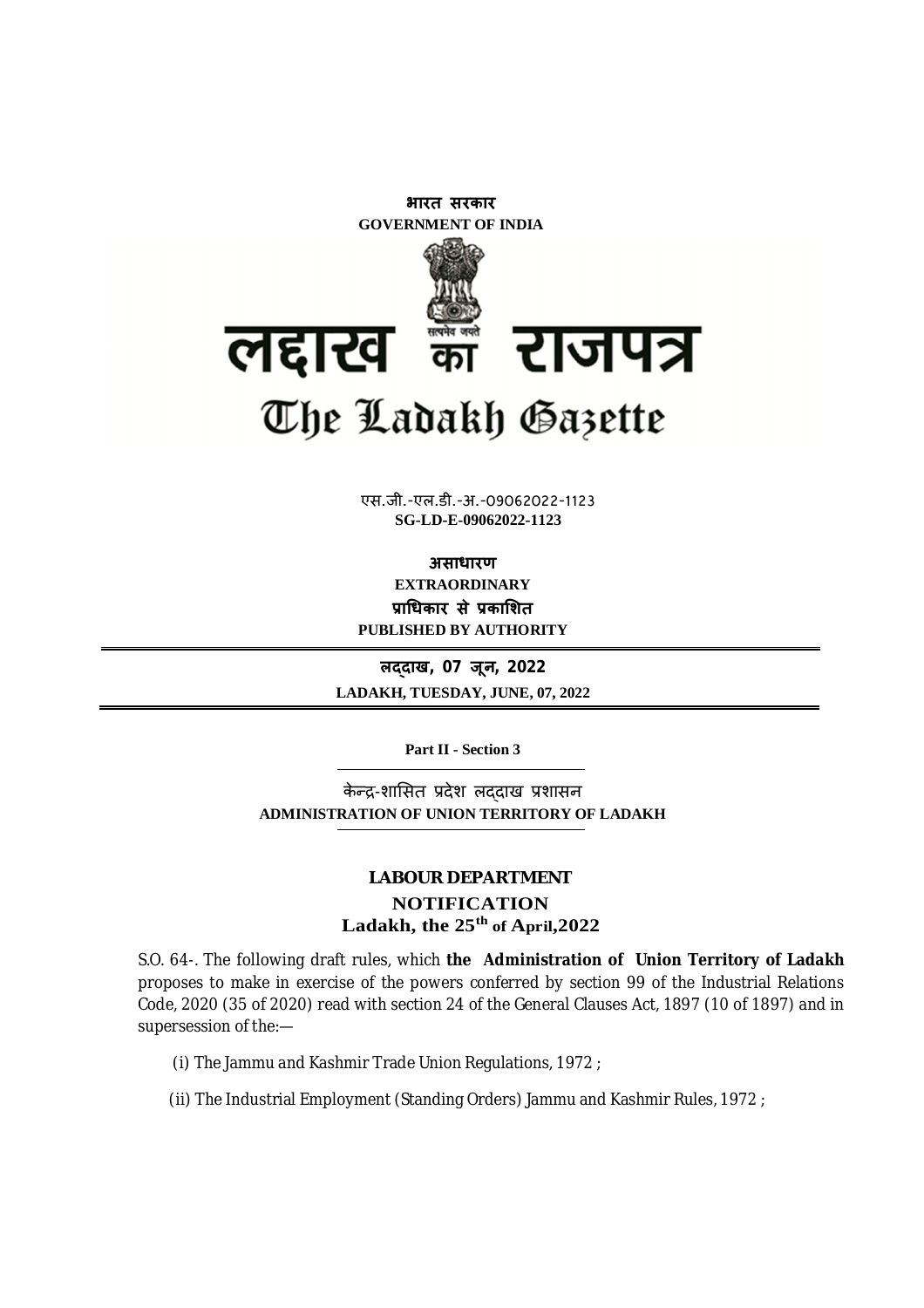

**xxxGIDHxxx** एस.जी.-एल.डी.-अ.-09062022-1123 **xxxGIDExxx SG-LD-E-09062022-1123**

**असाधारण EXTRAORDINARY Ĥाͬधकार सेĤकाͧशत PUBLISHED BY AUTHORITY**

**लɮदाख, 07 जून, 2022 LADAKH, TUESDAY, JUNE, 07, 2022**

**Part II - Section 3**

केन्द्र-शासित प्रदेश लददाख प्रशासन **ADMINISTRATION OF UNION TERRITORY OF LADAKH**

# **LABOUR DEPARTMENT NOTIFICATION Ladakh, the 25th of April,2022**

S.O. 64-. The following draft rules, which **the Administration of Union Territory of Ladakh** proposes to make in exercise of the powers conferred by section 99 of the Industrial Relations Code, 2020 (35 of 2020) read with section 24 of the General Clauses Act, 1897 (10 of 1897) and in supersession of the:—

- (i) The Jammu and Kashmir Trade Union Regulations, 1972 ;
- (ii) The Industrial Employment (Standing Orders) Jammu and Kashmir Rules, 1972 ;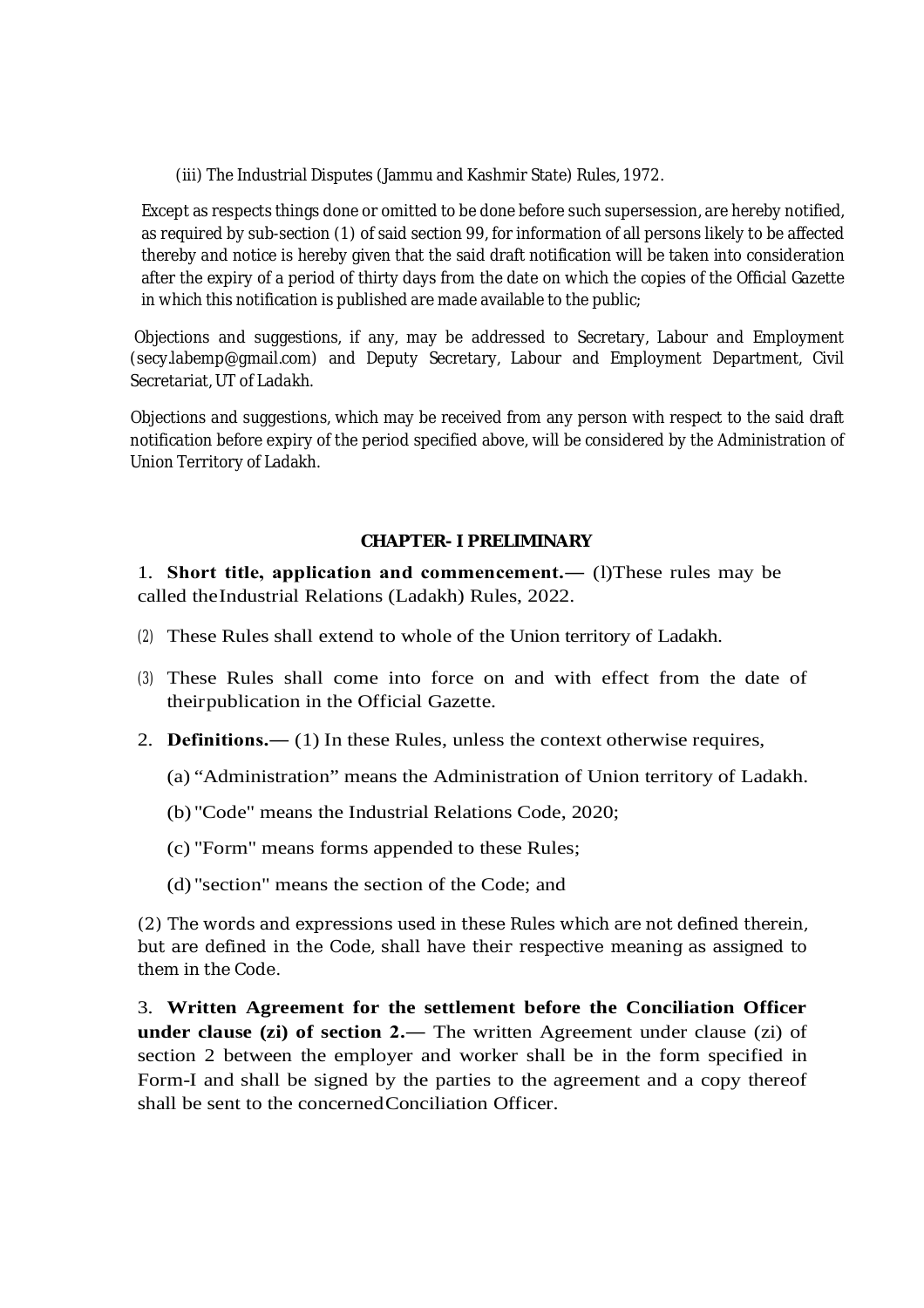(iii) The Industrial Disputes (Jammu and Kashmir State) Rules, 1972.

Except as respects things done or omitted to be done before such supersession, are hereby notified, as required by sub-section (1) of said section 99, for information of all persons likely to be affected thereby and notice is hereby given that the said draft notification will be taken into consideration after the expiry of a period of thirty days from the date on which the copies of the Official Gazette in which this notification is published are made available to the public;

Objections and suggestions, if any, may be addressed to Secretary, Labour and Employment (secy.labemp@gmail.com) and Deputy Secretary, Labour and Employment Department, Civil Secretariat, UT of Ladakh.

Objections and suggestions, which may be received from any person with respect to the said draft notification before expiry of the period specified above, will be considered by the Administration of Union Territory of Ladakh.

### **CHAPTER- I PRELIMINARY**

1. **Short title, application and commencement.―** (l)These rules may be called theIndustrial Relations (Ladakh) Rules, 2022.

- (2) These Rules shall extend to whole of the Union territory of Ladakh.
- (3) These Rules shall come into force on and with effect from the date of theirpublication in the Official Gazette.
- 2. **Definitions.―** (1) In these Rules, unless the context otherwise requires,
	- (a) "Administration" means the Administration of Union territory of Ladakh.
	- (b) "Code" means the Industrial Relations Code, 2020;
	- (c) "Form" means forms appended to these Rules;
	- (d) "section" means the section of the Code; and

(2) The words and expressions used in these Rules which are not defined therein, but are defined in the Code, shall have their respective meaning as assigned to them in the Code.

3. **Written Agreement for the settlement before the Conciliation Officer under clause (zi) of section 2.―** The written Agreement under clause (zi) of section 2 between the employer and worker shall be in the form specified in Form-I and shall be signed by the parties to the agreement and a copy thereof shall be sent to the concernedConciliation Officer.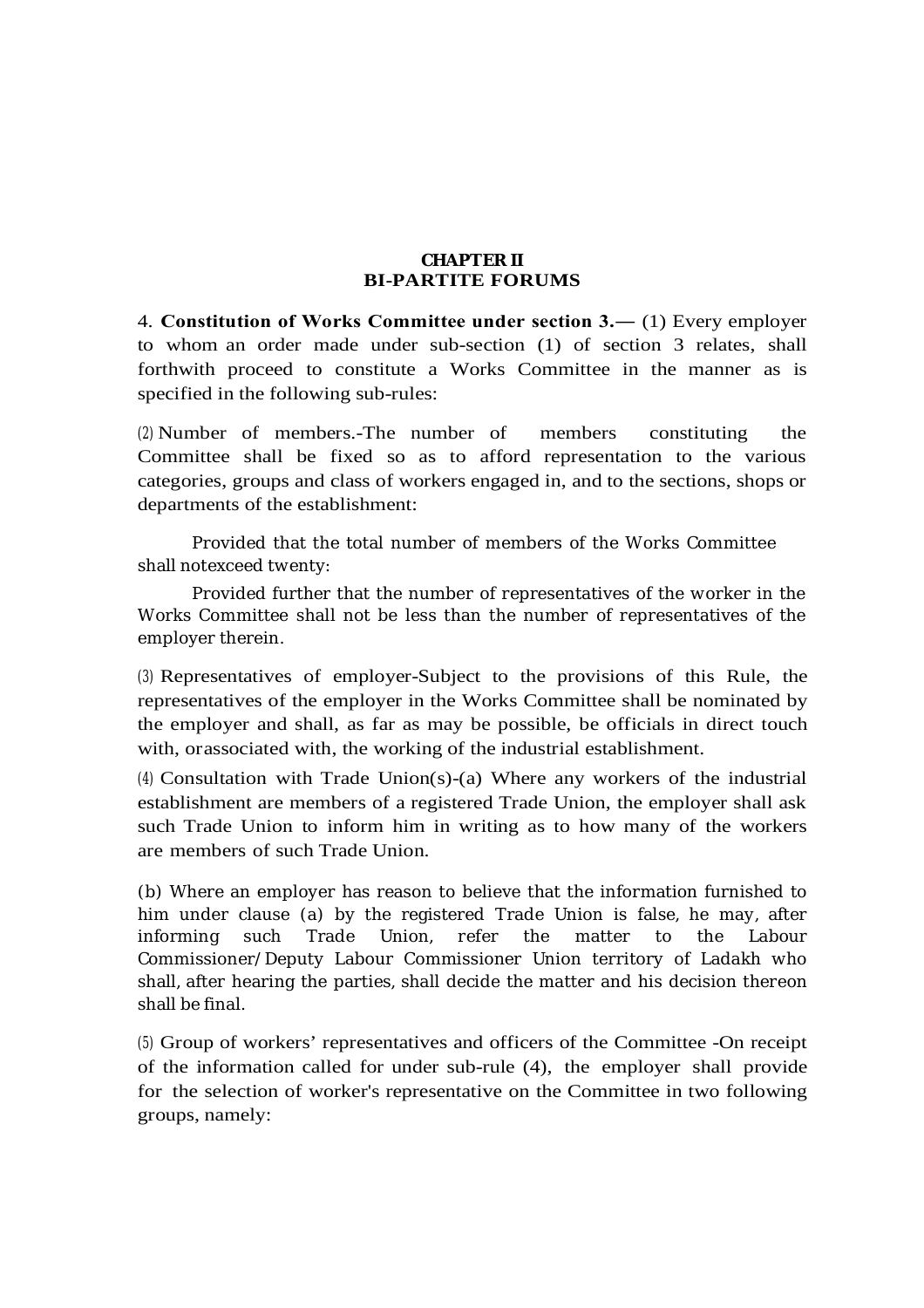### **CHAPTER II BI-PARTITE FORUMS**

4. **Constitution of Works Committee under section 3.―** (1) Every employer to whom an order made under sub-section (1) of section 3 relates, shall forthwith proceed to constitute a Works Committee in the manner as is specified in the following sub-rules:

(2) Number of members.-The number of members constituting the Committee shall be fixed so as to afford representation to the various categories, groups and class of workers engaged in, and to the sections, shops or departments of the establishment:

Provided that the total number of members of the Works Committee shall notexceed twenty:

Provided further that the number of representatives of the worker in the Works Committee shall not be less than the number of representatives of the employer therein.

(3) Representatives of employer-Subject to the provisions of this Rule, the representatives of the employer in the Works Committee shall be nominated by the employer and shall, as far as may be possible, be officials in direct touch with, orassociated with, the working of the industrial establishment.

(4) Consultation with Trade Union(s)-(a) Where any workers of the industrial establishment are members of a registered Trade Union, the employer shall ask such Trade Union to inform him in writing as to how many of the workers are members of such Trade Union.

(b) Where an employer has reason to believe that the information furnished to him under clause (a) by the registered Trade Union is false, he may, after informing such Trade Union, refer the matter to the Labour Commissioner/Deputy Labour Commissioner Union territory of Ladakh who shall, after hearing the parties, shall decide the matter and his decision thereon shall be final.

(5) Group of workers' representatives and officers of the Committee -On receipt of the information called for under sub-rule (4), the employer shall provide for the selection of worker's representative on the Committee in two following groups, namely: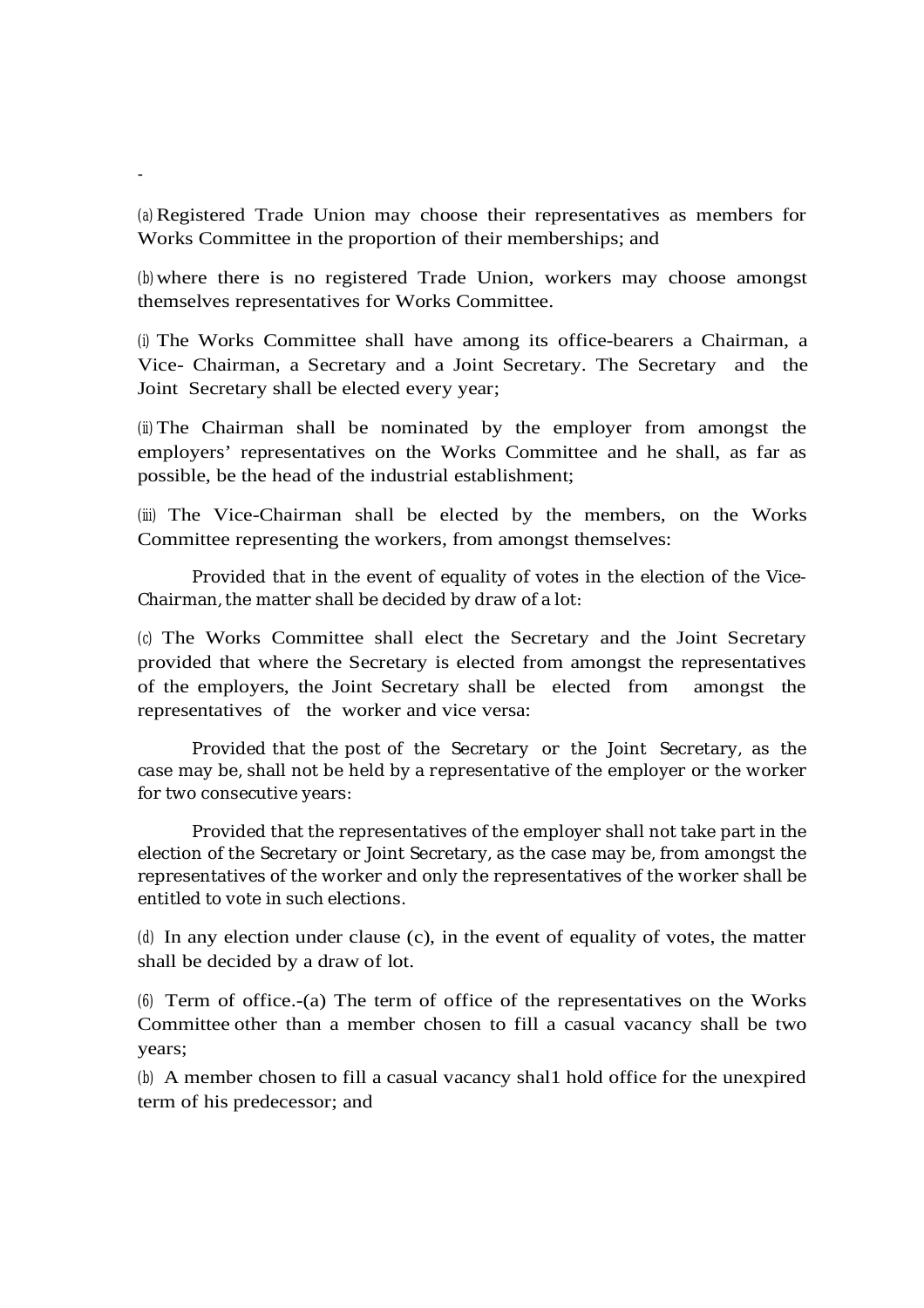(a) Registered Trade Union may choose their representatives as members for Works Committee in the proportion of their memberships; and

-

(b)where there is no registered Trade Union, workers may choose amongst themselves representatives for Works Committee.

(i) The Works Committee shall have among its office-bearers a Chairman, a Vice- Chairman, a Secretary and a Joint Secretary. The Secretary and the Joint Secretary shall be elected every year;

(ii) The Chairman shall be nominated by the employer from amongst the employers' representatives on the Works Committee and he shall, as far as possible, be the head of the industrial establishment;

(iii) The Vice-Chairman shall be elected by the members, on the Works Committee representing the workers, from amongst themselves:

Provided that in the event of equality of votes in the election of the Vice-Chairman, the matter shall be decided by draw of a lot:

(c) The Works Committee shall elect the Secretary and the Joint Secretary provided that where the Secretary is elected from amongst the representatives of the employers, the Joint Secretary shall be elected from amongst the representatives of the worker and vice versa:

Provided that the post of the Secretary or the Joint Secretary, as the case may be, shall not be held by a representative of the employer or the worker for two consecutive years:

Provided that the representatives of the employer shall not take part in the election of the Secretary or Joint Secretary, as the case may be, from amongst the representatives of the worker and only the representatives of the worker shall be entitled to vote in such elections.

(d) In any election under clause (c), in the event of equality of votes, the matter shall be decided by a draw of lot.

(6) Term of office.-(a) The term of office of the representatives on the Works Committee other than a member chosen to fill a casual vacancy shall be two years;

(b) A member chosen to fill a casual vacancy shal1 hold office for the unexpired term of his predecessor; and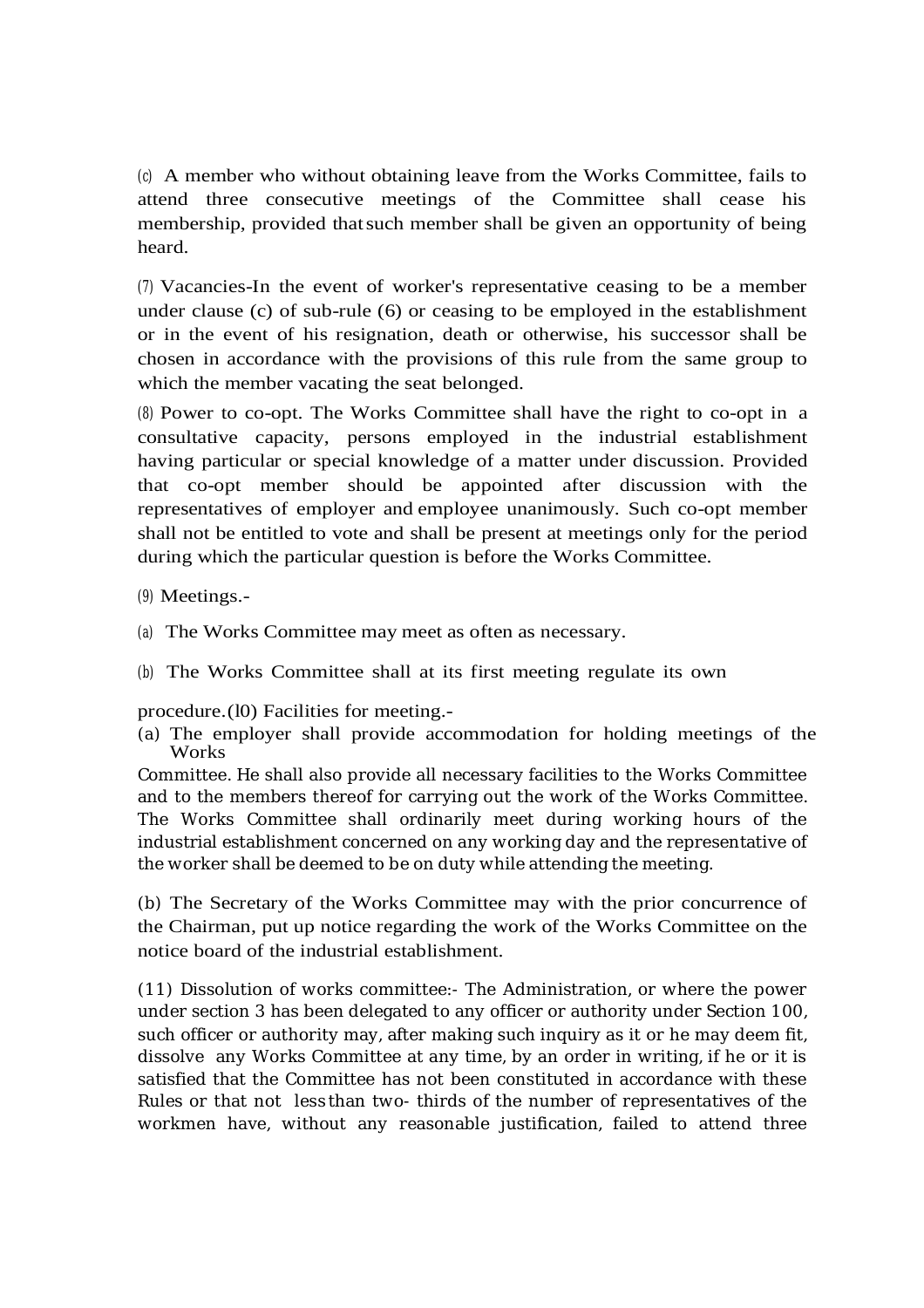(c) A member who without obtaining leave from the Works Committee, fails to attend three consecutive meetings of the Committee shall cease his membership, provided thatsuch member shall be given an opportunity of being heard.

(7) Vacancies-In the event of worker's representative ceasing to be a member under clause (c) of sub-rule (6) or ceasing to be employed in the establishment or in the event of his resignation, death or otherwise, his successor shall be chosen in accordance with the provisions of this rule from the same group to which the member vacating the seat belonged.

(8) Power to co-opt. The Works Committee shall have the right to co-opt in a consultative capacity, persons employed in the industrial establishment having particular or special knowledge of a matter under discussion. Provided that co-opt member should be appointed after discussion with the representatives of employer and employee unanimously. Such co-opt member shall not be entitled to vote and shall be present at meetings only for the period during which the particular question is before the Works Committee.

- (9) Meetings.-
- (a) The Works Committee may meet as often as necessary.
- (b) The Works Committee shall at its first meeting regulate its own

procedure.(l0) Facilities for meeting.-

(a) The employer shall provide accommodation for holding meetings of the Works

Committee. He shall also provide all necessary facilities to the Works Committee and to the members thereof for carrying out the work of the Works Committee. The Works Committee shall ordinarily meet during working hours of the industrial establishment concerned on any working day and the representative of the worker shall be deemed to be on duty while attending the meeting.

(b) The Secretary of the Works Committee may with the prior concurrence of the Chairman, put up notice regarding the work of the Works Committee on the notice board of the industrial establishment.

(11) Dissolution of works committee:- The Administration, or where the power under section 3 has been delegated to any officer or authority under Section 100, such officer or authority may, after making such inquiry as it or he may deem fit, dissolve any Works Committee at any time, by an order in writing, if he or it is satisfied that the Committee has not been constituted in accordance with these Rules or that not less than two- thirds of the number of representatives of the workmen have, without any reasonable justification, failed to attend three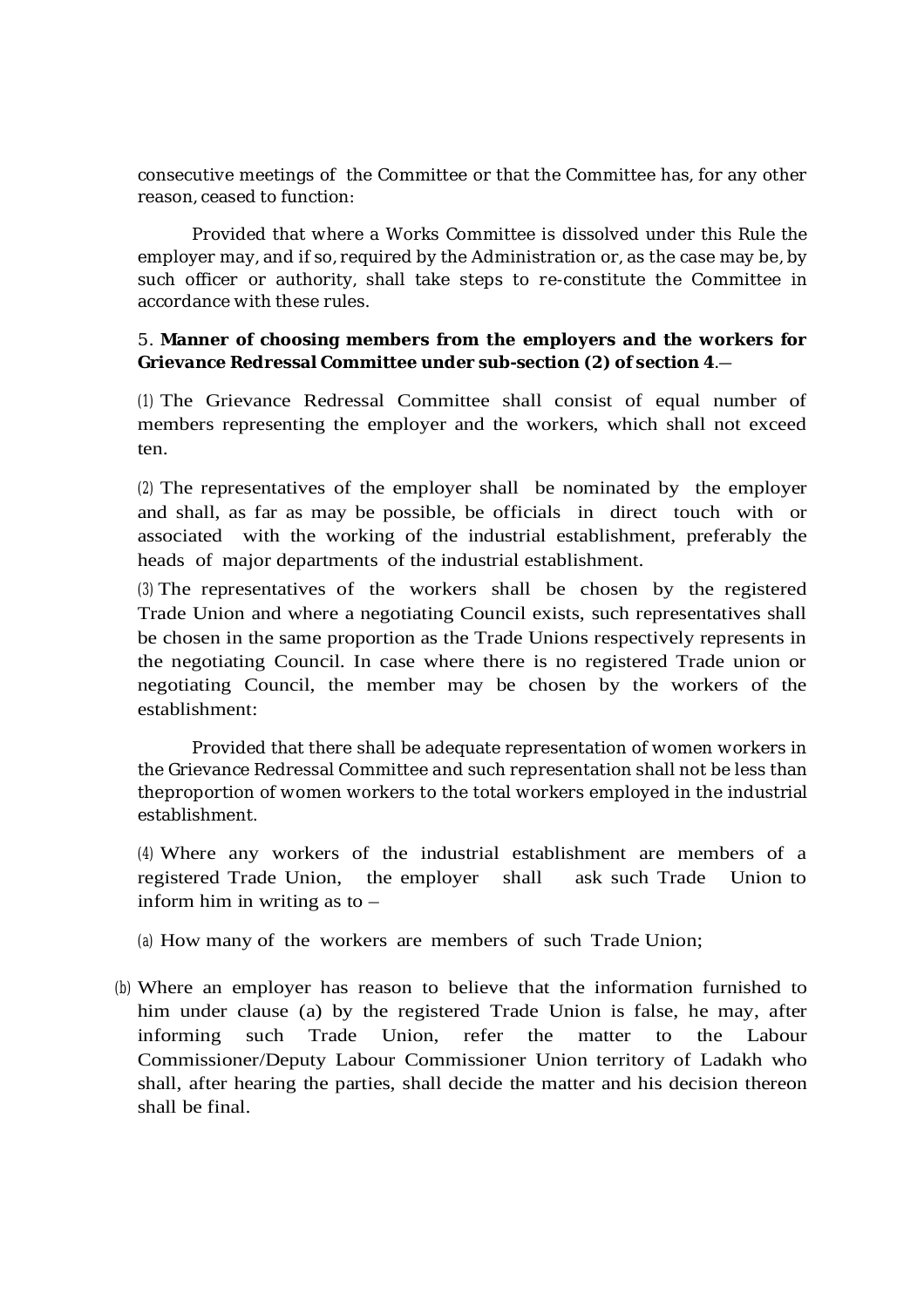consecutive meetings of the Committee or that the Committee has, for any other reason, ceased to function:

Provided that where a Works Committee is dissolved under this Rule the employer may, and if so, required by the Administration or, as the case may be, by such officer or authority, shall take steps to re-constitute the Committee in accordance with these rules.

### 5. **Manner of choosing members from the employers and the workers for Grievance Redressal Committee under sub-section (2) of section 4**.―

(1) The Grievance Redressal Committee shall consist of equal number of members representing the employer and the workers, which shall not exceed ten.

(2) The representatives of the employer shall be nominated by the employer and shall, as far as may be possible, be officials in direct touch with or associated with the working of the industrial establishment, preferably the heads of major departments of the industrial establishment.

(3) The representatives of the workers shall be chosen by the registered Trade Union and where a negotiating Council exists, such representatives shall be chosen in the same proportion as the Trade Unions respectively represents in the negotiating Council. In case where there is no registered Trade union or negotiating Council, the member may be chosen by the workers of the establishment:

Provided that there shall be adequate representation of women workers in the Grievance Redressal Committee and such representation shall not be less than theproportion of women workers to the total workers employed in the industrial establishment.

(4) Where any workers of the industrial establishment are members of a registered Trade Union, the employer shall ask such Trade Union to inform him in writing as to –

(a) How many of the workers are members of such Trade Union;

(b) Where an employer has reason to believe that the information furnished to him under clause (a) by the registered Trade Union is false, he may, after informing such Trade Union, refer the matter to the Labour Commissioner/Deputy Labour Commissioner Union territory of Ladakh who shall, after hearing the parties, shall decide the matter and his decision thereon shall be final.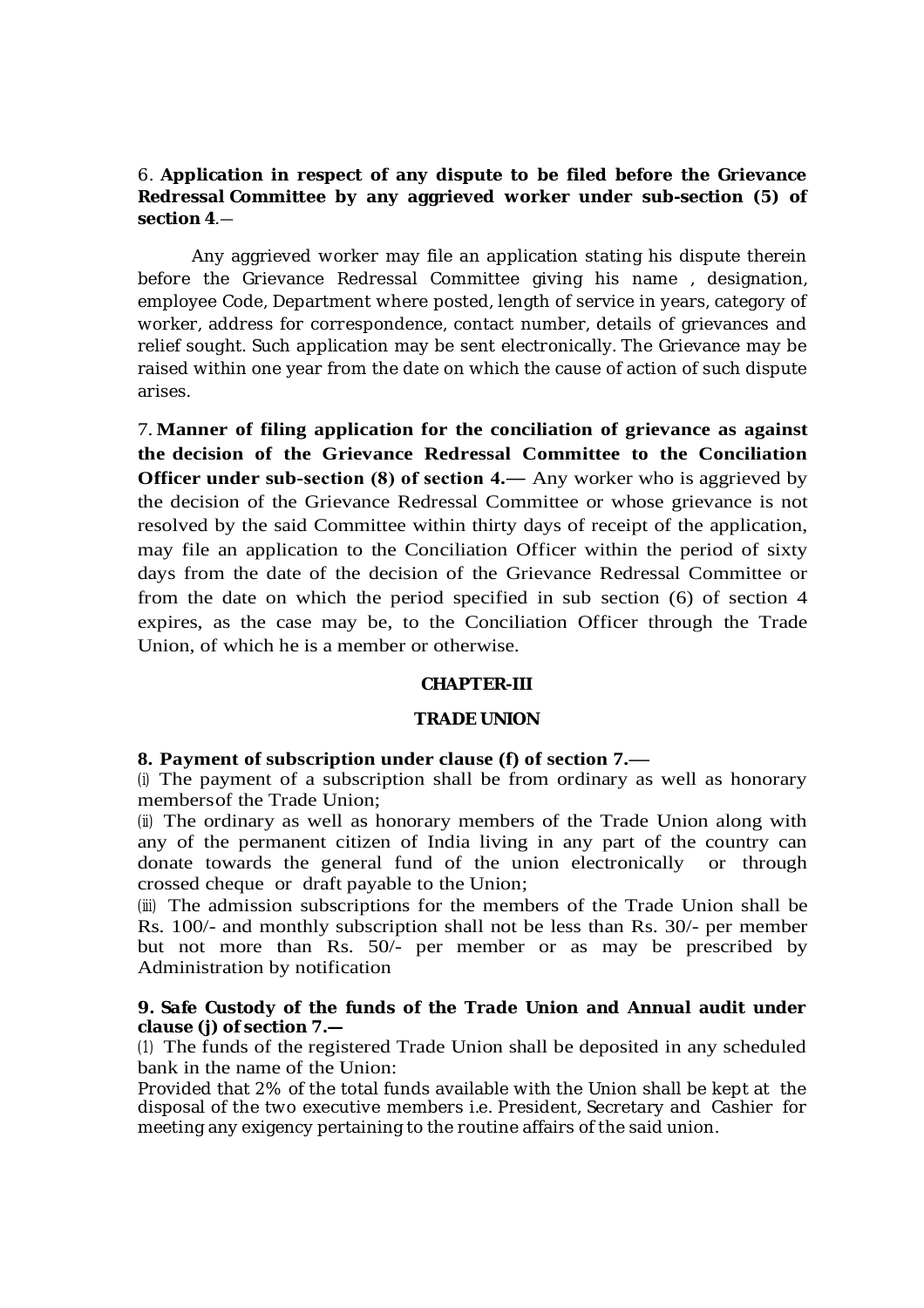### 6. **Application in respect of any dispute to be filed before the Grievance Redressal Committee by any aggrieved worker under sub-section (5) of section 4**.―

Any aggrieved worker may file an application stating his dispute therein before the Grievance Redressal Committee giving his name , designation, employee Code, Department where posted, length of service in years, category of worker, address for correspondence, contact number, details of grievances and relief sought. Such application may be sent electronically. The Grievance may be raised within one year from the date on which the cause of action of such dispute arises.

7. **Manner of filing application for the conciliation of grievance as against the decision of the Grievance Redressal Committee to the Conciliation Officer under sub-section (8) of section 4.— Any worker who is aggrieved by** the decision of the Grievance Redressal Committee or whose grievance is not resolved by the said Committee within thirty days of receipt of the application, may file an application to the Conciliation Officer within the period of sixty days from the date of the decision of the Grievance Redressal Committee or from the date on which the period specified in sub section (6) of section 4 expires, as the case may be, to the Conciliation Officer through the Trade Union, of which he is a member or otherwise.

#### **CHAPTER-III**

#### **TRADE UNION**

#### **8. Payment of subscription under clause (f) of section 7.—**

(i) The payment of a subscription shall be from ordinary as well as honorary membersof the Trade Union;

(ii) The ordinary as well as honorary members of the Trade Union along with any of the permanent citizen of India living in any part of the country can donate towards the general fund of the union electronically or through crossed cheque or draft payable to the Union;

(iii) The admission subscriptions for the members of the Trade Union shall be Rs. 100/- and monthly subscription shall not be less than Rs. 30/- per member but not more than Rs. 50/- per member or as may be prescribed by Administration by notification

### **9. Safe Custody of the funds of the Trade Union and Annual audit under clause (j) of section 7.—**

(1) The funds of the registered Trade Union shall be deposited in any scheduled bank in the name of the Union:

Provided that 2% of the total funds available with the Union shall be kept at the disposal of the two executive members i.e. President, Secretary and Cashier for meeting any exigency pertaining to the routine affairs of the said union.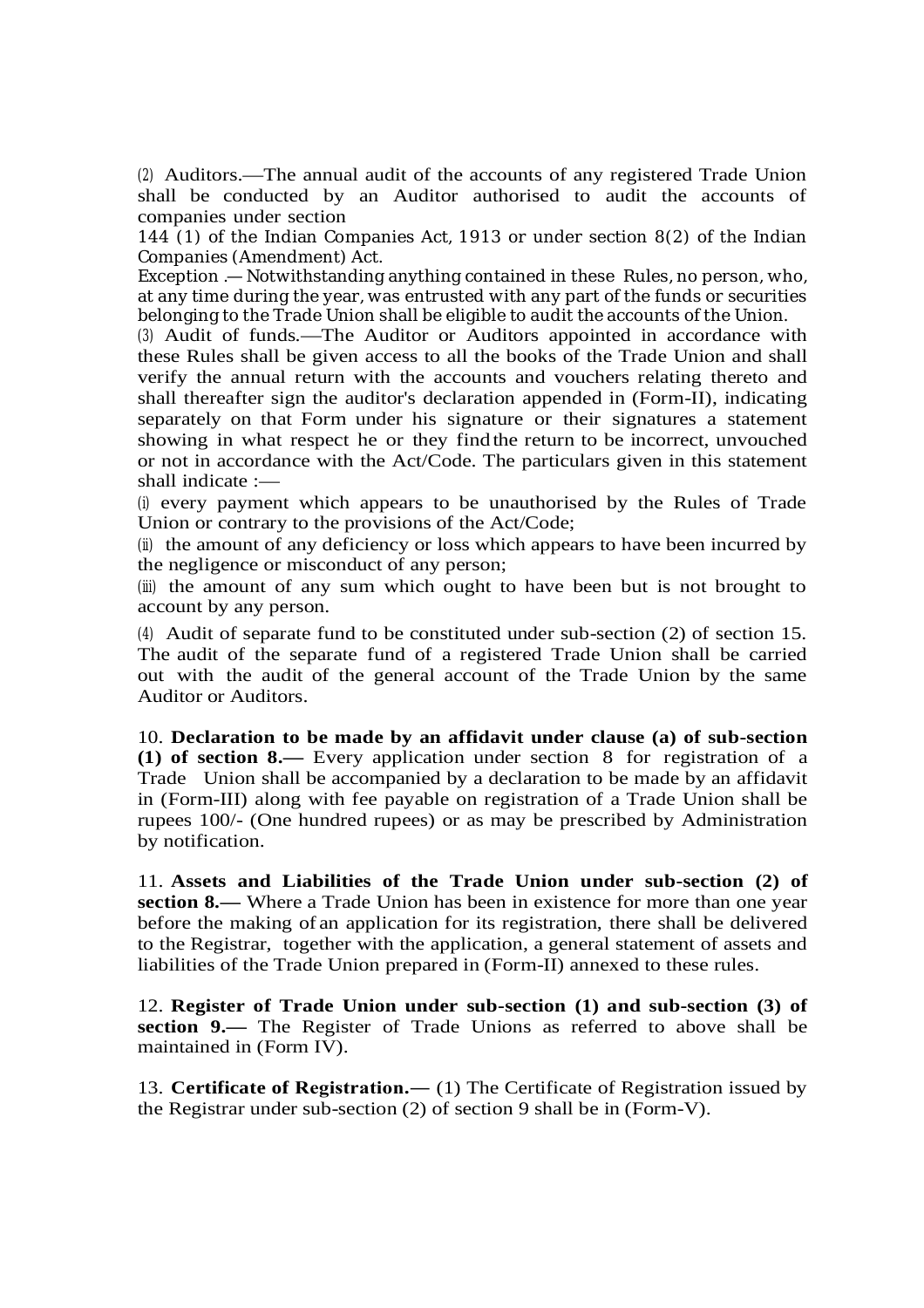(2) Auditors.—The annual audit of the accounts of any registered Trade Union shall be conducted by an Auditor authorised to audit the accounts of companies under section

144 (1) of the Indian Companies Act, 1913 or under section 8(2) of the Indian Companies (Amendment) Act.

Exception .—Notwithstanding anything contained in these Rules, no person, who, at any time during the year, was entrusted with any part of the funds or securities belonging to the Trade Union shall be eligible to audit the accounts of the Union.

(3) Audit of funds.—The Auditor or Auditors appointed in accordance with these Rules shall be given access to all the books of the Trade Union and shall verify the annual return with the accounts and vouchers relating thereto and shall thereafter sign the auditor's declaration appended in (Form-II), indicating separately on that Form under his signature or their signatures a statement showing in what respect he or they find the return to be incorrect, unvouched or not in accordance with the Act/Code. The particulars given in this statement shall indicate :—

(i) every payment which appears to be unauthorised by the Rules of Trade Union or contrary to the provisions of the Act/Code;

(ii) the amount of any deficiency or loss which appears to have been incurred by the negligence or misconduct of any person;

(iii) the amount of any sum which ought to have been but is not brought to account by any person.

(4) Audit of separate fund to be constituted under sub-section (2) of section 15. The audit of the separate fund of a registered Trade Union shall be carried out with the audit of the general account of the Trade Union by the same Auditor or Auditors.

10. **Declaration to be made by an affidavit under clause (a) of sub-section (1) of section 8.—** Every application under section 8 for registration of a Trade Union shall be accompanied by a declaration to be made by an affidavit in (Form-III) along with fee payable on registration of a Trade Union shall be rupees 100/- (One hundred rupees) or as may be prescribed by Administration by notification.

11. **Assets and Liabilities of the Trade Union under sub-section (2) of section 8.—** Where a Trade Union has been in existence for more than one year before the making of an application for its registration, there shall be delivered to the Registrar, together with the application, a general statement of assets and liabilities of the Trade Union prepared in (Form-II) annexed to these rules.

12. **Register of Trade Union under sub-section (1) and sub-section (3) of section 9.—** The Register of Trade Unions as referred to above shall be maintained in (Form IV).

13. **Certificate of Registration.―** (1) The Certificate of Registration issued by the Registrar under sub-section (2) of section 9 shall be in (Form-V).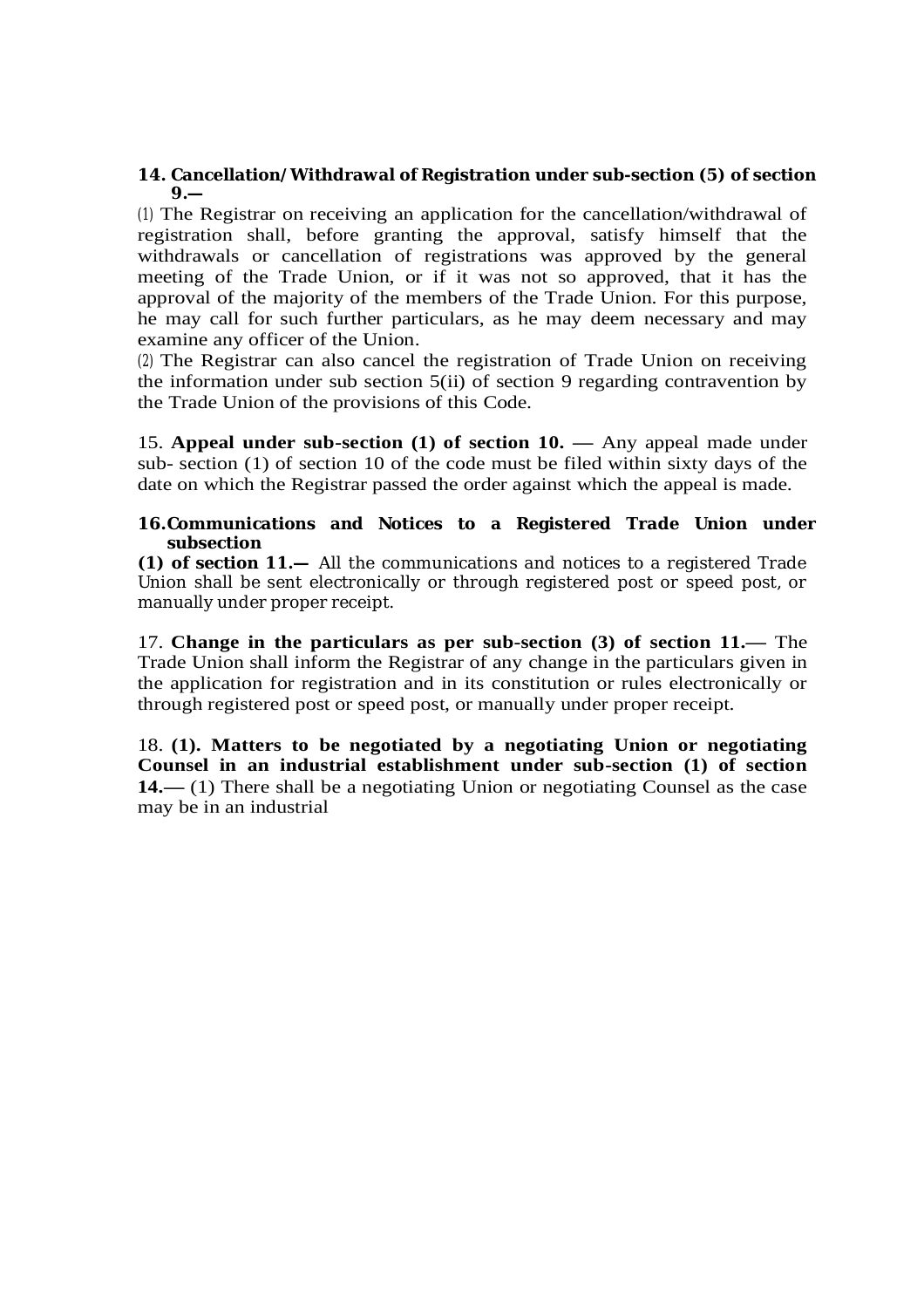### **14. Cancellation/Withdrawal of Registration under sub-section (5) of section 9.—**

(1) The Registrar on receiving an application for the cancellation/withdrawal of registration shall, before granting the approval, satisfy himself that the withdrawals or cancellation of registrations was approved by the general meeting of the Trade Union, or if it was not so approved, that it has the approval of the majority of the members of the Trade Union. For this purpose, he may call for such further particulars, as he may deem necessary and may examine any officer of the Union.

(2) The Registrar can also cancel the registration of Trade Union on receiving the information under sub section 5(ii) of section 9 regarding contravention by the Trade Union of the provisions of this Code.

15. **Appeal under sub-section (1) of section 10. —** Any appeal made under sub- section (1) of section 10 of the code must be filed within sixty days of the date on which the Registrar passed the order against which the appeal is made.

### **16.Communications and Notices to a Registered Trade Union under subsection**

**(1) of section 11.—** All the communications and notices to a registered Trade Union shall be sent electronically or through registered post or speed post, or manually under proper receipt.

17. **Change in the particulars as per sub-section (3) of section 11.—** The Trade Union shall inform the Registrar of any change in the particulars given in the application for registration and in its constitution or rules electronically or through registered post or speed post, or manually under proper receipt.

18. **(1). Matters to be negotiated by a negotiating Union or negotiating Counsel in an industrial establishment under sub-section (1) of section 14.—** (1) There shall be a negotiating Union or negotiating Counsel as the case may be in an industrial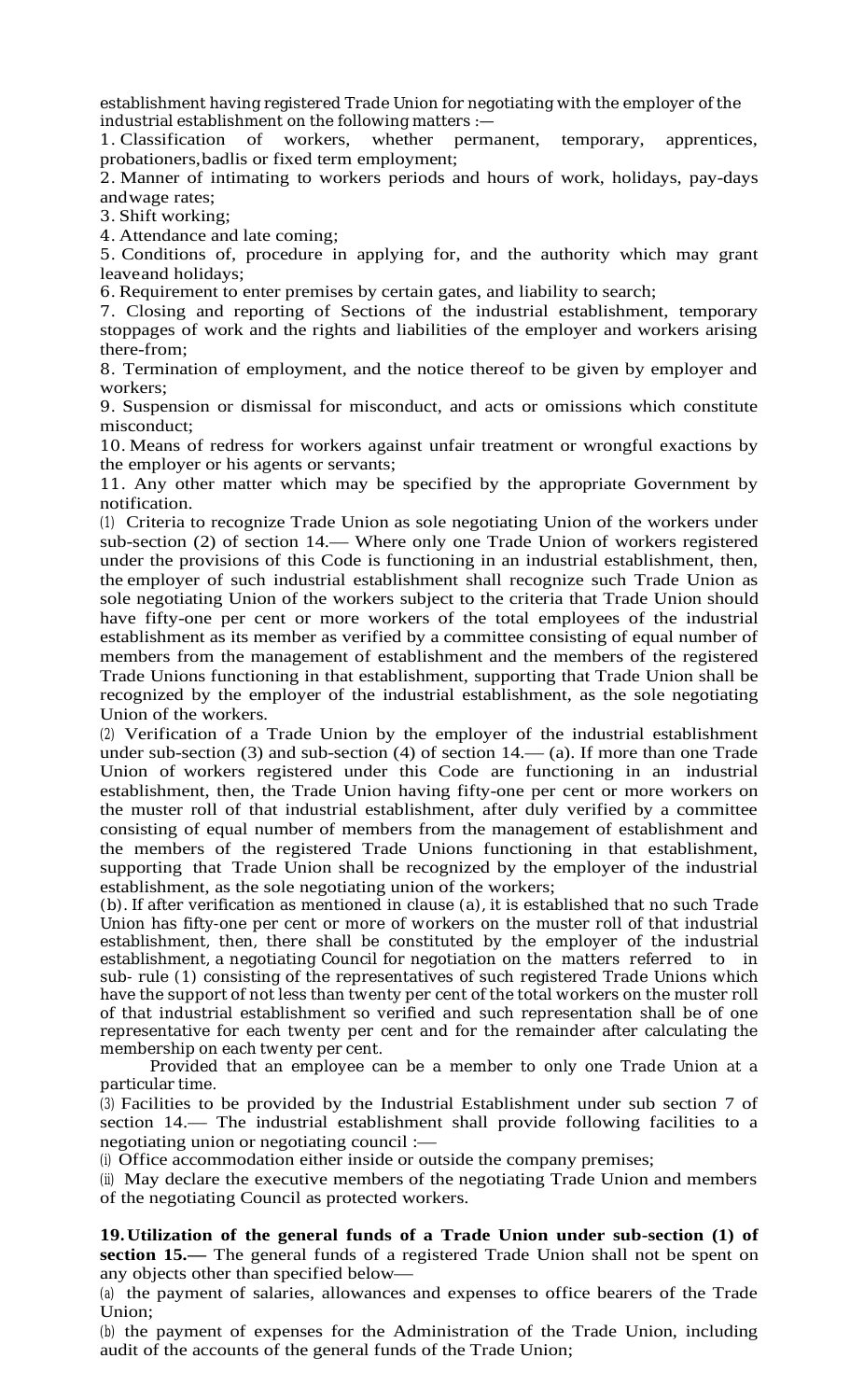establishment having registered Trade Union for negotiating with the employer of the industrial establishment on the following matters :—

1. Classification of workers, whether permanent, temporary, apprentices, probationers,badlis or fixed term employment;

2. Manner of intimating to workers periods and hours of work, holidays, pay-days andwage rates;

3. Shift working;

4. Attendance and late coming;

5. Conditions of, procedure in applying for, and the authority which may grant leaveand holidays;

6. Requirement to enter premises by certain gates, and liability to search;

7. Closing and reporting of Sections of the industrial establishment, temporary stoppages of work and the rights and liabilities of the employer and workers arising there-from;

8. Termination of employment, and the notice thereof to be given by employer and workers;

9. Suspension or dismissal for misconduct, and acts or omissions which constitute misconduct;

10. Means of redress for workers against unfair treatment or wrongful exactions by the employer or his agents or servants;

11. Any other matter which may be specified by the appropriate Government by notification.

(1) Criteria to recognize Trade Union as sole negotiating Union of the workers under sub-section (2) of section 14.— Where only one Trade Union of workers registered under the provisions of this Code is functioning in an industrial establishment, then, the employer of such industrial establishment shall recognize such Trade Union as sole negotiating Union of the workers subject to the criteria that Trade Union should have fifty-one per cent or more workers of the total employees of the industrial establishment as its member as verified by a committee consisting of equal number of members from the management of establishment and the members of the registered Trade Unions functioning in that establishment, supporting that Trade Union shall be recognized by the employer of the industrial establishment, as the sole negotiating Union of the workers.

(2) Verification of a Trade Union by the employer of the industrial establishment under sub-section (3) and sub-section (4) of section 14.— (a). If more than one Trade Union of workers registered under this Code are functioning in an industrial establishment, then, the Trade Union having fifty-one per cent or more workers on the muster roll of that industrial establishment, after duly verified by a committee consisting of equal number of members from the management of establishment and the members of the registered Trade Unions functioning in that establishment, supporting that Trade Union shall be recognized by the employer of the industrial establishment, as the sole negotiating union of the workers;

(b). If after verification as mentioned in clause (a), it is established that no such Trade Union has fifty-one per cent or more of workers on the muster roll of that industrial establishment, then, there shall be constituted by the employer of the industrial establishment, a negotiating Council for negotiation on the matters referred to in sub- rule (1) consisting of the representatives of such registered Trade Unions which have the support of not less than twenty per cent of the total workers on the muster roll of that industrial establishment so verified and such representation shall be of one representative for each twenty per cent and for the remainder after calculating the membership on each twenty per cent.

Provided that an employee can be a member to only one Trade Union at a particular time.

(3) Facilities to be provided by the Industrial Establishment under sub section 7 of section 14.— The industrial establishment shall provide following facilities to a negotiating union or negotiating council :—

(i) Office accommodation either inside or outside the company premises;

(ii) May declare the executive members of the negotiating Trade Union and members of the negotiating Council as protected workers.

**19. Utilization of the general funds of a Trade Union under sub-section (1) of section 15.—** The general funds of a registered Trade Union shall not be spent on any objects other than specified below—

(a) the payment of salaries, allowances and expenses to office bearers of the Trade Union;

(b) the payment of expenses for the Administration of the Trade Union, including audit of the accounts of the general funds of the Trade Union;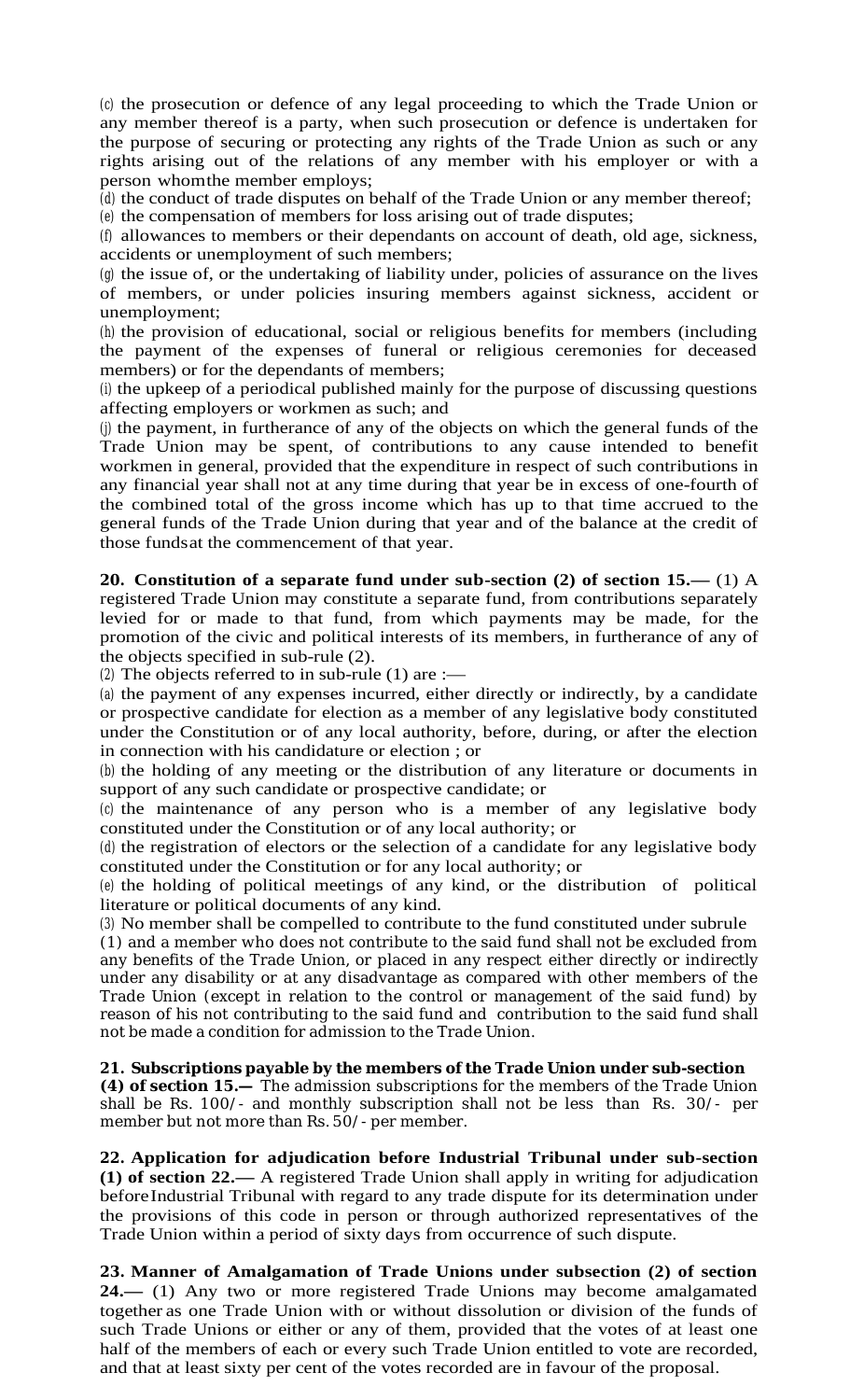(c) the prosecution or defence of any legal proceeding to which the Trade Union or any member thereof is a party, when such prosecution or defence is undertaken for the purpose of securing or protecting any rights of the Trade Union as such or any rights arising out of the relations of any member with his employer or with a person whomthe member employs;

(d) the conduct of trade disputes on behalf of the Trade Union or any member thereof; (e) the compensation of members for loss arising out of trade disputes;

(f) allowances to members or their dependants on account of death, old age, sickness, accidents or unemployment of such members;

(g) the issue of, or the undertaking of liability under, policies of assurance on the lives of members, or under policies insuring members against sickness, accident or unemployment;

(h) the provision of educational, social or religious benefits for members (including the payment of the expenses of funeral or religious ceremonies for deceased members) or for the dependants of members;

(i) the upkeep of a periodical published mainly for the purpose of discussing questions affecting employers or workmen as such; and

(j) the payment, in furtherance of any of the objects on which the general funds of the Trade Union may be spent, of contributions to any cause intended to benefit workmen in general, provided that the expenditure in respect of such contributions in any financial year shall not at any time during that year be in excess of one-fourth of the combined total of the gross income which has up to that time accrued to the general funds of the Trade Union during that year and of the balance at the credit of those fundsat the commencement of that year.

**20. Constitution of a separate fund under sub-section (2) of section 15.—** (1) A registered Trade Union may constitute a separate fund, from contributions separately levied for or made to that fund, from which payments may be made, for the promotion of the civic and political interests of its members, in furtherance of any of the objects specified in sub-rule (2).

(2) The objects referred to in sub-rule  $(1)$  are :—

(a) the payment of any expenses incurred, either directly or indirectly, by a candidate or prospective candidate for election as a member of any legislative body constituted under the Constitution or of any local authority, before, during, or after the election in connection with his candidature or election ; or

(b) the holding of any meeting or the distribution of any literature or documents in support of any such candidate or prospective candidate; or

(c) the maintenance of any person who is a member of any legislative body constituted under the Constitution or of any local authority; or

(d) the registration of electors or the selection of a candidate for any legislative body constituted under the Constitution or for any local authority; or

(e) the holding of political meetings of any kind, or the distribution of political literature or political documents of any kind.

(3) No member shall be compelled to contribute to the fund constituted under subrule (1) and a member who does not contribute to the said fund shall not be excluded from any benefits of the Trade Union, or placed in any respect either directly or indirectly under any disability or at any disadvantage as compared with other members of the Trade Union (except in relation to the control or management of the said fund) by reason of his not contributing to the said fund and contribution to the said fund shall not be made a condition for admission to the Trade Union.

### **21. Subscriptions payable by the members of the Trade Union under sub-section**

**(4) of section 15.—** The admission subscriptions for the members of the Trade Union shall be Rs. 100/- and monthly subscription shall not be less than Rs. 30/- per member but not more than Rs. 50/- per member.

**22. Application for adjudication before Industrial Tribunal under sub-section (1) of section 22.—** A registered Trade Union shall apply in writing for adjudication beforeIndustrial Tribunal with regard to any trade dispute for its determination under the provisions of this code in person or through authorized representatives of the Trade Union within a period of sixty days from occurrence of such dispute.

**23. Manner of Amalgamation of Trade Unions under subsection (2) of section 24.—** (1) Any two or more registered Trade Unions may become amalgamated together as one Trade Union with or without dissolution or division of the funds of such Trade Unions or either or any of them, provided that the votes of at least one half of the members of each or every such Trade Union entitled to vote are recorded, and that at least sixty per cent of the votes recorded are in favour of the proposal.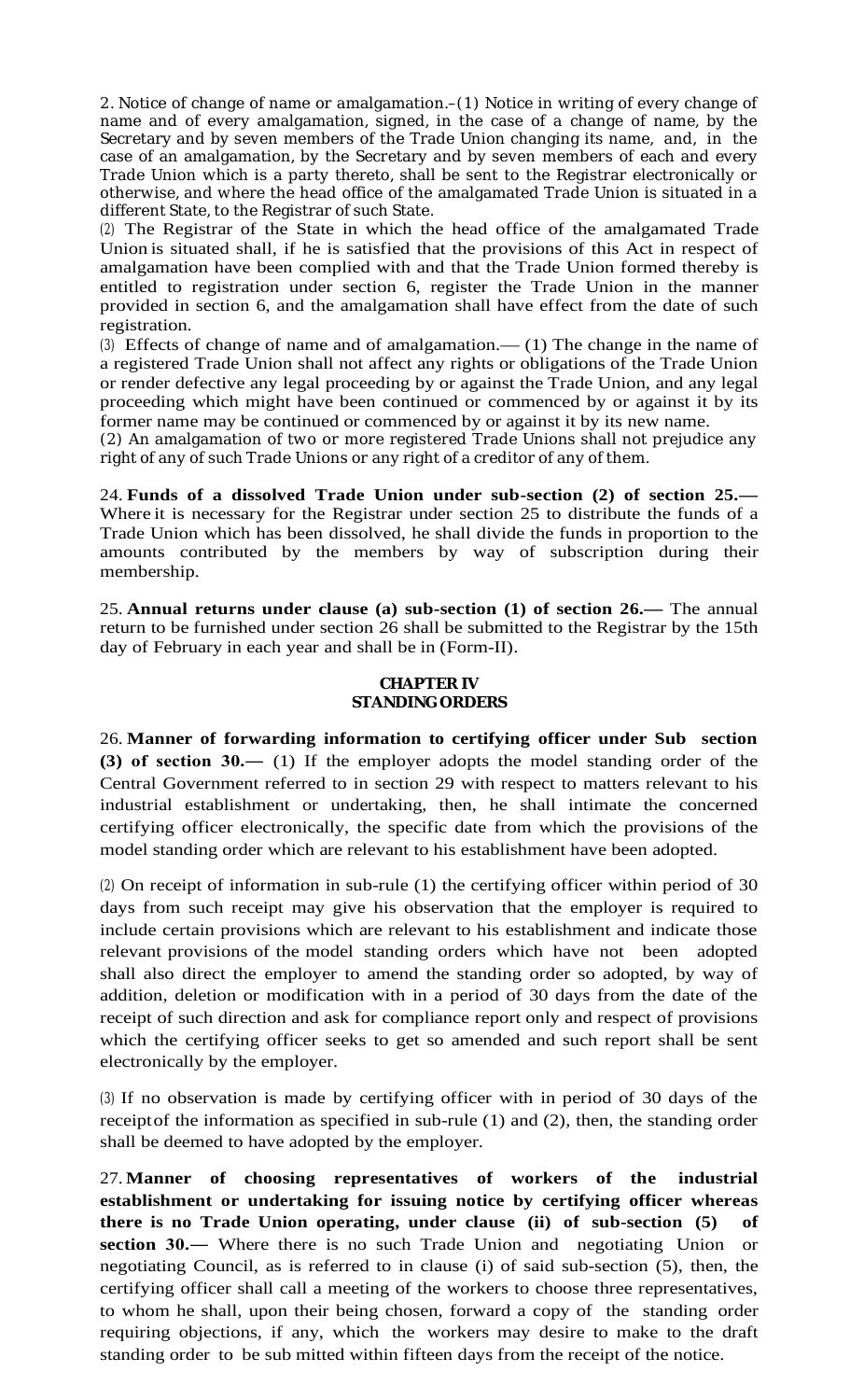2. Notice of change of name or amalgamation.–(1) Notice in writing of every change of name and of every amalgamation, signed, in the case of a change of name, by the Secretary and by seven members of the Trade Union changing its name, and, in the case of an amalgamation, by the Secretary and by seven members of each and every Trade Union which is a party thereto, shall be sent to the Registrar electronically or otherwise, and where the head office of the amalgamated Trade Union is situated in a different State, to the Registrar of such State.

(2) The Registrar of the State in which the head office of the amalgamated Trade Union is situated shall, if he is satisfied that the provisions of this Act in respect of amalgamation have been complied with and that the Trade Union formed thereby is entitled to registration under section 6, register the Trade Union in the manner provided in section 6, and the amalgamation shall have effect from the date of such registration.

(3) Effects of change of name and of amalgamation.— (1) The change in the name of a registered Trade Union shall not affect any rights or obligations of the Trade Union or render defective any legal proceeding by or against the Trade Union, and any legal proceeding which might have been continued or commenced by or against it by its former name may be continued or commenced by or against it by its new name.

(2) An amalgamation of two or more registered Trade Unions shall not prejudice any right of any of such Trade Unions or any right of a creditor of any of them.

24. **Funds of a dissolved Trade Union under sub-section (2) of section 25.—** Where it is necessary for the Registrar under section 25 to distribute the funds of a Trade Union which has been dissolved, he shall divide the funds in proportion to the amounts contributed by the members by way of subscription during their membership.

25. **Annual returns under clause (a) sub-section (1) of section 26.—** The annual return to be furnished under section 26 shall be submitted to the Registrar by the 15th day of February in each year and shall be in (Form-II).

### **CHAPTER IV STANDINGORDERS**

26. **Manner of forwarding information to certifying officer under Sub section (3) of section 30.―** (1) If the employer adopts the model standing order of the Central Government referred to in section 29 with respect to matters relevant to his industrial establishment or undertaking, then, he shall intimate the concerned certifying officer electronically, the specific date from which the provisions of the model standing order which are relevant to his establishment have been adopted.

(2) On receipt of information in sub-rule (1) the certifying officer within period of 30 days from such receipt may give his observation that the employer is required to include certain provisions which are relevant to his establishment and indicate those relevant provisions of the model standing orders which have not been adopted shall also direct the employer to amend the standing order so adopted, by way of addition, deletion or modification with in a period of 30 days from the date of the receipt of such direction and ask for compliance report only and respect of provisions which the certifying officer seeks to get so amended and such report shall be sent electronically by the employer.

(3) If no observation is made by certifying officer with in period of 30 days of the receiptof the information as specified in sub-rule (1) and (2), then, the standing order shall be deemed to have adopted by the employer.

27. **Manner of choosing representatives of workers of the industrial establishment or undertaking for issuing notice by certifying officer whereas there is no Trade Union operating, under clause (ii) of sub-section (5) of section 30.—** Where there is no such Trade Union and negotiating Union or negotiating Council, as is referred to in clause (i) of said sub-section (5), then, the certifying officer shall call a meeting of the workers to choose three representatives, to whom he shall, upon their being chosen, forward a copy of the standing order requiring objections, if any, which the workers may desire to make to the draft standing order to be sub mitted within fifteen days from the receipt of the notice.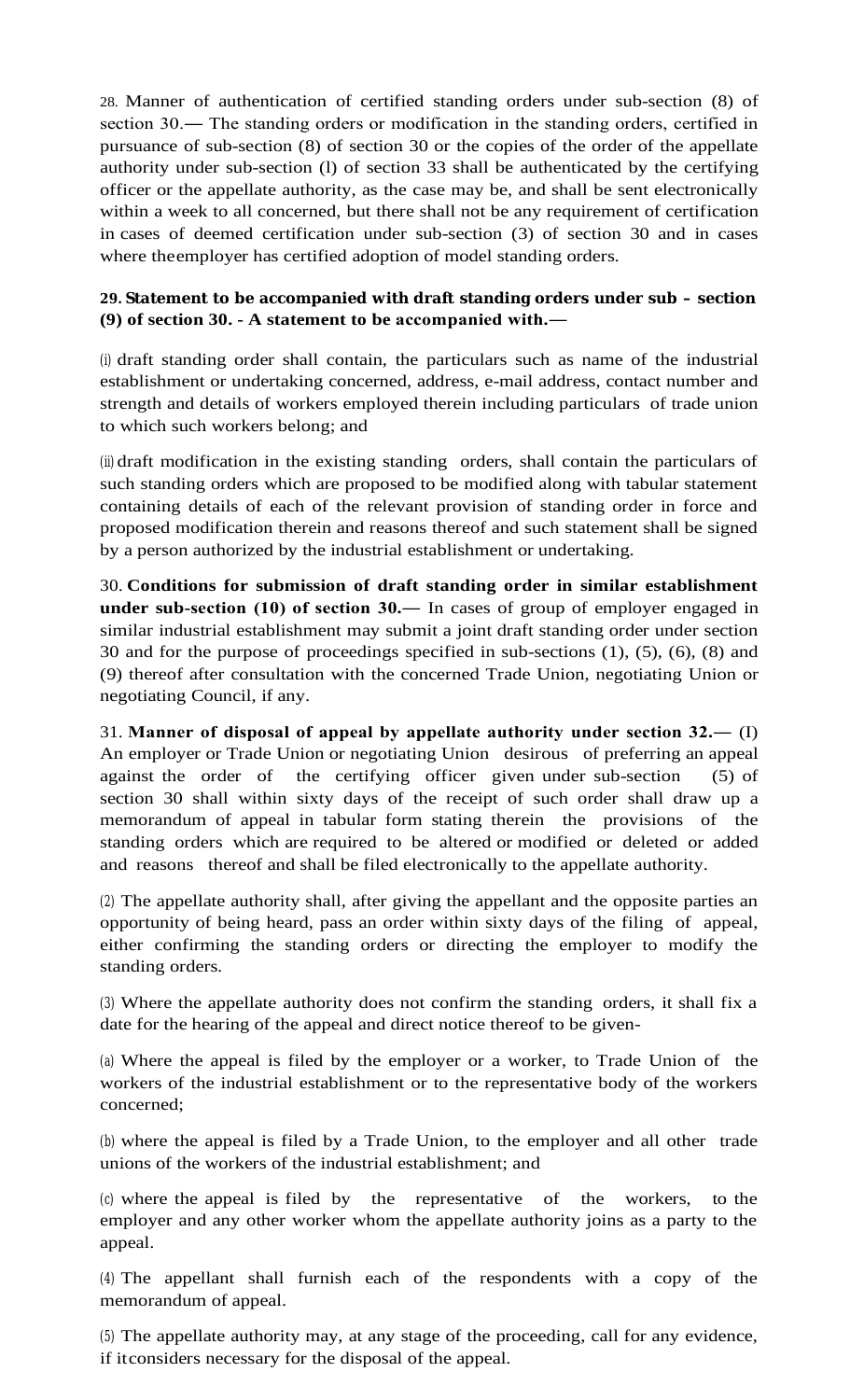28. Manner of authentication of certified standing orders under sub-section (8) of section 30.― The standing orders or modification in the standing orders, certified in pursuance of sub-section (8) of section 30 or the copies of the order of the appellate authority under sub-section (l) of section 33 shall be authenticated by the certifying officer or the appellate authority, as the case may be, and shall be sent electronically within a week to all concerned, but there shall not be any requirement of certification in cases of deemed certification under sub-section (3) of section 30 and in cases where theemployer has certified adoption of model standing orders.

# **29. Statement to be accompanied with draft standing orders under sub – section (9) of section 30. - A statement to be accompanied with.―**

(i) draft standing order shall contain, the particulars such as name of the industrial establishment or undertaking concerned, address, e-mail address, contact number and strength and details of workers employed therein including particulars of trade union to which such workers belong; and

(ii) draft modification in the existing standing orders, shall contain the particulars of such standing orders which are proposed to be modified along with tabular statement containing details of each of the relevant provision of standing order in force and proposed modification therein and reasons thereof and such statement shall be signed by a person authorized by the industrial establishment or undertaking.

30. **Conditions for submission of draft standing order in similar establishment under sub-section (10) of section 30.―** In cases of group of employer engaged in similar industrial establishment may submit a joint draft standing order under section 30 and for the purpose of proceedings specified in sub-sections (1), (5), (6), (8) and (9) thereof after consultation with the concerned Trade Union, negotiating Union or negotiating Council, if any.

31. **Manner of disposal of appeal by appellate authority under section 32.―** (I) An employer or Trade Union or negotiating Union desirous of preferring an appeal against the order of the certifying officer given under sub-section (5) of section 30 shall within sixty days of the receipt of such order shall draw up a memorandum of appeal in tabular form stating therein the provisions of the standing orders which are required to be altered or modified or deleted or added and reasons thereof and shall be filed electronically to the appellate authority.

(2) The appellate authority shall, after giving the appellant and the opposite parties an opportunity of being heard, pass an order within sixty days of the filing of appeal, either confirming the standing orders or directing the employer to modify the standing orders.

(3) Where the appellate authority does not confirm the standing orders, it shall fix a date for the hearing of the appeal and direct notice thereof to be given-

(a) Where the appeal is filed by the employer or a worker, to Trade Union of the workers of the industrial establishment or to the representative body of the workers concerned;

(b) where the appeal is filed by a Trade Union, to the employer and all other trade unions of the workers of the industrial establishment; and

(c) where the appeal is filed by the representative of the workers, to the employer and any other worker whom the appellate authority joins as a party to the appeal.

(4) The appellant shall furnish each of the respondents with a copy of the memorandum of appeal.

(5) The appellate authority may, at any stage of the proceeding, call for any evidence, if itconsiders necessary for the disposal of the appeal.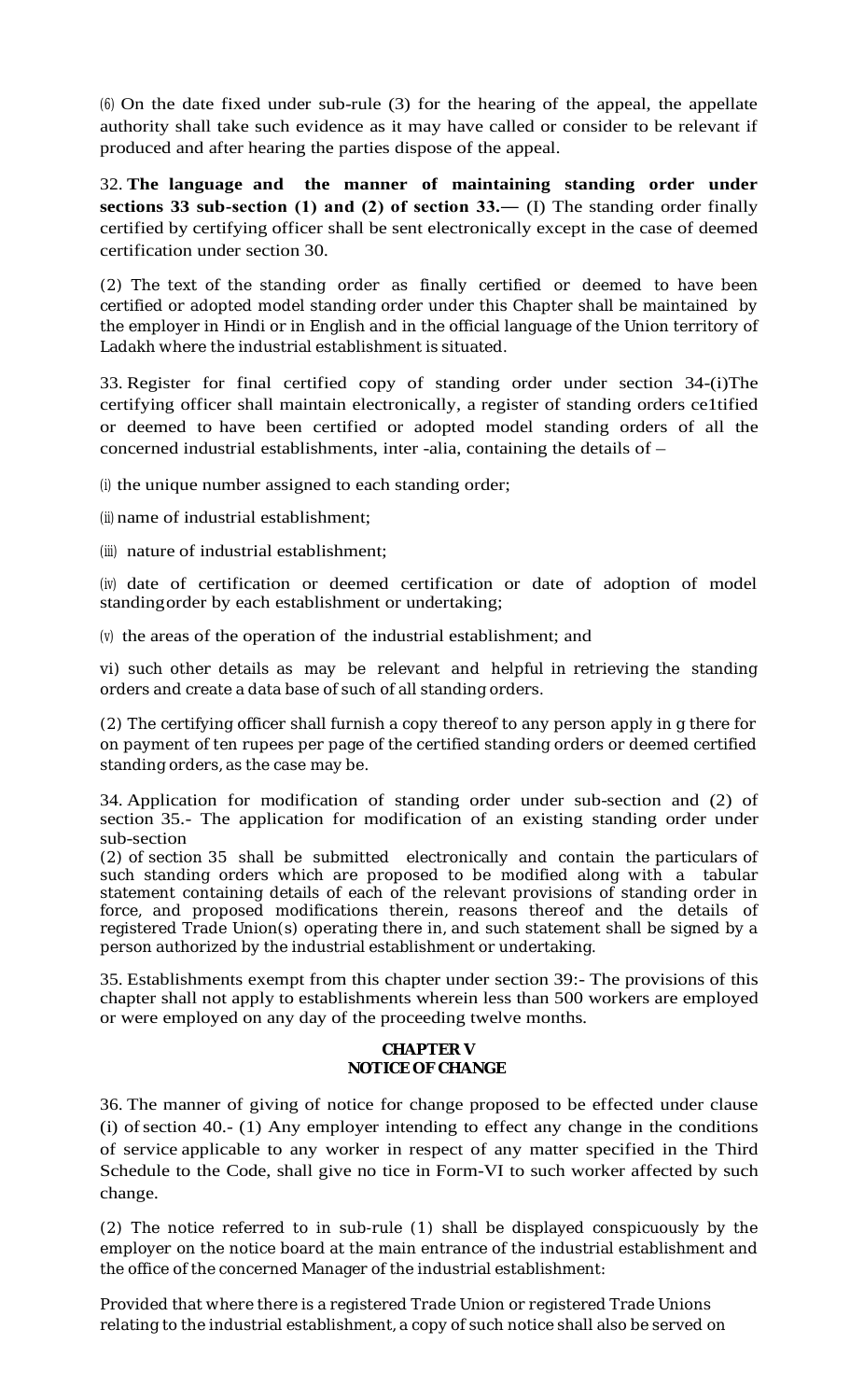(6) On the date fixed under sub-rule (3) for the hearing of the appeal, the appellate authority shall take such evidence as it may have called or consider to be relevant if produced and after hearing the parties dispose of the appeal.

32. **The language and the manner of maintaining standing order under sections 33 sub-section (1) and (2) of section 33.―** (I) The standing order finally certified by certifying officer shall be sent electronically except in the case of deemed certification under section 30.

(2) The text of the standing order as finally certified or deemed to have been certified or adopted model standing order under this Chapter shall be maintained by the employer in Hindi or in English and in the official language of the Union territory of Ladakh where the industrial establishment is situated.

33. Register for final certified copy of standing order under section 34-(i)The certifying officer shall maintain electronically, a register of standing orders ce1tified or deemed to have been certified or adopted model standing orders of all the concerned industrial establishments, inter -alia, containing the details of –

(i) the unique number assigned to each standing order;

(ii) name of industrial establishment;

(iii) nature of industrial establishment;

(iv) date of certification or deemed certification or date of adoption of model standingorder by each establishment or undertaking;

(v) the areas of the operation of the industrial establishment; and

vi) such other details as may be relevant and helpful in retrieving the standing orders and create a data base of such of all standing orders.

(2) The certifying officer shall furnish a copy thereof to any person apply in g there for on payment of ten rupees per page of the certified standing orders or deemed certified standing orders, as the case may be.

34. Application for modification of standing order under sub-section and (2) of section 35.- The application for modification of an existing standing order under sub-section

(2) of section 35 shall be submitted electronically and contain the particulars of such standing orders which are proposed to be modified along with a tabular statement containing details of each of the relevant provisions of standing order in force, and proposed modifications therein, reasons thereof and the details of registered Trade Union(s) operating there in, and such statement shall be signed by a person authorized by the industrial establishment or undertaking.

35. Establishments exempt from this chapter under section 39:- The provisions of this chapter shall not apply to establishments wherein less than 500 workers are employed or were employed on any day of the proceeding twelve months.

### **CHAPTER V NOTICE OF CHANGE**

36. The manner of giving of notice for change proposed to be effected under clause  $(i)$  of section 40.-  $(1)$  Any employer intending to effect any change in the conditions of service applicable to any worker in respect of any matter specified in the Third Schedule to the Code, shall give no tice in Form-VI to such worker affected by such change.

(2) The notice referred to in sub-rule (1) shall be displayed conspicuously by the employer on the notice board at the main entrance of the industrial establishment and the office of the concerned Manager of the industrial establishment:

Provided that where there is a registered Trade Union or registered Trade Unions relating to the industrial establishment, a copy of such notice shall also be served on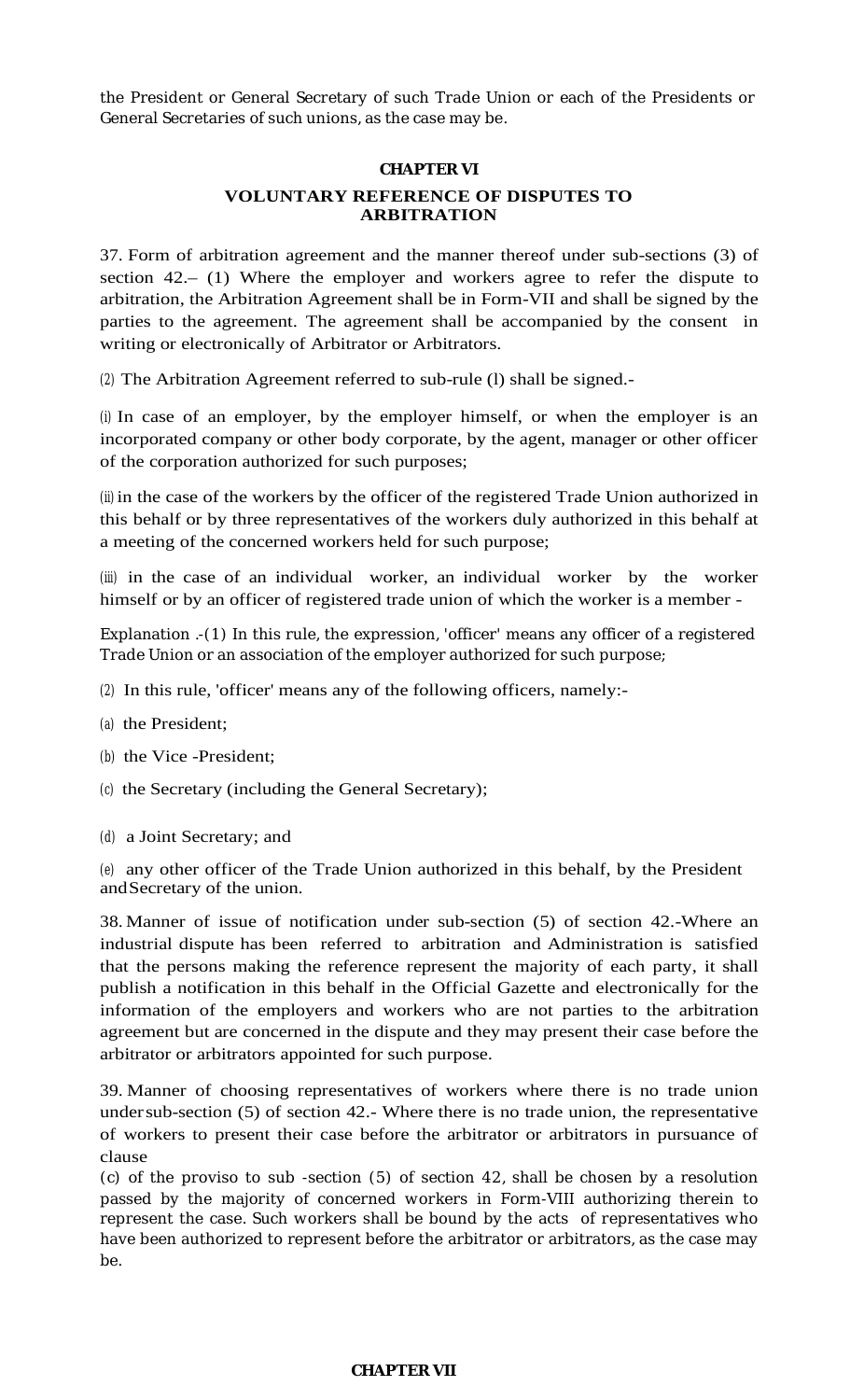the President or General Secretary of such Trade Union or each of the Presidents or General Secretaries of such unions, as the case may be.

### **CHAPTER VI**

## **VOLUNTARY REFERENCE OF DISPUTES TO ARBITRATION**

37. Form of arbitration agreement and the manner thereof under sub-sections (3) of section 42.– (1) Where the employer and workers agree to refer the dispute to arbitration, the Arbitration Agreement shall be in Form-VII and shall be signed by the parties to the agreement. The agreement shall be accompanied by the consent in writing or electronically of Arbitrator or Arbitrators.

(2) The Arbitration Agreement referred to sub-rule (l) shall be signed.-

(i) In case of an employer, by the employer himself, or when the employer is an incorporated company or other body corporate, by the agent, manager or other officer of the corporation authorized for such purposes;

(ii) in the case of the workers by the officer of the registered Trade Union authorized in this behalf or by three representatives of the workers duly authorized in this behalf at a meeting of the concerned workers held for such purpose;

(iii) in the case of an individual worker, an individual worker by the worker himself or by an officer of registered trade union of which the worker is a member -

Explanation .-(1) In this rule, the expression, 'officer' means any officer of a registered Trade Union or an association of the employer authorized for such purpose;

- (2) In this rule, 'officer' means any of the following officers, namely:-
- (a) the President;
- (b) the Vice -President;
- (c) the Secretary (including the General Secretary);
- (d) a Joint Secretary; and

(e) any other officer of the Trade Union authorized in this behalf, by the President andSecretary of the union.

38. Manner of issue of notification under sub-section (5) of section 42.-Where an industrial dispute has been referred to arbitration and Administration is satisfied that the persons making the reference represent the majority of each party, it shall publish a notification in this behalf in the Official Gazette and electronically for the information of the employers and workers who are not parties to the arbitration agreement but are concerned in the dispute and they may present their case before the arbitrator or arbitrators appointed for such purpose.

39. Manner of choosing representatives of workers where there is no trade union undersub-section (5) of section 42.- Where there is no trade union, the representative of workers to present their case before the arbitrator or arbitrators in pursuance of clause

(c) of the proviso to sub -section (5) of section 42, shall be chosen by a resolution passed by the majority of concerned workers in Form-VIII authorizing therein to represent the case. Such workers shall be bound by the acts of representatives who have been authorized to represent before the arbitrator or arbitrators, as the case may be.

### **CHAPTER VII**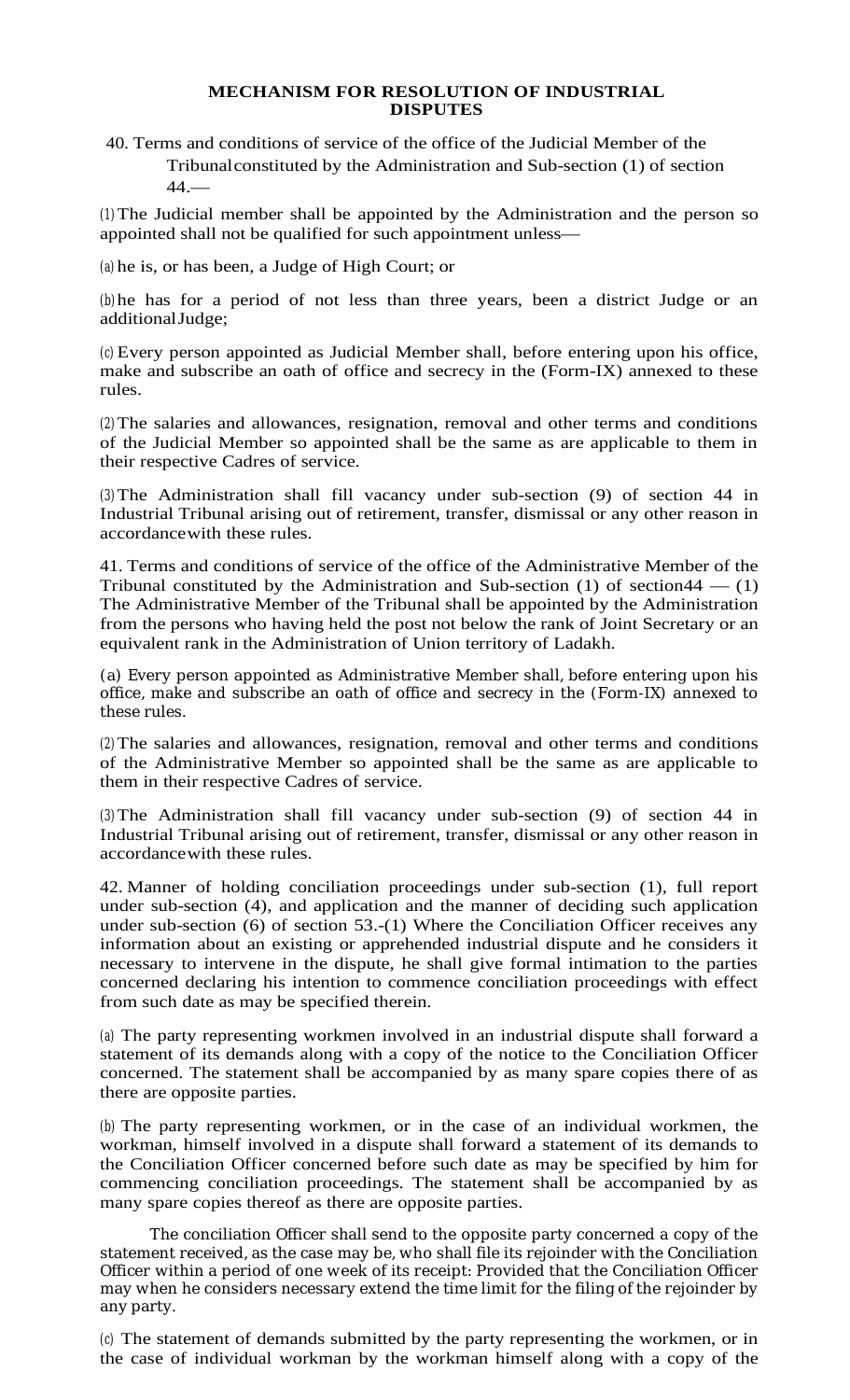### **MECHANISM FOR RESOLUTION OF INDUSTRIAL DISPUTES**

40. Terms and conditions of service of the office of the Judicial Member of the Tribunalconstituted by the Administration and Sub-section (1) of section  $44.$ 

(1)The Judicial member shall be appointed by the Administration and the person so appointed shall not be qualified for such appointment unless—

(a) he is, or has been, a Judge of High Court; or

(b) he has for a period of not less than three years, been a district Judge or an additionalJudge;

(c) Every person appointed as Judicial Member shall, before entering upon his office, make and subscribe an oath of office and secrecy in the (Form-IX) annexed to these rules.

(2)The salaries and allowances, resignation, removal and other terms and conditions of the Judicial Member so appointed shall be the same as are applicable to them in their respective Cadres of service.

(3)The Administration shall fill vacancy under sub-section (9) of section 44 in Industrial Tribunal arising out of retirement, transfer, dismissal or any other reason in accordancewith these rules.

41. Terms and conditions of service of the office of the Administrative Member of the Tribunal constituted by the Administration and Sub-section  $(1)$  of section  $(44 - (1)$ The Administrative Member of the Tribunal shall be appointed by the Administration from the persons who having held the post not below the rank of Joint Secretary or an equivalent rank in the Administration of Union territory of Ladakh.

(a) Every person appointed as Administrative Member shall, before entering upon his office, make and subscribe an oath of office and secrecy in the (Form-IX) annexed to these rules.

(2)The salaries and allowances, resignation, removal and other terms and conditions of the Administrative Member so appointed shall be the same as are applicable to them in their respective Cadres of service.

(3)The Administration shall fill vacancy under sub-section (9) of section 44 in Industrial Tribunal arising out of retirement, transfer, dismissal or any other reason in accordancewith these rules.

42. Manner of holding conciliation proceedings under sub-section (1), full report under sub-section (4), and application and the manner of deciding such application under sub-section (6) of section 53.-(1) Where the Conciliation Officer receives any information about an existing or apprehended industrial dispute and he considers it necessary to intervene in the dispute, he shall give formal intimation to the parties concerned declaring his intention to commence conciliation proceedings with effect from such date as may be specified therein.

(a) The party representing workmen involved in an industrial dispute shall forward a statement of its demands along with a copy of the notice to the Conciliation Officer concerned. The statement shall be accompanied by as many spare copies there of as there are opposite parties.

(b) The party representing workmen, or in the case of an individual workmen, the workman, himself involved in a dispute shall forward a statement of its demands to the Conciliation Officer concerned before such date as may be specified by him for commencing conciliation proceedings. The statement shall be accompanied by as many spare copies thereof as there are opposite parties.

The conciliation Officer shall send to the opposite party concerned a copy of the statement received, as the case may be, who shall file its rejoinder with the Conciliation Officer within a period of one week of its receipt: Provided that the Conciliation Officer may when he considers necessary extend the time limit for the filing of the rejoinder by any party.

(c) The statement of demands submitted by the party representing the workmen, or in the case of individual workman by the workman himself along with a copy of the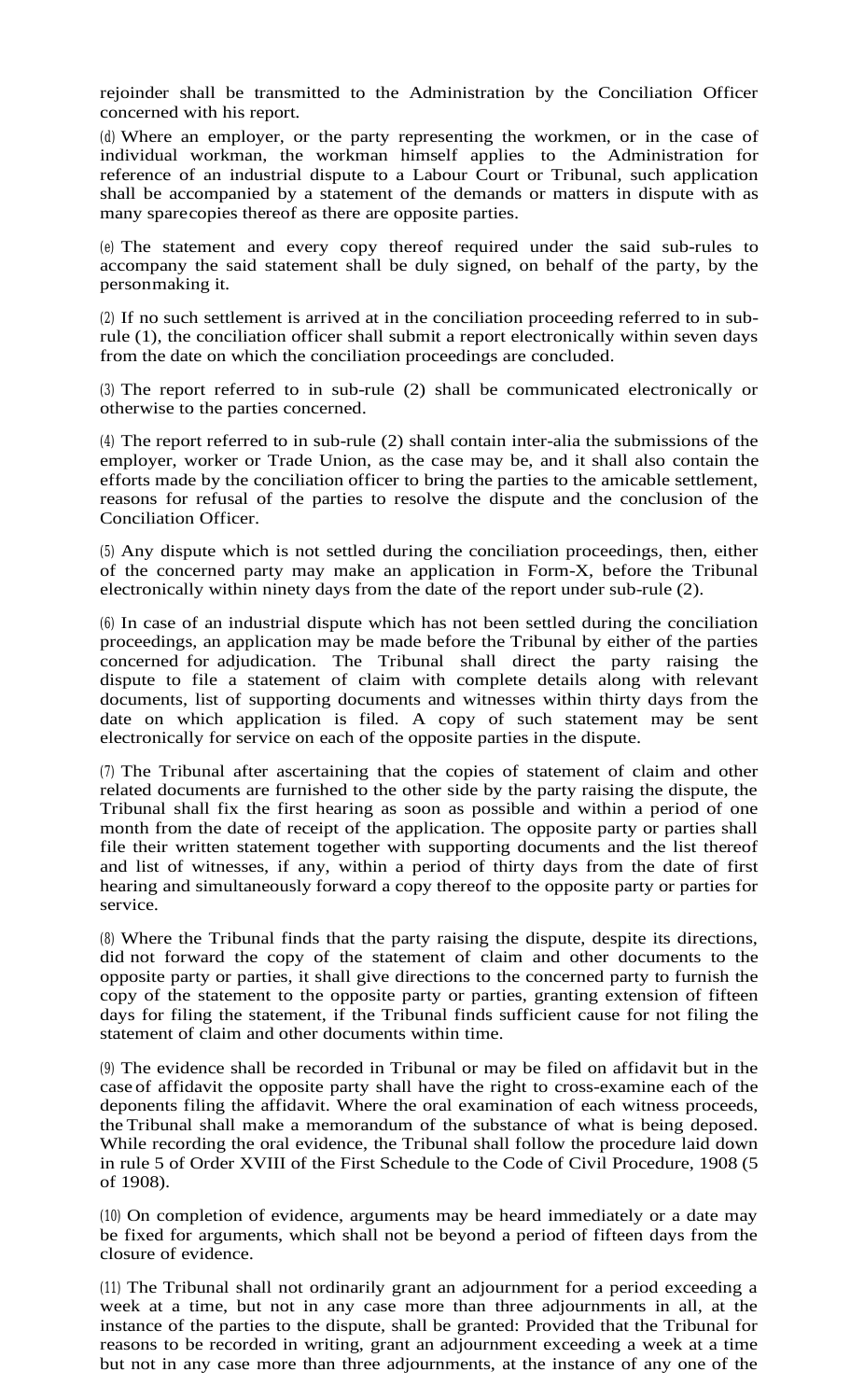rejoinder shall be transmitted to the Administration by the Conciliation Officer concerned with his report.

(d) Where an employer, or the party representing the workmen, or in the case of individual workman, the workman himself applies to the Administration for reference of an industrial dispute to a Labour Court or Tribunal, such application shall be accompanied by a statement of the demands or matters in dispute with as many sparecopies thereof as there are opposite parties.

(e) The statement and every copy thereof required under the said sub-rules to accompany the said statement shall be duly signed, on behalf of the party, by the personmaking it.

(2) If no such settlement is arrived at in the conciliation proceeding referred to in subrule (1), the conciliation officer shall submit a report electronically within seven days from the date on which the conciliation proceedings are concluded.

(3) The report referred to in sub-rule (2) shall be communicated electronically or otherwise to the parties concerned.

(4) The report referred to in sub-rule (2) shall contain inter-alia the submissions of the employer, worker or Trade Union, as the case may be, and it shall also contain the efforts made by the conciliation officer to bring the parties to the amicable settlement, reasons for refusal of the parties to resolve the dispute and the conclusion of the Conciliation Officer.

(5) Any dispute which is not settled during the conciliation proceedings, then, either of the concerned party may make an application in Form-X, before the Tribunal electronically within ninety days from the date of the report under sub-rule (2).

(6) In case of an industrial dispute which has not been settled during the conciliation proceedings, an application may be made before the Tribunal by either of the parties concerned for adjudication. The Tribunal shall direct the party raising the dispute to file a statement of claim with complete details along with relevant documents, list of supporting documents and witnesses within thirty days from the date on which application is filed. A copy of such statement may be sent electronically for service on each of the opposite parties in the dispute.

(7) The Tribunal after ascertaining that the copies of statement of claim and other related documents are furnished to the other side by the party raising the dispute, the Tribunal shall fix the first hearing as soon as possible and within a period of one month from the date of receipt of the application. The opposite party or parties shall file their written statement together with supporting documents and the list thereof and list of witnesses, if any, within a period of thirty days from the date of first hearing and simultaneously forward a copy thereof to the opposite party or parties for service.

(8) Where the Tribunal finds that the party raising the dispute, despite its directions, did not forward the copy of the statement of claim and other documents to the opposite party or parties, it shall give directions to the concerned party to furnish the copy of the statement to the opposite party or parties, granting extension of fifteen days for filing the statement, if the Tribunal finds sufficient cause for not filing the statement of claim and other documents within time.

(9) The evidence shall be recorded in Tribunal or may be filed on affidavit but in the case of affidavit the opposite party shall have the right to cross-examine each of the deponents filing the affidavit. Where the oral examination of each witness proceeds, the Tribunal shall make a memorandum of the substance of what is being deposed. While recording the oral evidence, the Tribunal shall follow the procedure laid down in rule 5 of Order XVIII of the First Schedule to the Code of Civil Procedure, 1908 (5 of 1908).

(10) On completion of evidence, arguments may be heard immediately or a date may be fixed for arguments, which shall not be beyond a period of fifteen days from the closure of evidence.

(11) The Tribunal shall not ordinarily grant an adjournment for a period exceeding a week at a time, but not in any case more than three adjournments in all, at the instance of the parties to the dispute, shall be granted: Provided that the Tribunal for reasons to be recorded in writing, grant an adjournment exceeding a week at a time but not in any case more than three adjournments, at the instance of any one of the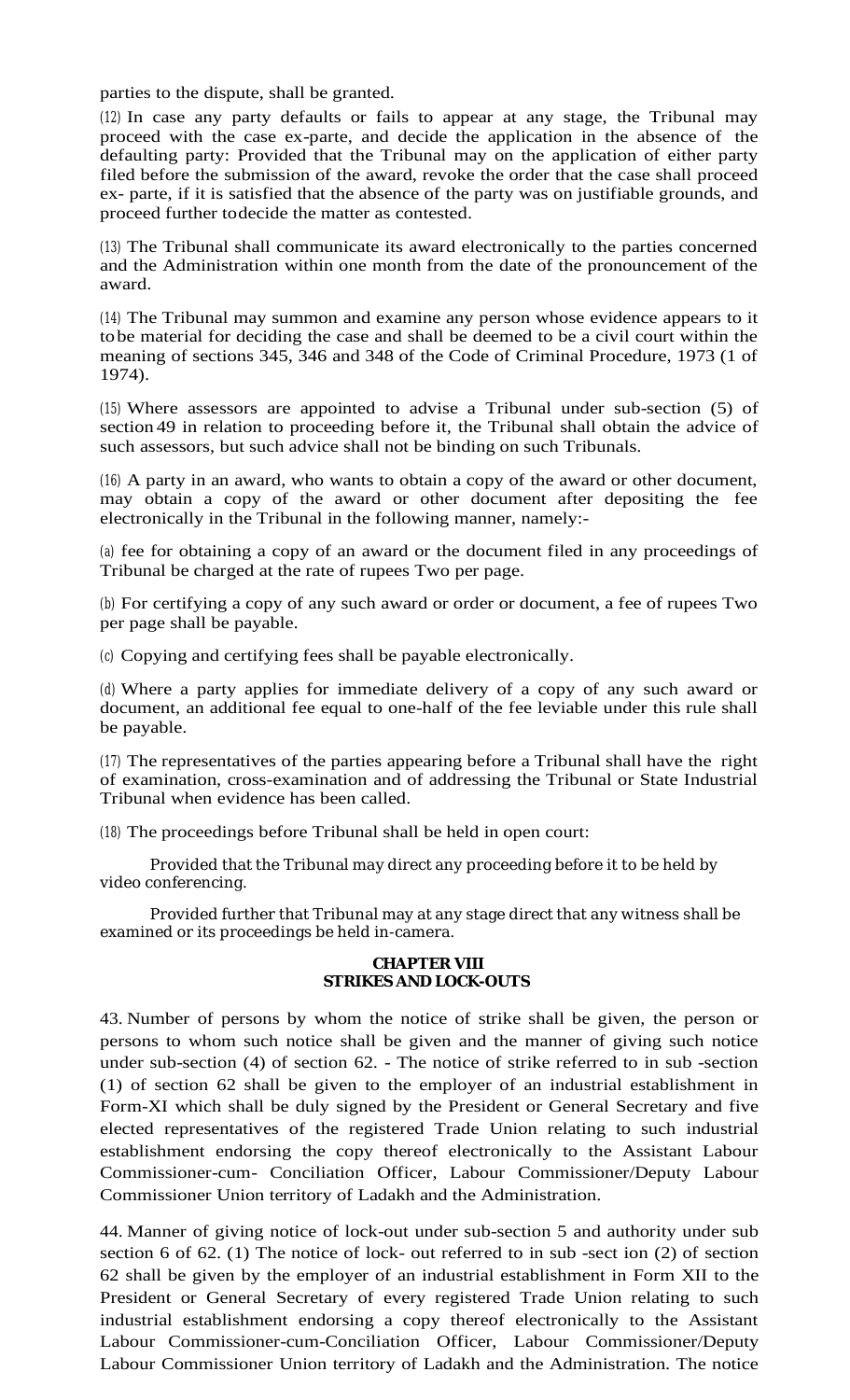parties to the dispute, shall be granted.

(12) In case any party defaults or fails to appear at any stage, the Tribunal may proceed with the case ex-parte, and decide the application in the absence of the defaulting party: Provided that the Tribunal may on the application of either party filed before the submission of the award, revoke the order that the case shall proceed ex- parte, if it is satisfied that the absence of the party was on justifiable grounds, and proceed further todecide the matter as contested.

(13) The Tribunal shall communicate its award electronically to the parties concerned and the Administration within one month from the date of the pronouncement of the award.

(14) The Tribunal may summon and examine any person whose evidence appears to it tobe material for deciding the case and shall be deemed to be a civil court within the meaning of sections 345, 346 and 348 of the Code of Criminal Procedure, 1973 (1 of 1974).

(15) Where assessors are appointed to advise a Tribunal under sub-section (5) of section 49 in relation to proceeding before it, the Tribunal shall obtain the advice of such assessors, but such advice shall not be binding on such Tribunals.

(16) A party in an award, who wants to obtain a copy of the award or other document, may obtain a copy of the award or other document after depositing the fee electronically in the Tribunal in the following manner, namely:-

(a) fee for obtaining a copy of an award or the document filed in any proceedings of Tribunal be charged at the rate of rupees Two per page.

(b) For certifying a copy of any such award or order or document, a fee of rupees Two per page shall be payable.

(c) Copying and certifying fees shall be payable electronically.

(d) Where a party applies for immediate delivery of a copy of any such award or document, an additional fee equal to one-half of the fee leviable under this rule shall be payable.

(17) The representatives of the parties appearing before a Tribunal shall have the right of examination, cross-examination and of addressing the Tribunal or State Industrial Tribunal when evidence has been called.

(18) The proceedings before Tribunal shall be held in open court:

Provided that the Tribunal may direct any proceeding before it to be held by video conferencing.

Provided further that Tribunal may at any stage direct that any witness shall be examined or its proceedings be held in-camera.

### **CHAPTER VIII STRIKES AND LOCK-OUTS**

43. Number of persons by whom the notice of strike shall be given, the person or persons to whom such notice shall be given and the manner of giving such notice under sub-section (4) of section 62. - The notice of strike referred to in sub -section (1) of section 62 shall be given to the employer of an industrial establishment in Form-XI which shall be duly signed by the President or General Secretary and five elected representatives of the registered Trade Union relating to such industrial establishment endorsing the copy thereof electronically to the Assistant Labour Commissioner-cum- Conciliation Officer, Labour Commissioner/Deputy Labour Commissioner Union territory of Ladakh and the Administration.

44. Manner of giving notice of lock-out under sub-section 5 and authority under sub section 6 of 62. (1) The notice of lock- out referred to in sub -sect ion (2) of section 62 shall be given by the employer of an industrial establishment in Form XII to the President or General Secretary of every registered Trade Union relating to such industrial establishment endorsing a copy thereof electronically to the Assistant Labour Commissioner-cum-Conciliation Officer, Labour Commissioner/Deputy Labour Commissioner Union territory of Ladakh and the Administration. The notice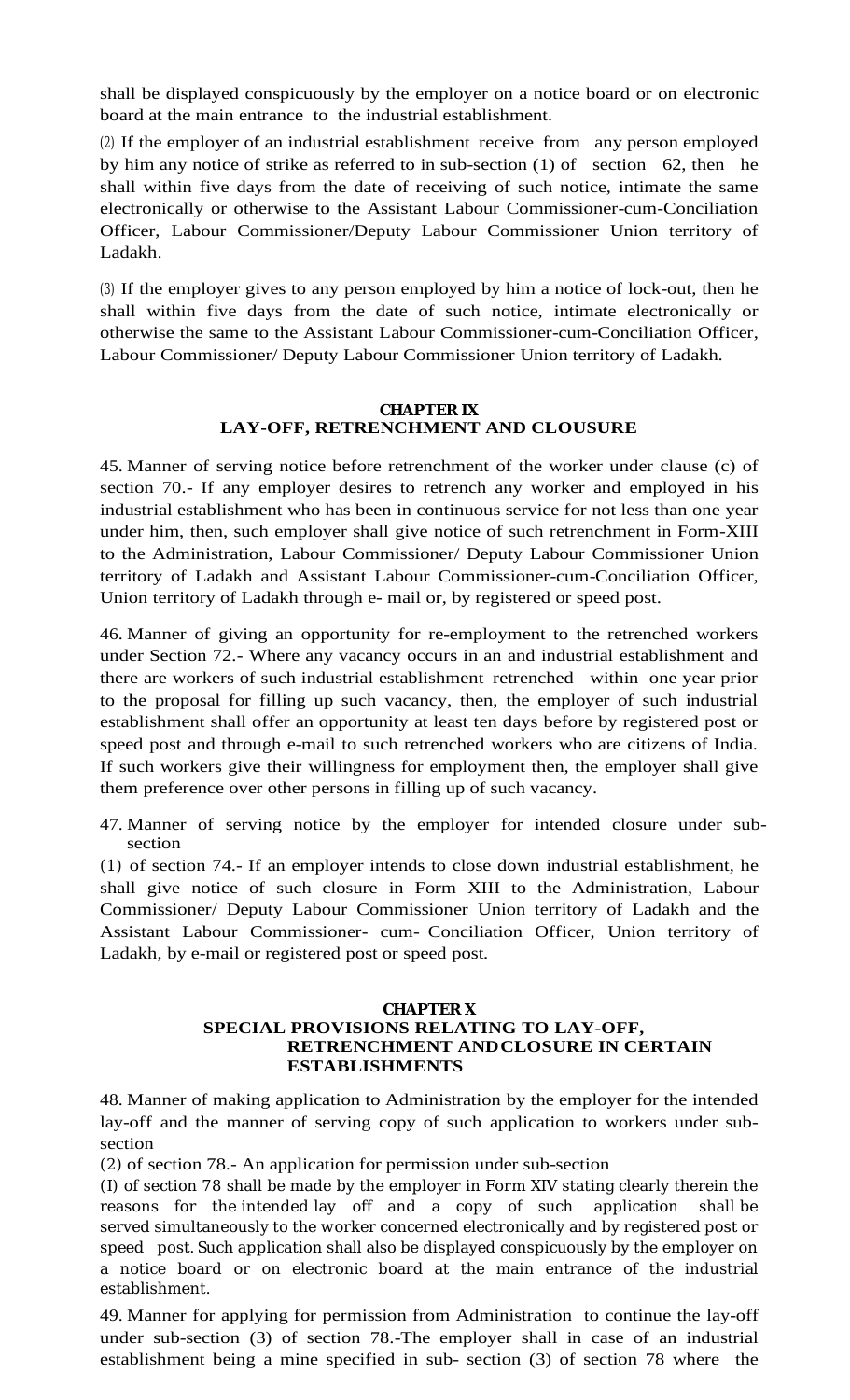shall be displayed conspicuously by the employer on a notice board or on electronic board at the main entrance to the industrial establishment.

(2) If the employer of an industrial establishment receive from any person employed by him any notice of strike as referred to in sub-section (1) of section 62, then he shall within five days from the date of receiving of such notice, intimate the same electronically or otherwise to the Assistant Labour Commissioner-cum-Conciliation Officer, Labour Commissioner/Deputy Labour Commissioner Union territory of Ladakh.

(3) If the employer gives to any person employed by him a notice of lock-out, then he shall within five days from the date of such notice, intimate electronically or otherwise the same to the Assistant Labour Commissioner-cum-Conciliation Officer, Labour Commissioner/ Deputy Labour Commissioner Union territory of Ladakh.

### **CHAPTER IX LAY-OFF, RETRENCHMENT AND CLOUSURE**

45. Manner of serving notice before retrenchment of the worker under clause (c) of section 70.- If any employer desires to retrench any worker and employed in his industrial establishment who has been in continuous service for not less than one year under him, then, such employer shall give notice of such retrenchment in Form-XIII to the Administration, Labour Commissioner/ Deputy Labour Commissioner Union territory of Ladakh and Assistant Labour Commissioner-cum-Conciliation Officer, Union territory of Ladakh through e- mail or, by registered or speed post.

46. Manner of giving an opportunity for re-employment to the retrenched workers under Section 72.- Where any vacancy occurs in an and industrial establishment and there are workers of such industrial establishment retrenched within one year prior to the proposal for filling up such vacancy, then, the employer of such industrial establishment shall offer an opportunity at least ten days before by registered post or speed post and through e-mail to such retrenched workers who are citizens of India. If such workers give their willingness for employment then, the employer shall give them preference over other persons in filling up of such vacancy.

47. Manner of serving notice by the employer for intended closure under subsection

(1) of section 74.- If an employer intends to close down industrial establishment, he shall give notice of such closure in Form XIII to the Administration, Labour Commissioner/ Deputy Labour Commissioner Union territory of Ladakh and the Assistant Labour Commissioner- cum- Conciliation Officer, Union territory of Ladakh, by e-mail or registered post or speed post.

## **CHAPTER X SPECIAL PROVISIONS RELATING TO LAY-OFF, RETRENCHMENT ANDCLOSURE IN CERTAIN ESTABLISHMENTS**

48. Manner of making application to Administration by the employer for the intended lay-off and the manner of serving copy of such application to workers under subsection

(2) of section 78.- An application for permission under sub-section

(I) of section 78 shall be made by the employer in Form XIV stating clearly therein the reasons for the intended lay off and a copy of such application shall be served simultaneously to the worker concerned electronically and by registered post or speed post. Such application shall also be displayed conspicuously by the employer on a notice board or on electronic board at the main entrance of the industrial establishment.

49. Manner for applying for permission from Administration to continue the lay-off under sub-section (3) of section 78.-The employer shall in case of an industrial establishment being a mine specified in sub- section (3) of section 78 where the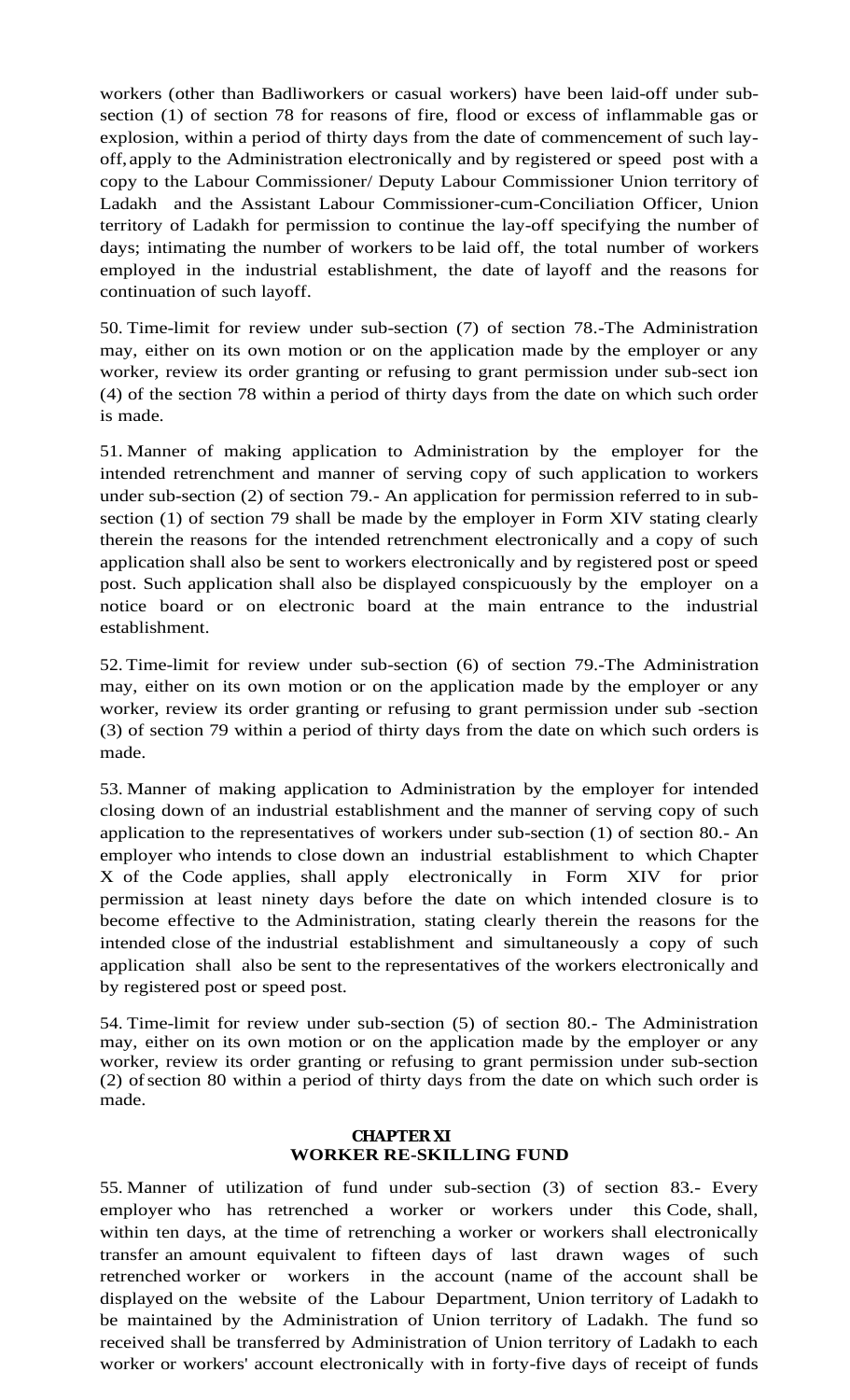workers (other than Badliworkers or casual workers) have been laid-off under subsection (1) of section 78 for reasons of fire, flood or excess of inflammable gas or explosion, within a period of thirty days from the date of commencement of such layoff, apply to the Administration electronically and by registered or speed post with a copy to the Labour Commissioner/ Deputy Labour Commissioner Union territory of Ladakh and the Assistant Labour Commissioner-cum-Conciliation Officer, Union territory of Ladakh for permission to continue the lay-off specifying the number of days; intimating the number of workers to be laid off, the total number of workers employed in the industrial establishment, the date of layoff and the reasons for continuation of such layoff.

50. Time-limit for review under sub-section (7) of section 78.-The Administration may, either on its own motion or on the application made by the employer or any worker, review its order granting or refusing to grant permission under sub-sect ion (4) of the section 78 within a period of thirty days from the date on which such order is made.

51. Manner of making application to Administration by the employer for the intended retrenchment and manner of serving copy of such application to workers under sub-section (2) of section 79.- An application for permission referred to in subsection (1) of section 79 shall be made by the employer in Form XIV stating clearly therein the reasons for the intended retrenchment electronically and a copy of such application shall also be sent to workers electronically and by registered post or speed post. Such application shall also be displayed conspicuously by the employer on a notice board or on electronic board at the main entrance to the industrial establishment.

52. Time-limit for review under sub-section (6) of section 79.-The Administration may, either on its own motion or on the application made by the employer or any worker, review its order granting or refusing to grant permission under sub -section (3) of section 79 within a period of thirty days from the date on which such orders is made.

53. Manner of making application to Administration by the employer for intended closing down of an industrial establishment and the manner of serving copy of such application to the representatives of workers under sub-section (1) of section 80.- An employer who intends to close down an industrial establishment to which Chapter X of the Code applies, shall apply electronically in Form XIV for prior permission at least ninety days before the date on which intended closure is to become effective to the Administration, stating clearly therein the reasons for the intended close of the industrial establishment and simultaneously a copy of such application shall also be sent to the representatives of the workers electronically and by registered post or speed post.

54. Time-limit for review under sub-section (5) of section 80.- The Administration may, either on its own motion or on the application made by the employer or any worker, review its order granting or refusing to grant permission under sub-section (2) ofsection 80 within a period of thirty days from the date on which such order is made.

### **CHAPTER XI WORKER RE-SKILLING FUND**

55. Manner of utilization of fund under sub-section (3) of section 83.- Every employer who has retrenched a worker or workers under this Code, shall, within ten days, at the time of retrenching a worker or workers shall electronically transfer an amount equivalent to fifteen days of last drawn wages of such retrenched worker or workers in the account (name of the account shall be displayed on the website of the Labour Department, Union territory of Ladakh to be maintained by the Administration of Union territory of Ladakh. The fund so received shall be transferred by Administration of Union territory of Ladakh to each worker or workers' account electronically with in forty-five days of receipt of funds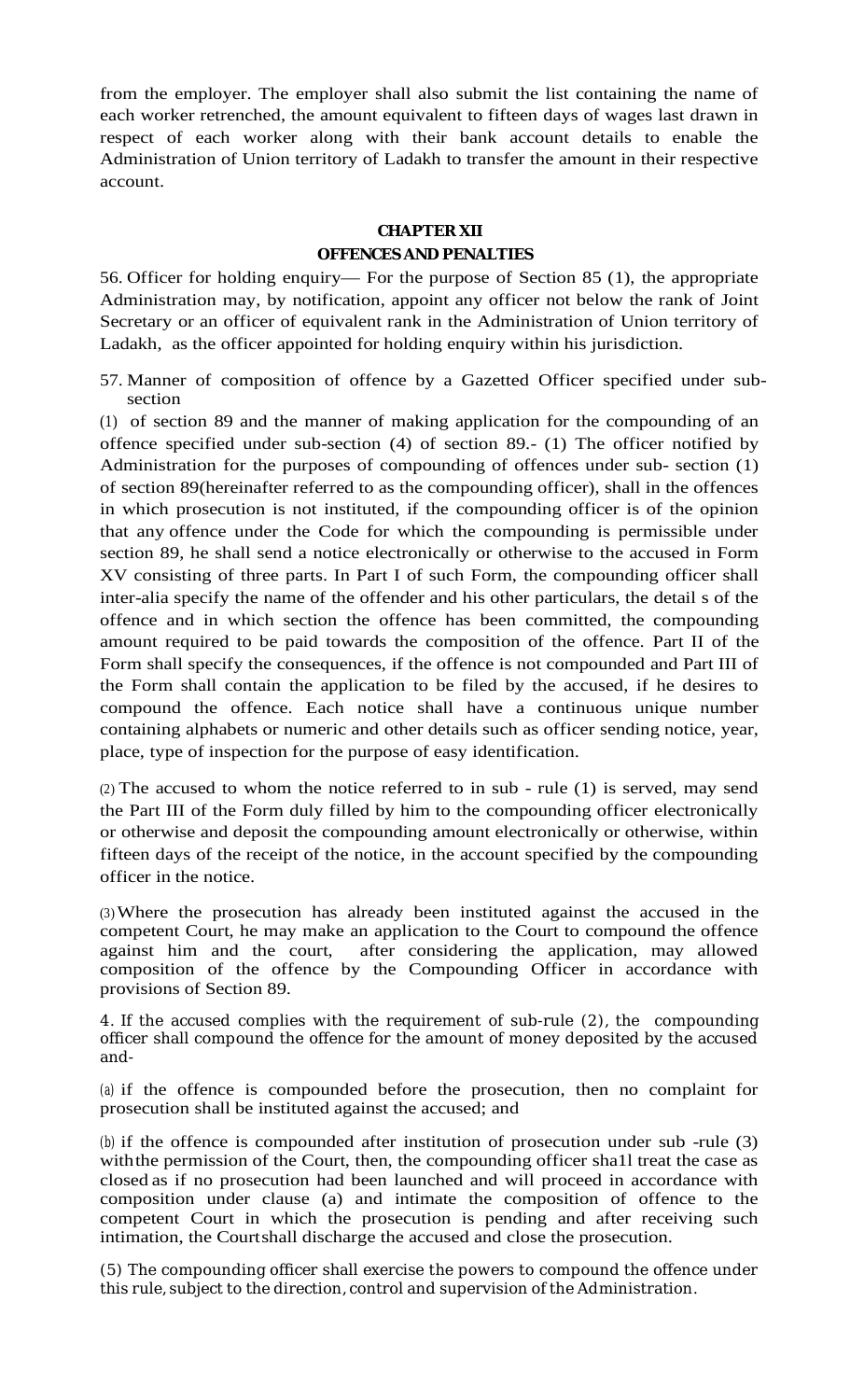from the employer. The employer shall also submit the list containing the name of each worker retrenched, the amount equivalent to fifteen days of wages last drawn in respect of each worker along with their bank account details to enable the Administration of Union territory of Ladakh to transfer the amount in their respective account.

### **CHAPTER XII**

### **OFFENCES AND PENALTIES**

56. Officer for holding enquiry— For the purpose of Section 85 (1), the appropriate Administration may, by notification, appoint any officer not below the rank of Joint Secretary or an officer of equivalent rank in the Administration of Union territory of Ladakh, as the officer appointed for holding enquiry within his jurisdiction.

57. Manner of composition of offence by a Gazetted Officer specified under subsection

(1) of section 89 and the manner of making application for the compounding of an offence specified under sub-section (4) of section 89.- (1) The officer notified by Administration for the purposes of compounding of offences under sub- section (1) of section 89(hereinafter referred to as the compounding officer), shall in the offences in which prosecution is not instituted, if the compounding officer is of the opinion that any offence under the Code for which the compounding is permissible under section 89, he shall send a notice electronically or otherwise to the accused in Form XV consisting of three parts. In Part I of such Form, the compounding officer shall inter-alia specify the name of the offender and his other particulars, the detail s of the offence and in which section the offence has been committed, the compounding amount required to be paid towards the composition of the offence. Part II of the Form shall specify the consequences, if the offence is not compounded and Part III of the Form shall contain the application to be filed by the accused, if he desires to compound the offence. Each notice shall have a continuous unique number containing alphabets or numeric and other details such as officer sending notice, year, place, type of inspection for the purpose of easy identification.

(2) The accused to whom the notice referred to in sub - rule (1) is served, may send the Part III of the Form duly filled by him to the compounding officer electronically or otherwise and deposit the compounding amount electronically or otherwise, within fifteen days of the receipt of the notice, in the account specified by the compounding officer in the notice.

(3)Where the prosecution has already been instituted against the accused in the competent Court, he may make an application to the Court to compound the offence against him and the court, after considering the application, may allowed composition of the offence by the Compounding Officer in accordance with provisions of Section 89.

4. If the accused complies with the requirement of sub-rule (2), the compounding officer shall compound the offence for the amount of money deposited by the accused and-

(a) if the offence is compounded before the prosecution, then no complaint for prosecution shall be instituted against the accused; and

(b) if the offence is compounded after institution of prosecution under sub -rule (3) with the permission of the Court, then, the compounding officer shall treat the case as closed as if no prosecution had been launched and will proceed in accordance with composition under clause (a) and intimate the composition of offence to the competent Court in which the prosecution is pending and after receiving such intimation, the Courtshall discharge the accused and close the prosecution.

(5) The compounding officer shall exercise the powers to compound the offence under this rule, subject to the direction, control and supervision of the Administration.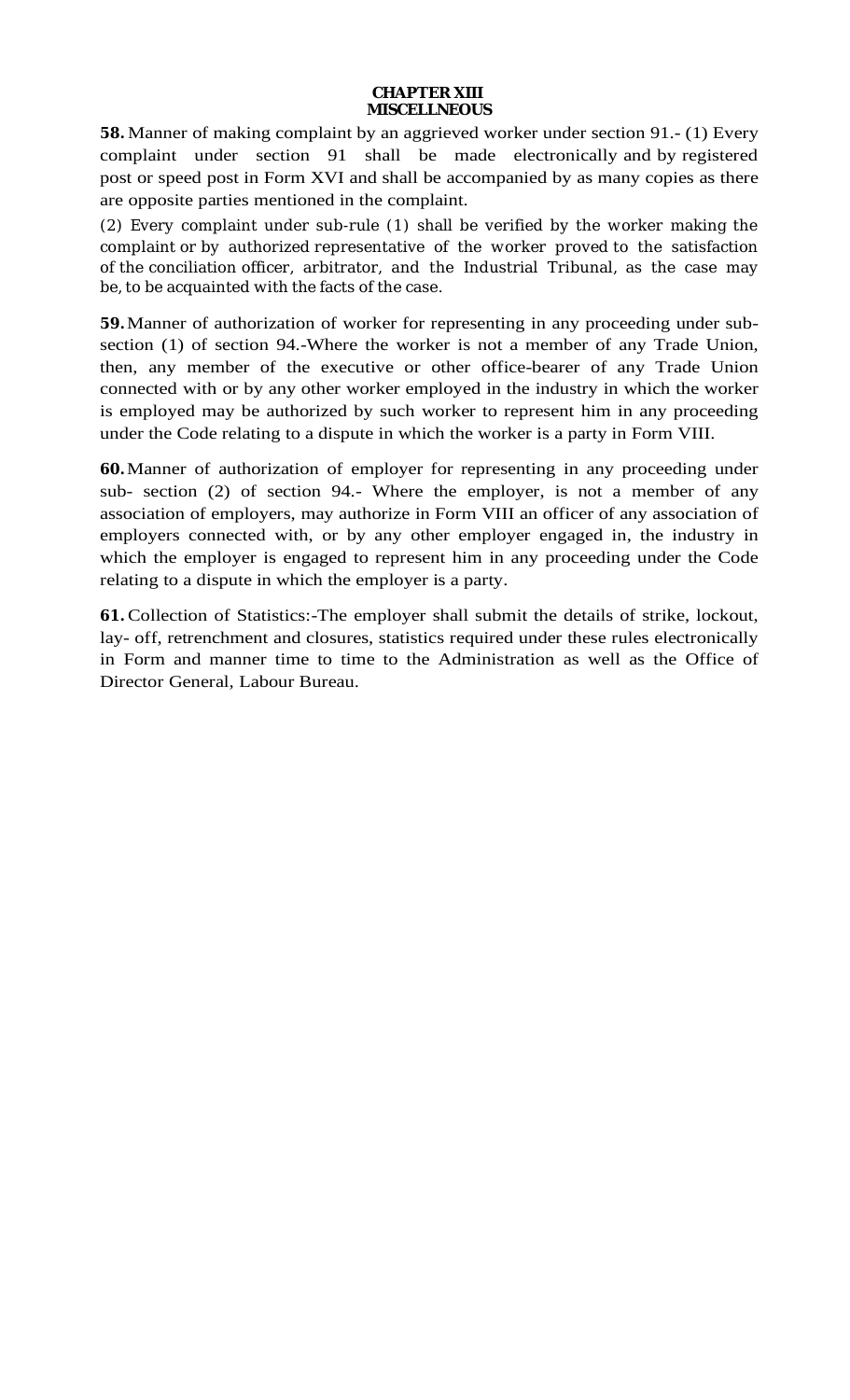**58.** Manner of making complaint by an aggrieved worker under section 91.- (1) Every complaint under section 91 shall be made electronically and by registered post or speed post in Form XVI and shall be accompanied by as many copies as there are opposite parties mentioned in the complaint.

(2) Every complaint under sub-rule (1) shall be verified by the worker making the complaint or by authorized representative of the worker proved to the satisfaction of the conciliation officer, arbitrator, and the Industrial Tribunal, as the case may be, to be acquainted with the facts of the case.

**59.** Manner of authorization of worker for representing in any proceeding under subsection (1) of section 94.-Where the worker is not a member of any Trade Union, then, any member of the executive or other office-bearer of any Trade Union connected with or by any other worker employed in the industry in which the worker is employed may be authorized by such worker to represent him in any proceeding under the Code relating to a dispute in which the worker is a party in Form VIII.

**60.** Manner of authorization of employer for representing in any proceeding under sub- section (2) of section 94.- Where the employer, is not a member of any association of employers, may authorize in Form VIII an officer of any association of employers connected with, or by any other employer engaged in, the industry in which the employer is engaged to represent him in any proceeding under the Code relating to a dispute in which the employer is a party.

**61.** Collection of Statistics:-The employer shall submit the details of strike, lockout, lay- off, retrenchment and closures, statistics required under these rules electronically in Form and manner time to time to the Administration as well as the Office of Director General, Labour Bureau.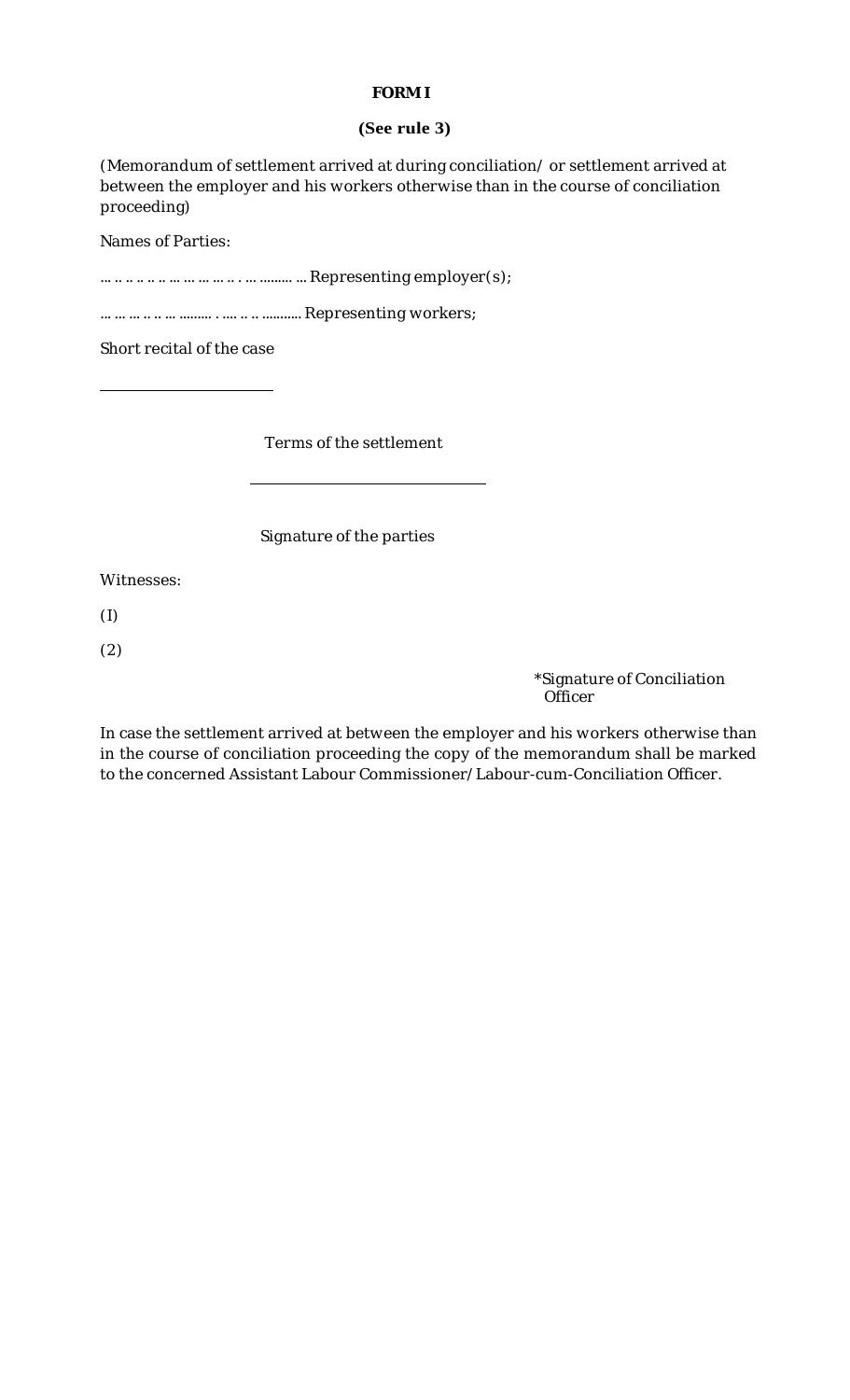# **FORM I**

## **(See rule 3)**

(Memorandum of settlement arrived at during conciliation/ or settlement arrived at between the employer and his workers otherwise than in the course of conciliation proceeding)

Names of Parties:

... .. .. .. .. .. ... ... ... ... .. . ... ......... ... Representing employer(s);

... ... ... .. .. ... ......... . .... .. .. ........... Representing workers;

Short recital of the case

Terms of the settlement

Signature of the parties

Witnesses:

(I)

(2)

\*Signature of Conciliation **Officer** 

In case the settlement arrived at between the employer and his workers otherwise than in the course of conciliation proceeding the copy of the memorandum shall be marked to the concerned Assistant Labour Commissioner/Labour-cum-Conciliation Officer.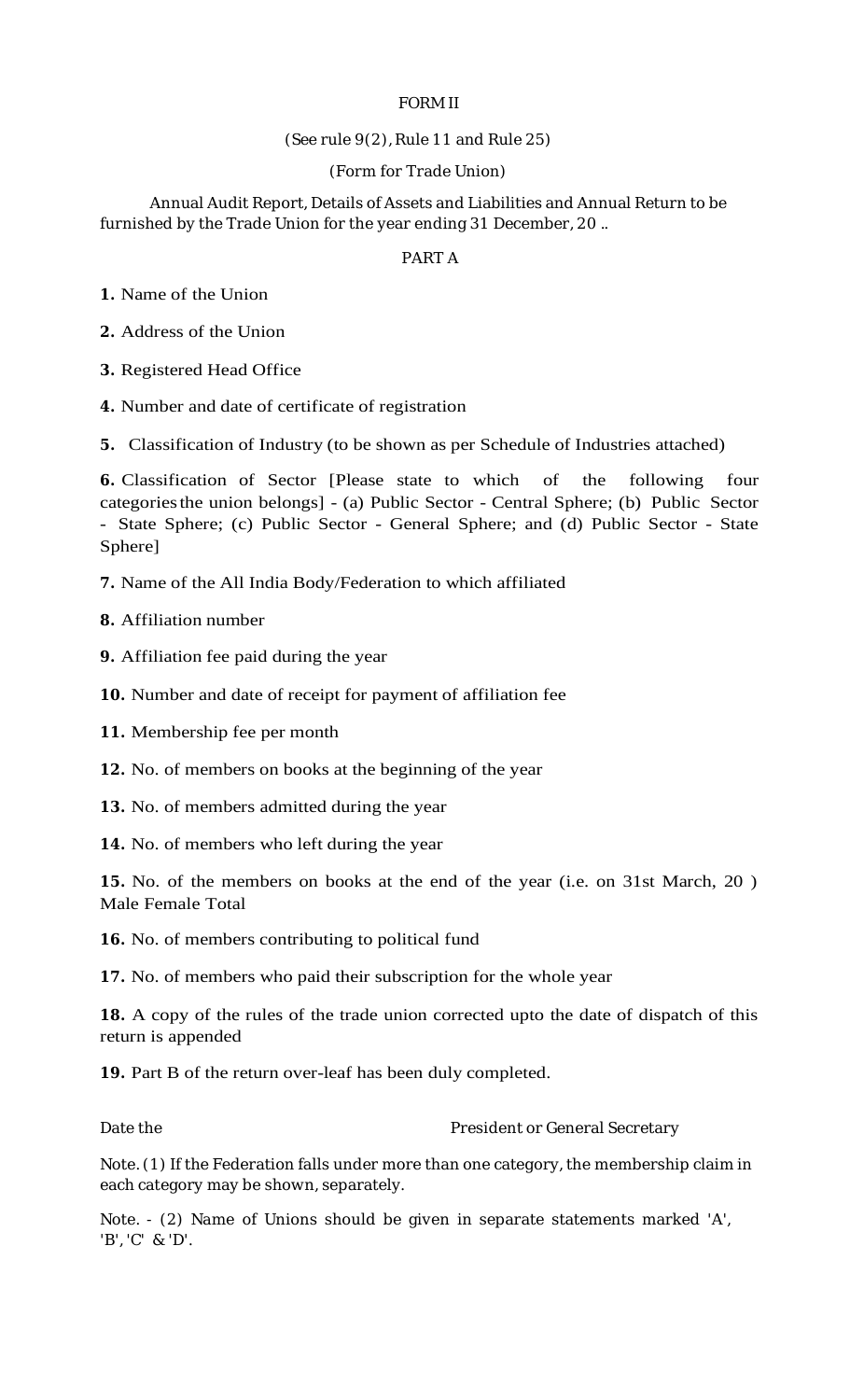# FORM II

### (See rule 9(2), Rule 11 and Rule 25)

### (Form for Trade Union)

Annual Audit Report, Details of Assets and Liabilities and Annual Return to be furnished by the Trade Union for the year ending 31 December, 20 ..

### PART A

*1.* Name of the Union

*2.* Address of the Union

*3.* Registered Head Office

*4.* Number and date of certificate of registration

*5.* Classification of Industry (to be shown as per Schedule of Industries attached)

*6.* Classification of Sector [Please state to which of the following four categoriesthe union belongs] - (a) Public Sector - Central Sphere; (b) Public Sector - State Sphere; (c) Public Sector - General Sphere; and (d) Public Sector - State Sphere]

*7.* Name of the All India Body/Federation to which affiliated

*8.* Affiliation number

*9.* Affiliation fee paid during the year

*10.* Number and date of receipt for payment of affiliation fee

*11.* Membership fee per month

*12.* No. of members on books at the beginning of the year

*13.* No. of members admitted during the year

*14.* No. of members who left during the year

*15.* No. of the members on books at the end of the year (i.e. on 31st March, 20 ) Male Female Total

*16.* No. of members contributing to political fund

*17.* No. of members who paid their subscription for the whole year

*18.* A copy of the rules of the trade union corrected upto the date of dispatch of this return is appended

*19.* Part B of the return over-leaf has been duly completed.

Date the **President or General Secretary** 

Note. (1) If the Federation falls under more than one category, the membership claim in each category may be shown, separately.

Note. - (2) Name of Unions should be given in separate statements marked 'A', 'B', 'C' & 'D'.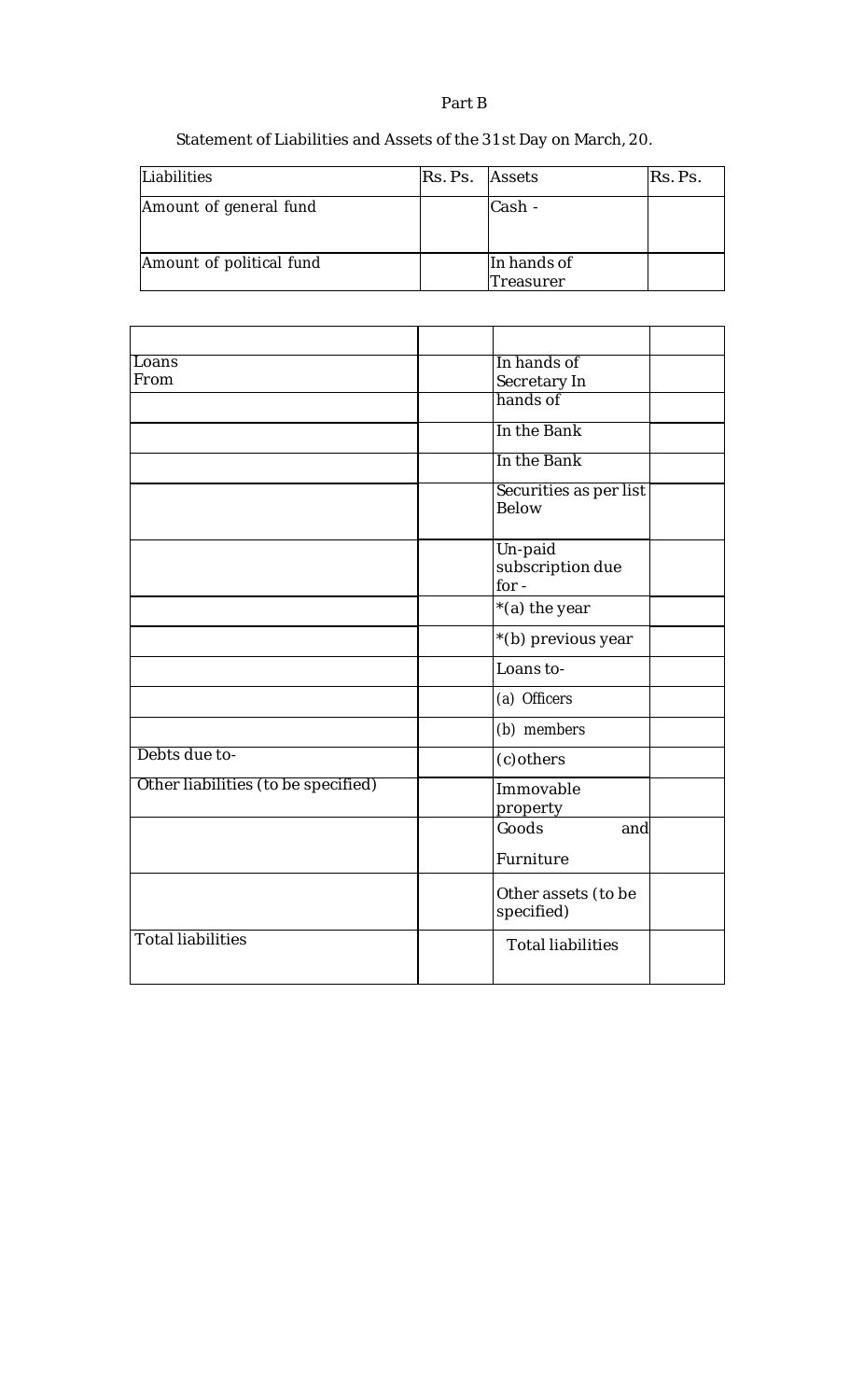Part B

Statement of Liabilities and Assets of the 31st Day on March, 20.

| Liabilities              | Rs. Ps. Assets |                          | Rs. Ps. |
|--------------------------|----------------|--------------------------|---------|
| Amount of general fund   |                | Cash -                   |         |
| Amount of political fund |                | In hands of<br>Treasurer |         |

| Loans                               | In hands of                            |
|-------------------------------------|----------------------------------------|
| From                                | Secretary In                           |
|                                     | hands of                               |
|                                     | In the Bank                            |
|                                     | In the Bank                            |
|                                     | Securities as per list<br>Below        |
|                                     | Un-paid<br>subscription due<br>$for -$ |
|                                     | $*(a)$ the year                        |
|                                     | *(b) previous year                     |
|                                     | Loans to-                              |
|                                     | (a) Officers                           |
|                                     | (b) members                            |
| Debts due to-                       | (c) others                             |
| Other liabilities (to be specified) | Immovable<br>property                  |
|                                     | Goods<br>and                           |
|                                     | Furniture                              |
|                                     | Other assets (to be<br>specified)      |
| <b>Total liabilities</b>            | <b>Total liabilities</b>               |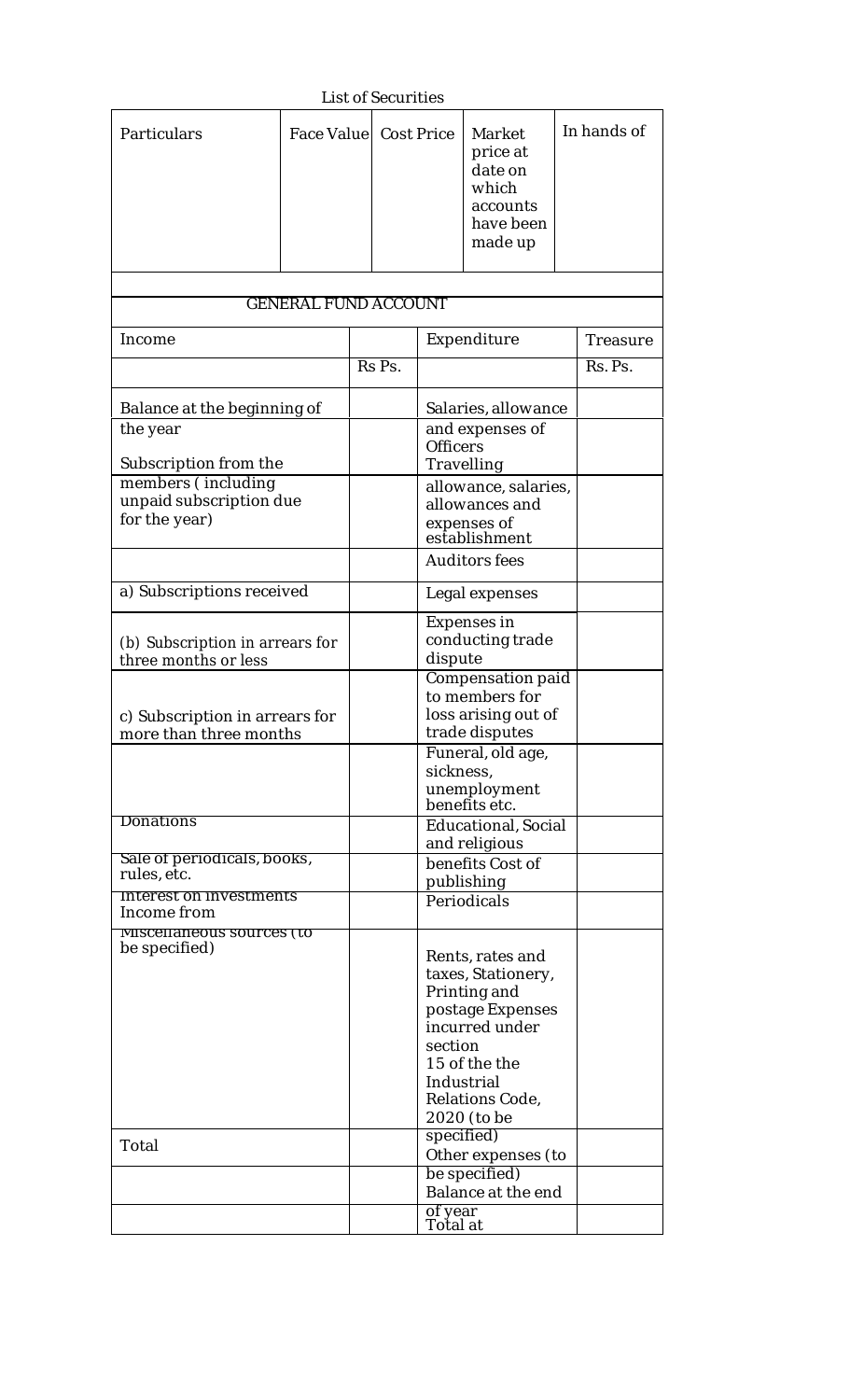|                                                                |                             |                        | <b>List of Securities</b> |                                                                                                                                                                          |                                                                            |  |             |
|----------------------------------------------------------------|-----------------------------|------------------------|---------------------------|--------------------------------------------------------------------------------------------------------------------------------------------------------------------------|----------------------------------------------------------------------------|--|-------------|
| Particulars                                                    |                             | Face Valuel Cost Price |                           |                                                                                                                                                                          | Market<br>price at<br>date on<br>which<br>accounts<br>have been<br>made up |  | In hands of |
|                                                                | <b>GENERAL FUND ACCOUNT</b> |                        |                           |                                                                                                                                                                          |                                                                            |  |             |
|                                                                |                             |                        |                           |                                                                                                                                                                          |                                                                            |  |             |
| Income                                                         |                             |                        |                           |                                                                                                                                                                          | Expenditure                                                                |  | Treasure    |
|                                                                |                             |                        | Rs Ps.                    |                                                                                                                                                                          |                                                                            |  | Rs. Ps.     |
| Balance at the beginning of                                    |                             |                        |                           |                                                                                                                                                                          | Salaries, allowance                                                        |  |             |
| the year<br>Subscription from the                              |                             |                        |                           | <b>Officers</b>                                                                                                                                                          | and expenses of<br>Travelling                                              |  |             |
| members (including<br>unpaid subscription due<br>for the year) |                             |                        |                           |                                                                                                                                                                          | allowance, salaries,<br>allowances and<br>expenses of<br>establishment     |  |             |
|                                                                |                             |                        |                           | <b>Auditors fees</b>                                                                                                                                                     |                                                                            |  |             |
| a) Subscriptions received                                      |                             |                        |                           | Legal expenses                                                                                                                                                           |                                                                            |  |             |
| (b) Subscription in arrears for<br>three months or less        |                             |                        |                           | dispute                                                                                                                                                                  | <b>Expenses in</b><br>conducting trade                                     |  |             |
| c) Subscription in arrears for<br>more than three months       |                             |                        |                           | <b>Compensation paid</b><br>to members for<br>loss arising out of<br>trade disputes                                                                                      |                                                                            |  |             |
|                                                                |                             |                        |                           | Funeral, old age,<br>sickness,<br>unemployment<br>benefits etc.                                                                                                          |                                                                            |  |             |
| Donations                                                      |                             |                        |                           | <b>Educational, Social</b><br>and religious                                                                                                                              |                                                                            |  |             |
| Sale of periodicals, books,<br>rules, etc.                     |                             |                        |                           | benefits Cost of<br>publishing                                                                                                                                           |                                                                            |  |             |
| Interest on investments<br>Income from                         |                             |                        |                           | Periodicals                                                                                                                                                              |                                                                            |  |             |
| <b>MISCEHANEOUS SOUFCES (TO</b><br>be specified)               |                             |                        |                           | Rents, rates and<br>taxes, Stationery,<br>Printing and<br>postage Expenses<br>incurred under<br>section<br>15 of the the<br>Industrial<br>Relations Code,<br>2020 (to be |                                                                            |  |             |
| Total                                                          |                             |                        |                           | specified)                                                                                                                                                               | Other expenses (to                                                         |  |             |
|                                                                |                             |                        |                           |                                                                                                                                                                          | be specified)<br>Balance at the end                                        |  |             |
|                                                                |                             |                        |                           | of year<br>Total at                                                                                                                                                      |                                                                            |  |             |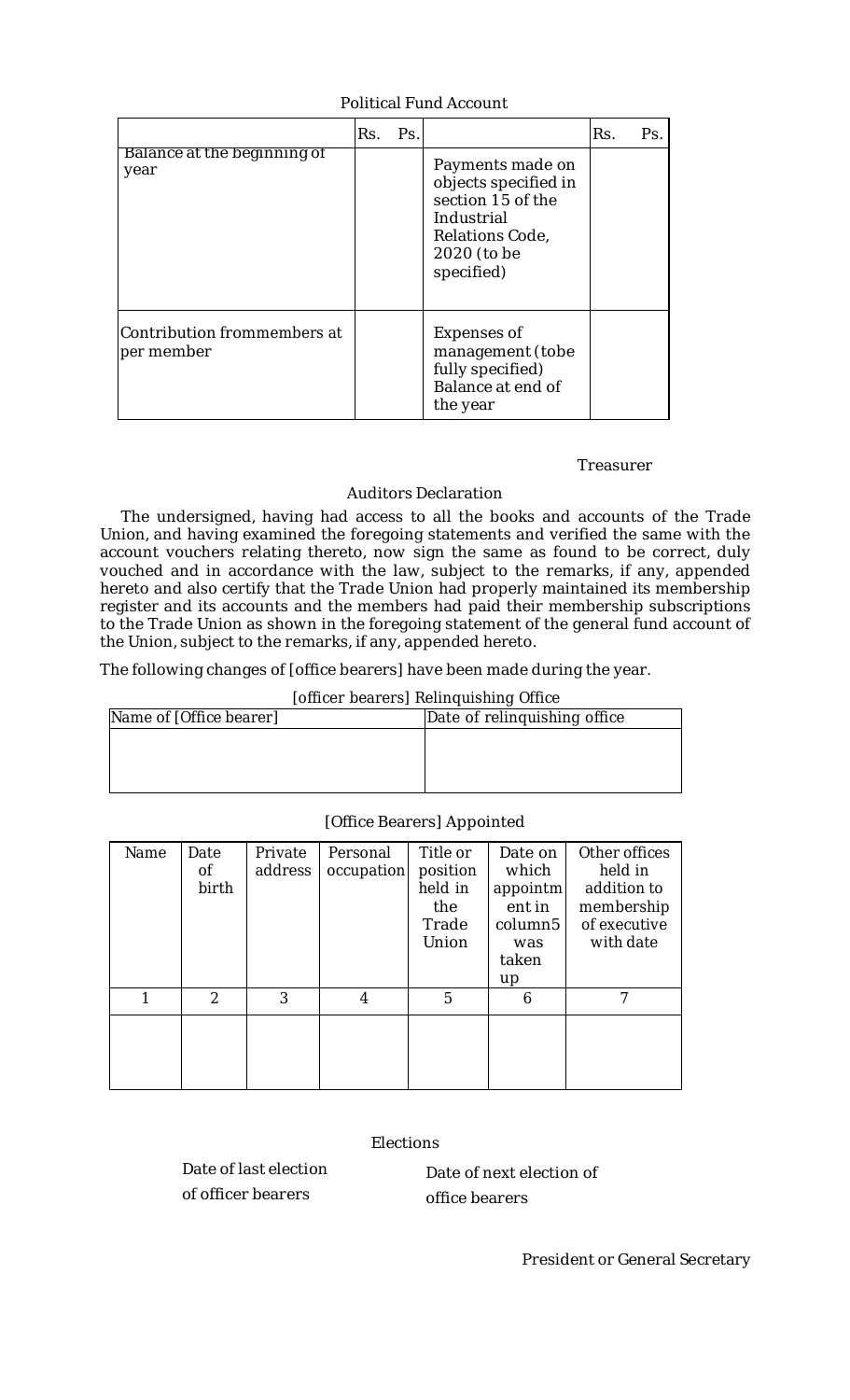## Political Fund Account

|                                           | Rs. | Ps. |                                                                                                                             | Rs. | Ps. |
|-------------------------------------------|-----|-----|-----------------------------------------------------------------------------------------------------------------------------|-----|-----|
| Balance at the beginning of<br>year       |     |     | Payments made on<br>objects specified in<br>section 15 of the<br>Industrial<br>Relations Code,<br>2020 (to be<br>specified) |     |     |
| Contribution frommembers at<br>per member |     |     | <b>Expenses of</b><br>management (tobe<br>fully specified)<br>Balance at end of<br>the year                                 |     |     |

### Treasurer

# Auditors Declaration

The undersigned, having had access to all the books and accounts of the Trade Union, and having examined the foregoing statements and verified the same with the account vouchers relating thereto, now sign the same as found to be correct, duly vouched and in accordance with the law, subject to the remarks, if any, appended hereto and also certify that the Trade Union had properly maintained its membership register and its accounts and the members had paid their membership subscriptions to the Trade Union as shown in the foregoing statement of the general fund account of the Union, subject to the remarks, if any, appended hereto.

The following changes of [office bearers] have been made during the year.

# [officer bearers] Relinquishing Office

| Name of [Office bearer] | Date of relinguishing office |
|-------------------------|------------------------------|
|                         |                              |
|                         |                              |
|                         |                              |
|                         |                              |

# [Office Bearers] Appointed

| Name | Date<br>οf<br>birth | Private<br>address | Personal<br>occupation | Title or<br>position<br>held in<br>the<br>Trade<br>Union | Date on<br>which<br>appointm<br>ent in<br>column <sub>5</sub><br>was<br>taken<br>up | Other offices<br>held in<br>addition to<br>membership<br>of executive<br>with date |
|------|---------------------|--------------------|------------------------|----------------------------------------------------------|-------------------------------------------------------------------------------------|------------------------------------------------------------------------------------|
|      | $\mathcal{P}$       | 3                  | 4                      | 5                                                        | 6                                                                                   |                                                                                    |
|      |                     |                    |                        |                                                          |                                                                                     |                                                                                    |

# **Elections**

Date of last election of officer bearers

Date of next election of office bearers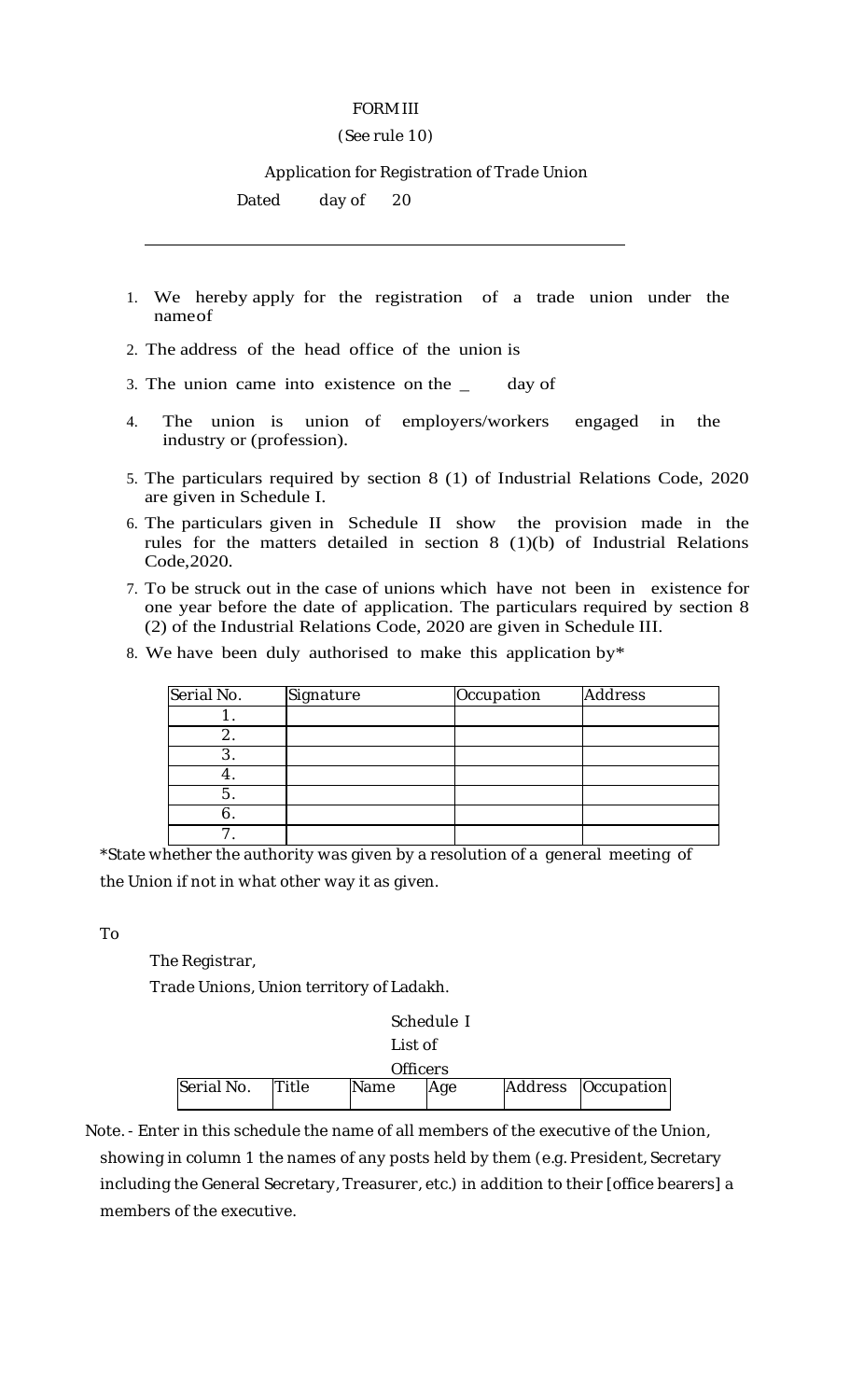## FORM III

### (See rule 10)

Application for Registration of Trade Union

Dated day of 20

- 1. We hereby apply for the registration of a trade union under the nameof
- 2. The address of the head office of the union is
- 3. The union came into existence on the \_ day of
- 4. The union is union of employers/workers engaged in the industry or (profession).
- 5. The particulars required by section 8 (1) of Industrial Relations Code, 2020 are given in Schedule I.
- 6. The particulars given in Schedule II show the provision made in the rules for the matters detailed in section 8 (1)(b) of Industrial Relations Code,2020.
- 7. To be struck out in the case of unions which have not been in existence for one year before the date of application. The particulars required by section 8 (2) of the Industrial Relations Code, 2020 are given in Schedule III.
- 8. We have been duly authorised to make this application by\*

| Serial No. | Signature | Occupation | <b>Address</b> |
|------------|-----------|------------|----------------|
|            |           |            |                |
|            |           |            |                |
|            |           |            |                |
|            |           |            |                |
| 5.         |           |            |                |
|            |           |            |                |
|            |           |            |                |

\*State whether the authority was given by a resolution of a general meeting of the Union if not in what other way it as given.

To

The Registrar,

Trade Unions, Union territory of Ladakh.

|            | Schedule I   |      |     |  |                      |  |  |
|------------|--------------|------|-----|--|----------------------|--|--|
|            | List of      |      |     |  |                      |  |  |
|            |              |      |     |  |                      |  |  |
| Serial No. | <b>Title</b> | Name | Age |  | Address   Occupation |  |  |

Note. - Enter in this schedule the name of all members of the executive of the Union, showing in column 1 the names of any posts held by them (e.g. President, Secretary including the General Secretary, Treasurer, etc.) in addition to their [office bearers] a members of the executive.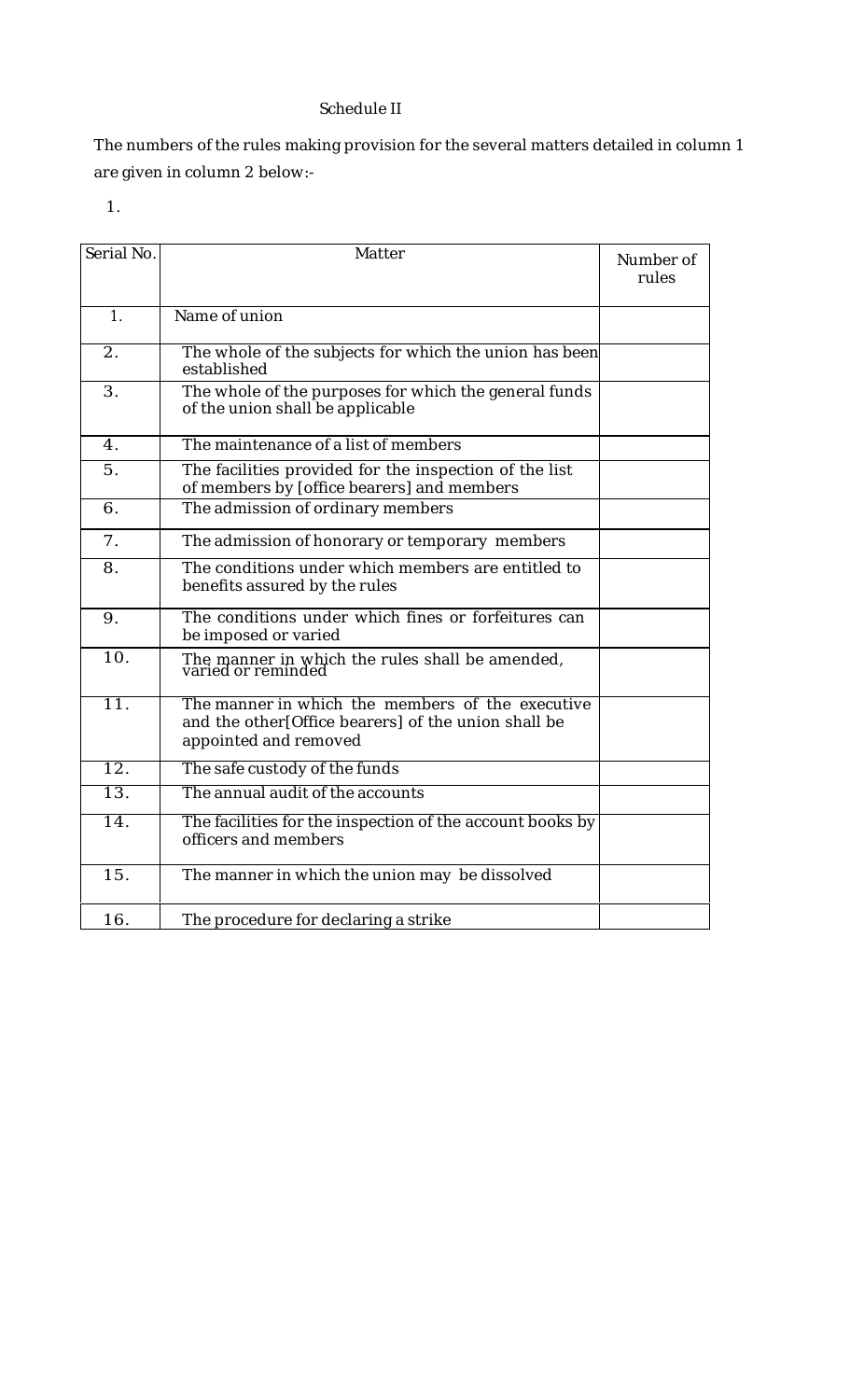# Schedule II

The numbers of the rules making provision for the several matters detailed in column 1 are given in column 2 below:-

1.

| Serial No.        | Matter                                                                                                                           | Number of<br>rules |
|-------------------|----------------------------------------------------------------------------------------------------------------------------------|--------------------|
| 1.                | Name of union                                                                                                                    |                    |
| 2.                | The whole of the subjects for which the union has been<br>established                                                            |                    |
| 3.                | The whole of the purposes for which the general funds<br>of the union shall be applicable                                        |                    |
| $\mathbf{4}$ .    | The maintenance of a list of members                                                                                             |                    |
| 5.                | The facilities provided for the inspection of the list<br>of members by [office bearers] and members                             |                    |
| 6.                | The admission of ordinary members                                                                                                |                    |
| 7 <sub>1</sub>    | The admission of honorary or temporary members                                                                                   |                    |
| 8.                | The conditions under which members are entitled to<br>benefits assured by the rules                                              |                    |
| 9.                | The conditions under which fines or forfeitures can<br>be imposed or varied                                                      |                    |
| 10.               | The manner in which the rules shall be amended,<br>varied or reminded                                                            |                    |
| $\overline{11}$ . | The manner in which the members of the executive<br>and the other[Office bearers] of the union shall be<br>appointed and removed |                    |
| $\overline{12}$ . | The safe custody of the funds                                                                                                    |                    |
| $\overline{13}$ . | The annual audit of the accounts                                                                                                 |                    |
| 14.               | The facilities for the inspection of the account books by<br>officers and members                                                |                    |
| 15.               | The manner in which the union may be dissolved                                                                                   |                    |
| 16.               | The procedure for declaring a strike                                                                                             |                    |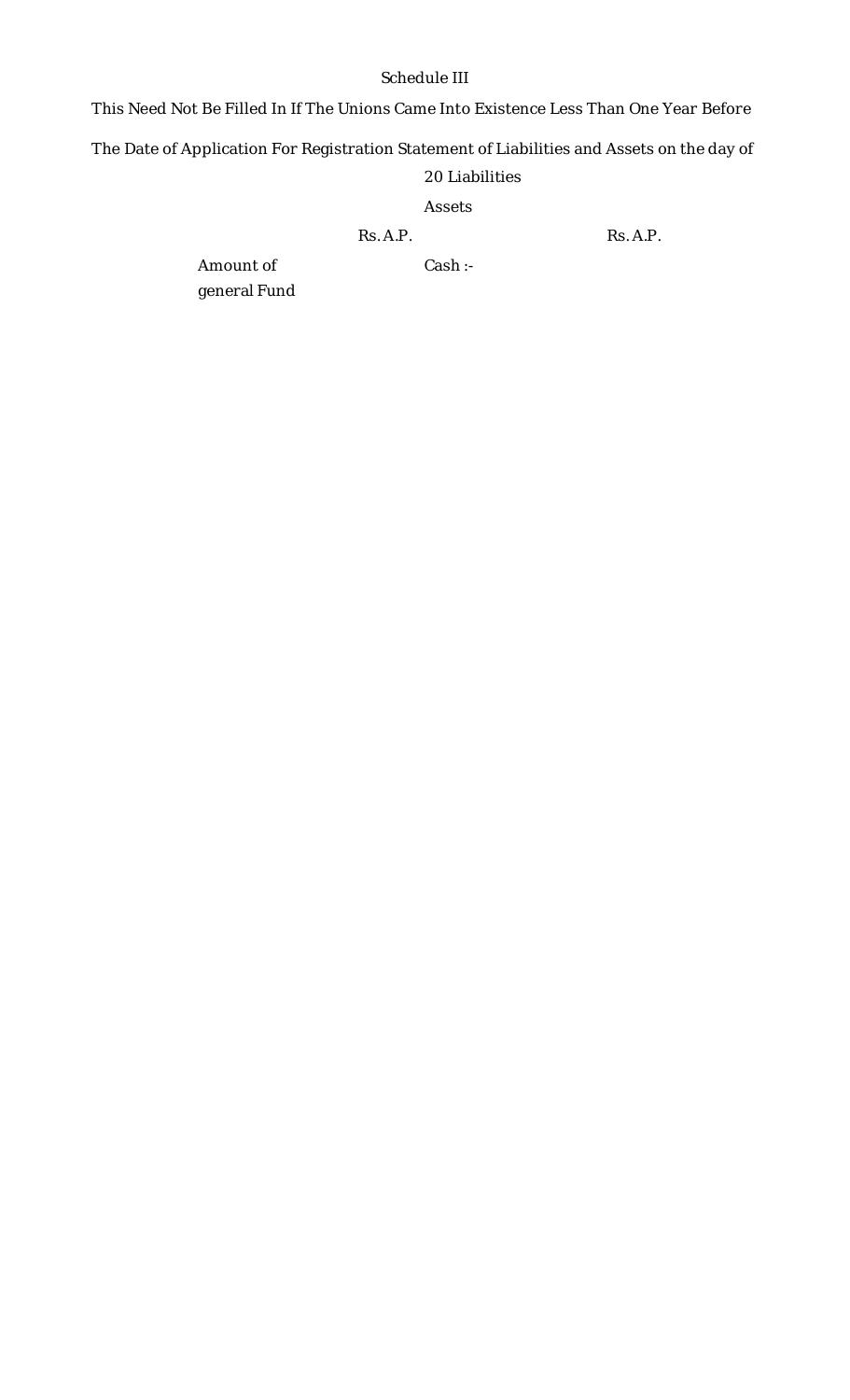# Schedule III

This Need Not Be Filled In If The Unions Came Into Existence Less Than One Year Before

The Date of Application For Registration Statement of Liabilities and Assets on the day of

# 20 Liabilities

## Assets

Rs. A.P. Rs. A.P.

Amount of general Fund Cash :-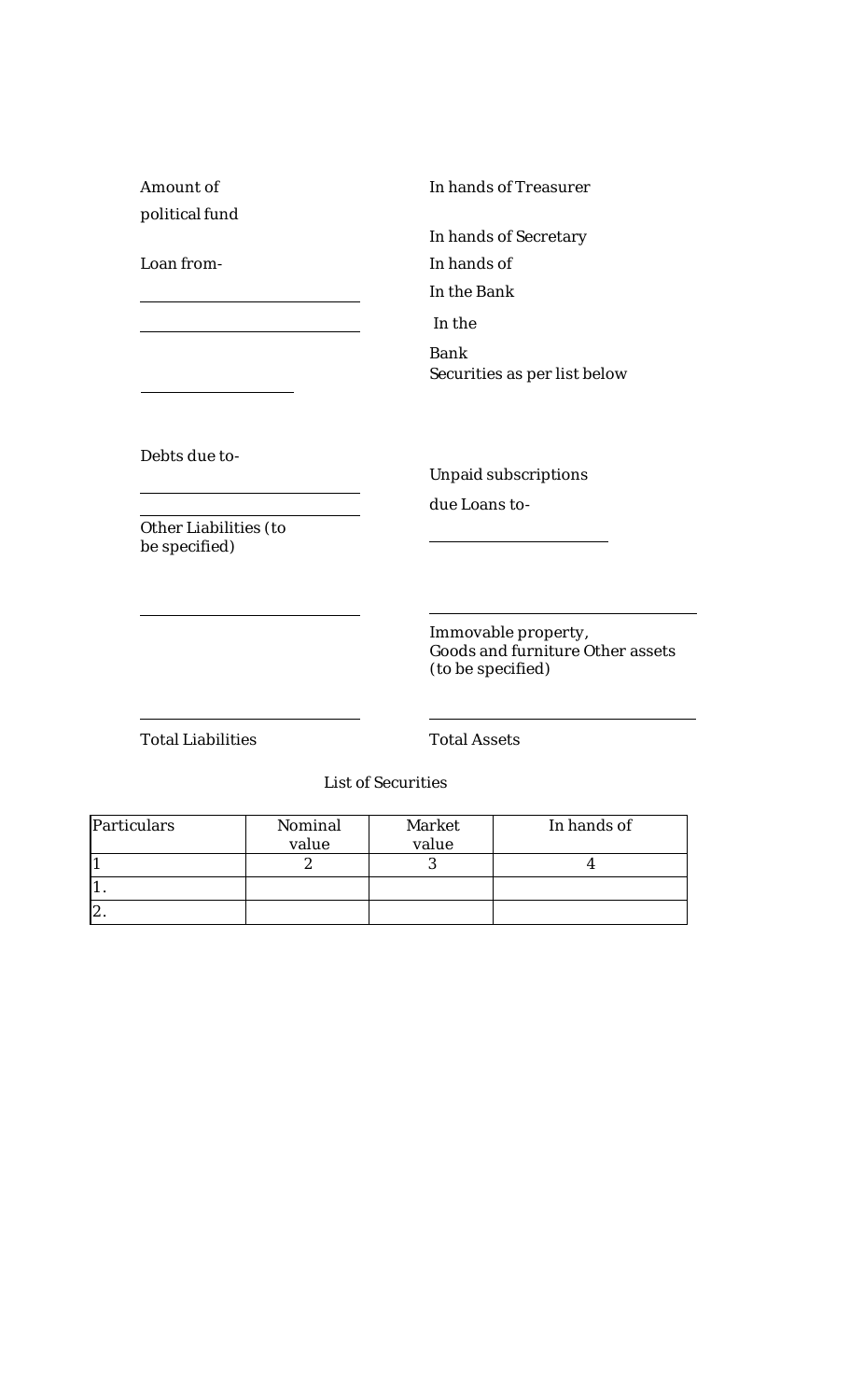| Amount of                              | In hands of Treasurer                                                        |
|----------------------------------------|------------------------------------------------------------------------------|
| political fund                         |                                                                              |
|                                        | In hands of Secretary                                                        |
| Loan from-                             | In hands of                                                                  |
|                                        | In the Bank                                                                  |
|                                        | In the                                                                       |
|                                        | <b>Bank</b><br>Securities as per list below                                  |
|                                        |                                                                              |
| Debts due to-                          | Unpaid subscriptions                                                         |
|                                        | due Loans to-                                                                |
| Other Liabilities (to<br>be specified) |                                                                              |
|                                        |                                                                              |
|                                        | Immovable property,<br>Goods and furniture Other assets<br>(to be specified) |
| <b>Total Liabilities</b>               | <b>Total Assets</b>                                                          |
|                                        | <b>List of Securities</b>                                                    |

 $\overline{\phantom{0}}$ 

 $\mathcal{L}(\mathcal{L})$ 

| Particulars    | Nominal<br>value | Market<br>value | In hands of |
|----------------|------------------|-----------------|-------------|
|                |                  |                 |             |
|                |                  |                 |             |
| $\overline{ }$ |                  |                 |             |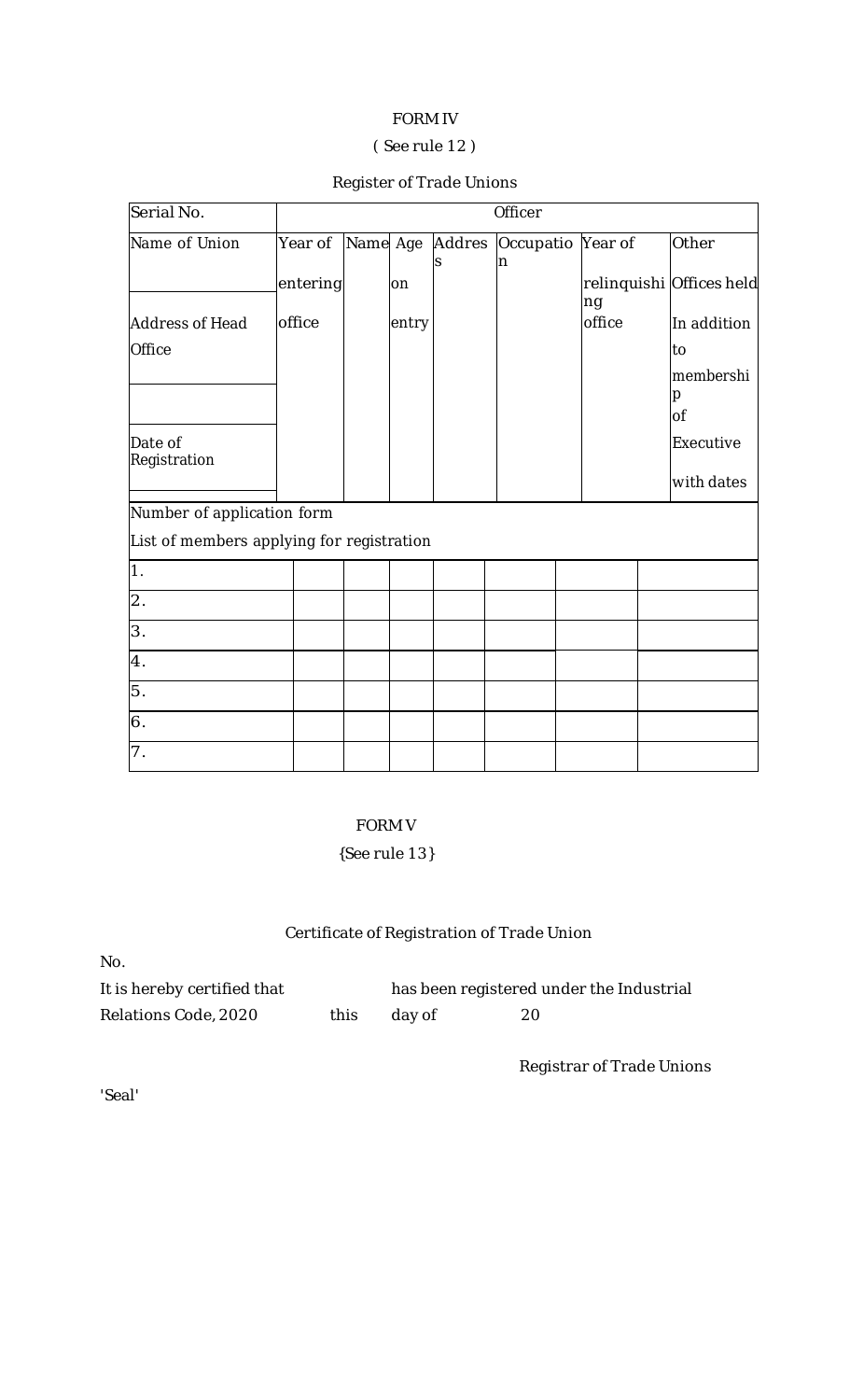# FORM IV

# ( See rule 12 )

# Register of Trade Unions

| Serial No.                                                              |          | Officer  |       |    |                               |  |        |                          |
|-------------------------------------------------------------------------|----------|----------|-------|----|-------------------------------|--|--------|--------------------------|
| Name of Union                                                           | Year of  | Name Age |       | lS | Addres Occupatio Year of<br>n |  |        | Other                    |
|                                                                         | entering |          | on    |    |                               |  | ng     | relinquishi Offices held |
| <b>Address of Head</b>                                                  | office   |          | entry |    |                               |  | office | In addition              |
| Office                                                                  |          |          |       |    |                               |  |        | to                       |
|                                                                         |          |          |       |    |                               |  |        | membershi<br>р<br>0f     |
| Date of<br>Registration                                                 |          |          |       |    |                               |  |        | Executive                |
|                                                                         |          |          |       |    |                               |  |        | with dates               |
| Number of application form<br>List of members applying for registration |          |          |       |    |                               |  |        |                          |
|                                                                         |          |          |       |    |                               |  |        |                          |
| $\overline{1}$ .                                                        |          |          |       |    |                               |  |        |                          |
| $\overline{2}$ .                                                        |          |          |       |    |                               |  |        |                          |
| 3.                                                                      |          |          |       |    |                               |  |        |                          |
| $\overline{4}$ .                                                        |          |          |       |    |                               |  |        |                          |
| 5.                                                                      |          |          |       |    |                               |  |        |                          |
| 6.                                                                      |          |          |       |    |                               |  |        |                          |
| 7.                                                                      |          |          |       |    |                               |  |        |                          |

# FORM V

# {See rule 13}

# Certificate of Registration of Trade Union

| No.                         |       |        |                                          |
|-----------------------------|-------|--------|------------------------------------------|
| It is hereby certified that |       |        | has been registered under the Industrial |
| Relations Code, 2020        | this. | day of | 20                                       |

Registrar of Trade Unions

'Seal'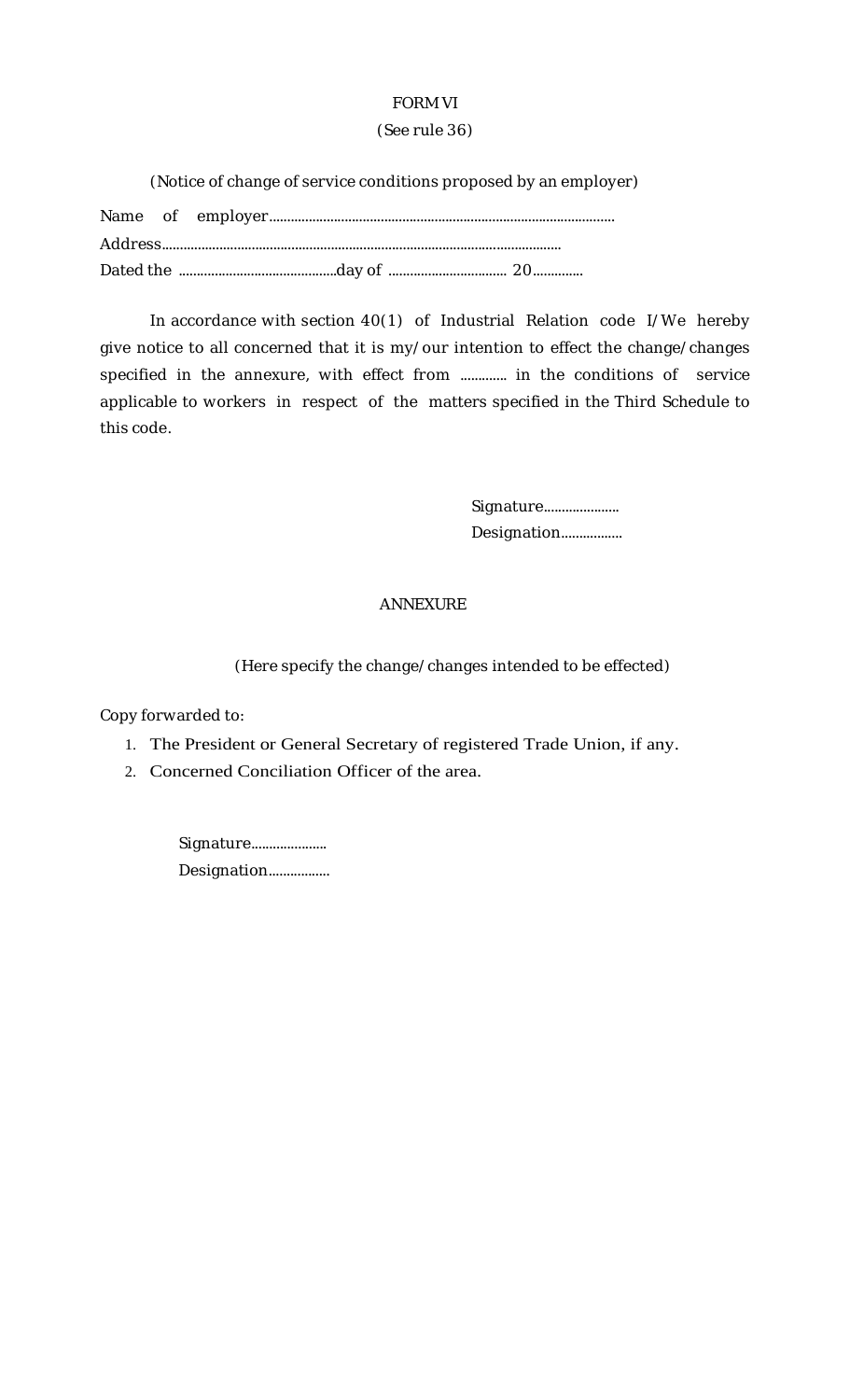# FORM VI

## (See rule 36)

(Notice of change of service conditions proposed by an employer)

In accordance with section 40(1) of Industrial Relation code I/We hereby give notice to all concerned that it is my/our intention to effect the change/changes specified in the annexure, with effect from ............. in the conditions of service applicable to workers in respect of the matters specified in the Third Schedule to this code.

> Signature..................... Designation.................

# ANNEXURE

(Here specify the change/changes intended to be effected)

Copy forwarded to:

- 1. The President or General Secretary of registered Trade Union, if any.
- 2. Concerned Conciliation Officer of the area.

Signature...................... Designation.................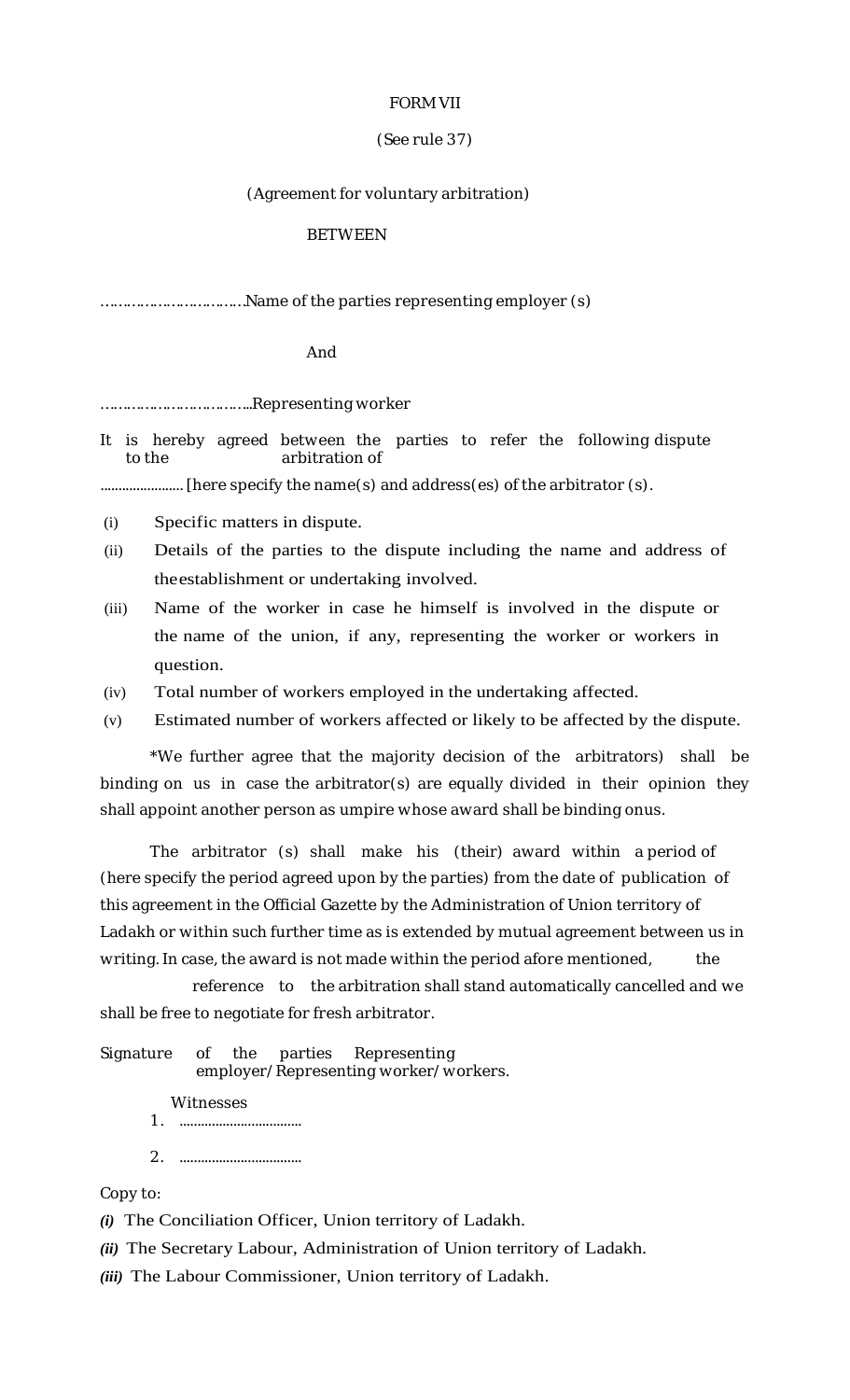### FORM VII

# (See rule 37)

## (Agreement for voluntary arbitration)

### BETWEEN

## ....................................Name of the parties representing employer (s)

### And

……………………………..Representing worker

It is hereby agreed between the parties to refer the following dispute to the arbitration of

....................... [here specify the name(s) and address(es) of the arbitrator (s).

- (i) Specific matters in dispute.
- (ii) Details of the parties to the dispute including the name and address of theestablishment or undertaking involved.
- (iii) Name of the worker in case he himself is involved in the dispute or the name of the union, if any, representing the worker or workers in question.
- (iv) Total number of workers employed in the undertaking affected.
- (v) Estimated number of workers affected or likely to be affected by the dispute.

\*We further agree that the majority decision of the arbitrators) shall be binding on us in case the arbitrator(s) are equally divided in their opinion they shall appoint another person as umpire whose award shall be binding onus.

The arbitrator (s) shall make his (their) award within a period of (here specify the period agreed upon by the parties) from the date of publication of this agreement in the Official Gazette by the Administration of Union territory of Ladakh or within such further time as is extended by mutual agreement between us in writing. In case, the award is not made within the period afore mentioned, the

reference to the arbitration shall stand automatically cancelled and we shall be free to negotiate for fresh arbitrator.

Signature of the parties Representing employer/Representing worker/workers.

Witnesses

- 1. ..................................
- 2. ..................................

Copy to:

*(i)* The Conciliation Officer, Union territory of Ladakh.

*(ii)* The Secretary Labour, Administration of Union territory of Ladakh.

*(iii)* The Labour Commissioner, Union territory of Ladakh.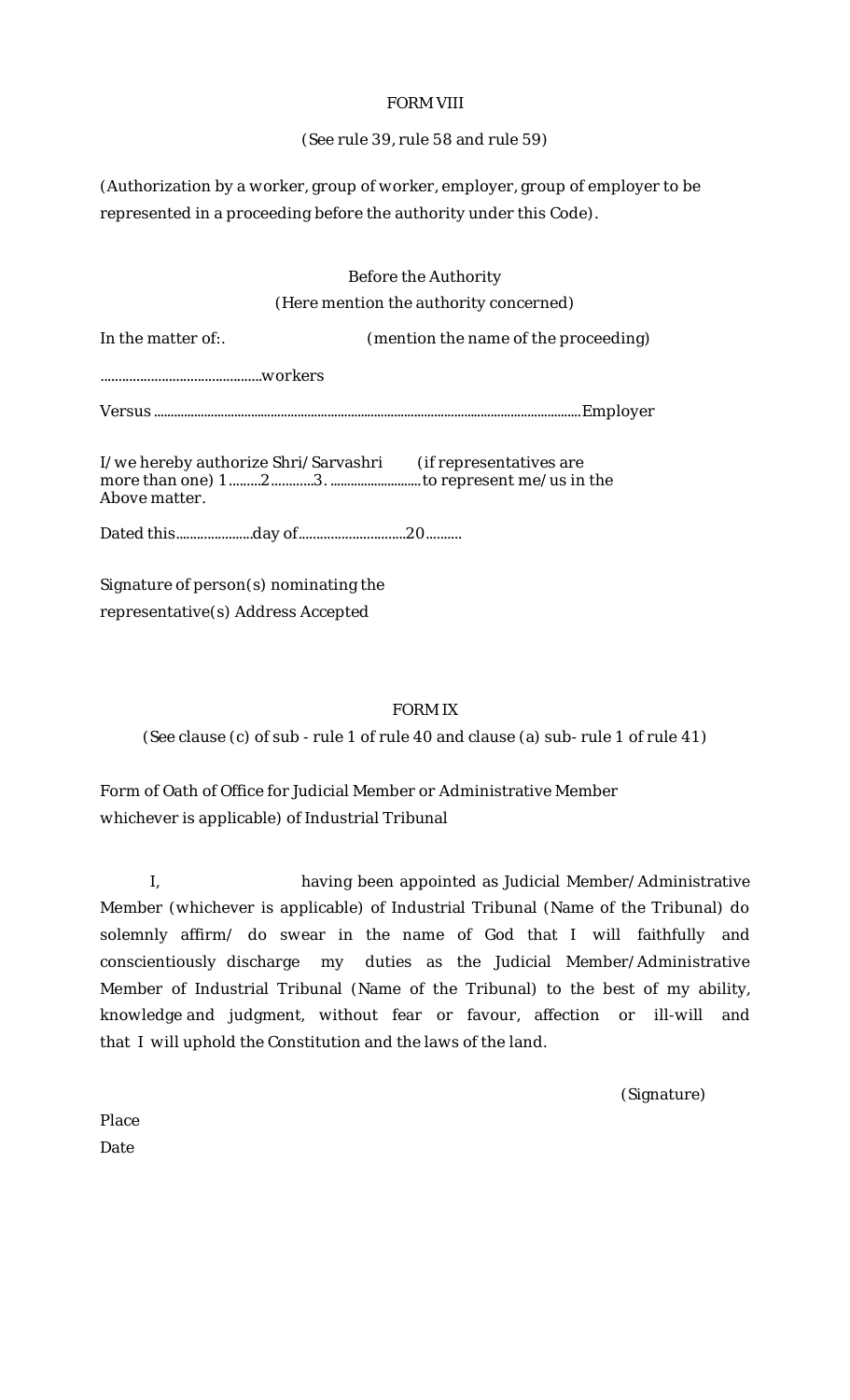# FORM VIII

# (See rule 39, rule 58 and rule 59)

(Authorization by a worker, group of worker, employer, group of employer to be represented in a proceeding before the authority under this Code).

# Before the Authority (Here mention the authority concerned)

| In the matter of:.                                                            | (mention the name of the proceeding) |
|-------------------------------------------------------------------------------|--------------------------------------|
|                                                                               |                                      |
|                                                                               |                                      |
| I/we hereby authorize Shri/Sarvashri (if representatives are<br>Above matter. |                                      |

Dated this......................day of..............................20..........

Signature of person(s) nominating the representative(s) Address Accepted

# FORM IX

(See clause (c) of sub - rule 1 of rule 40 and clause (a) sub- rule 1 of rule 41)

Form of Oath of Office for Judicial Member or Administrative Member whichever is applicable) of Industrial Tribunal

I, having been appointed as Judicial Member/Administrative Member (whichever is applicable) of Industrial Tribunal (Name of the Tribunal) do solemnly affirm/ do swear in the name of God that I will faithfully and conscientiously discharge my duties as the Judicial Member/Administrative Member of Industrial Tribunal (Name of the Tribunal) to the best of my ability, knowledge and judgment, without fear or favour, affection or ill-will and that I will uphold the Constitution and the laws of the land.

(Signature)

Place Date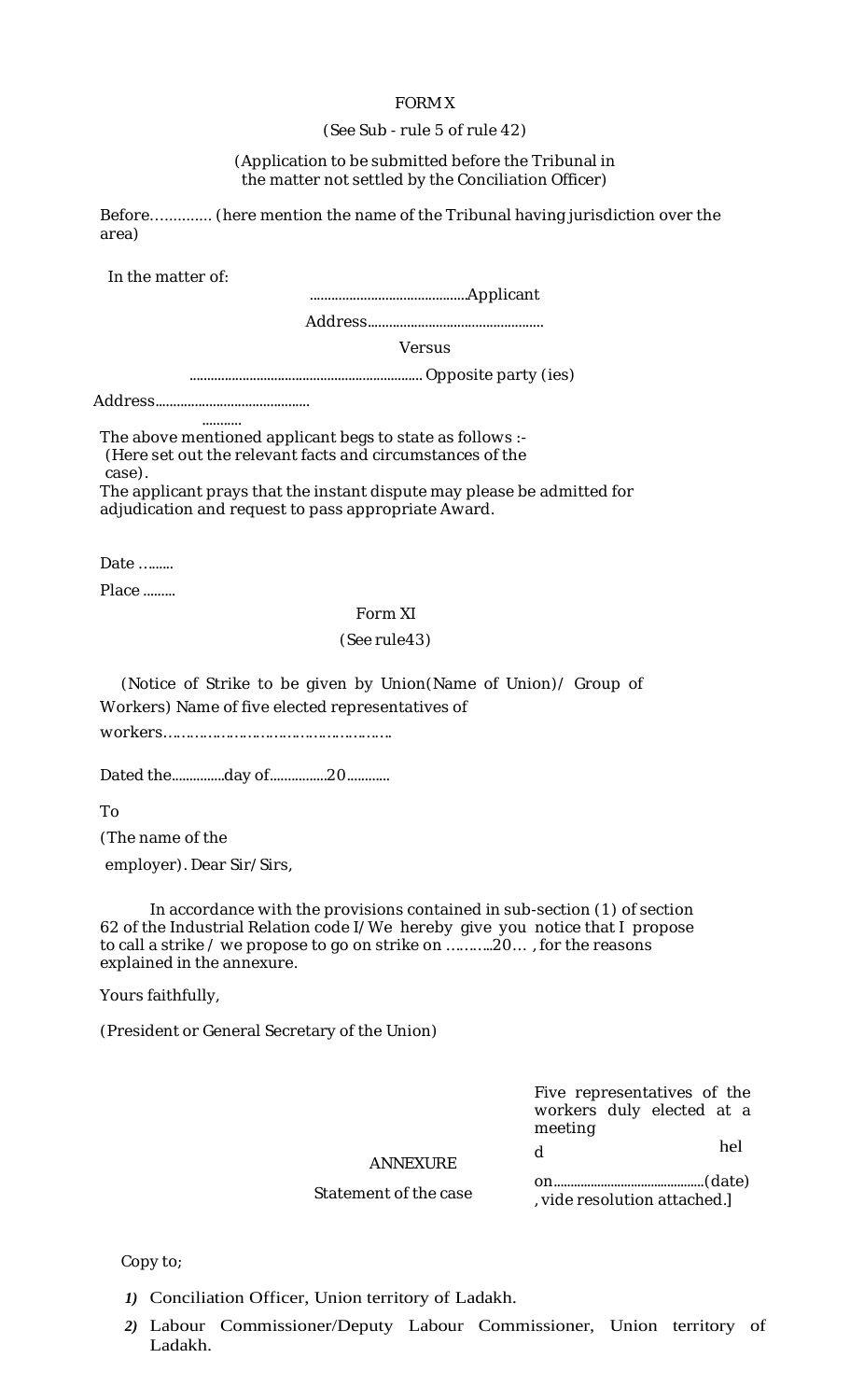### FORM X

### (See Sub - rule 5 of rule 42)

### (Application to be submitted before the Tribunal in the matter not settled by the Conciliation Officer)

Before…........... (here mention the name of the Tribunal having jurisdiction over the area)

In the matter of:

............................................Applicant

Address.................................................

Versus

.................................................................. Opposite party (ies)

Address...........................................

........... The above mentioned applicant begs to state as follows :- (Here set out the relevant facts and circumstances of the case).

The applicant prays that the instant dispute may please be admitted for adjudication and request to pass appropriate Award.

Date ………

Place .........

### Form XI

### (See rule43)

(Notice of Strike to be given by Union(Name of Union)/ Group of Workers) Name of five elected representatives of

workers…………………………………………….

Dated the.................day of..................20.............

To

(The name of the

employer). Dear Sir/Sirs,

In accordance with the provisions contained in sub-section (1) of section 62 of the Industrial Relation code I/We hereby give you notice that I propose to call a strike / we propose to go on strike on ………..20… , for the reasons explained in the annexure.

Yours faithfully,

(President or General Secretary of the Union)

Five representatives of the workers duly elected at a meeting

hel

ANNEXURE d

> on.............................................(date) , vide resolution attached.]

Statement of the case

Copy to;

- *1)* Conciliation Officer, Union territory of Ladakh.
- *2)* Labour Commissioner/Deputy Labour Commissioner, Union territory of Ladakh.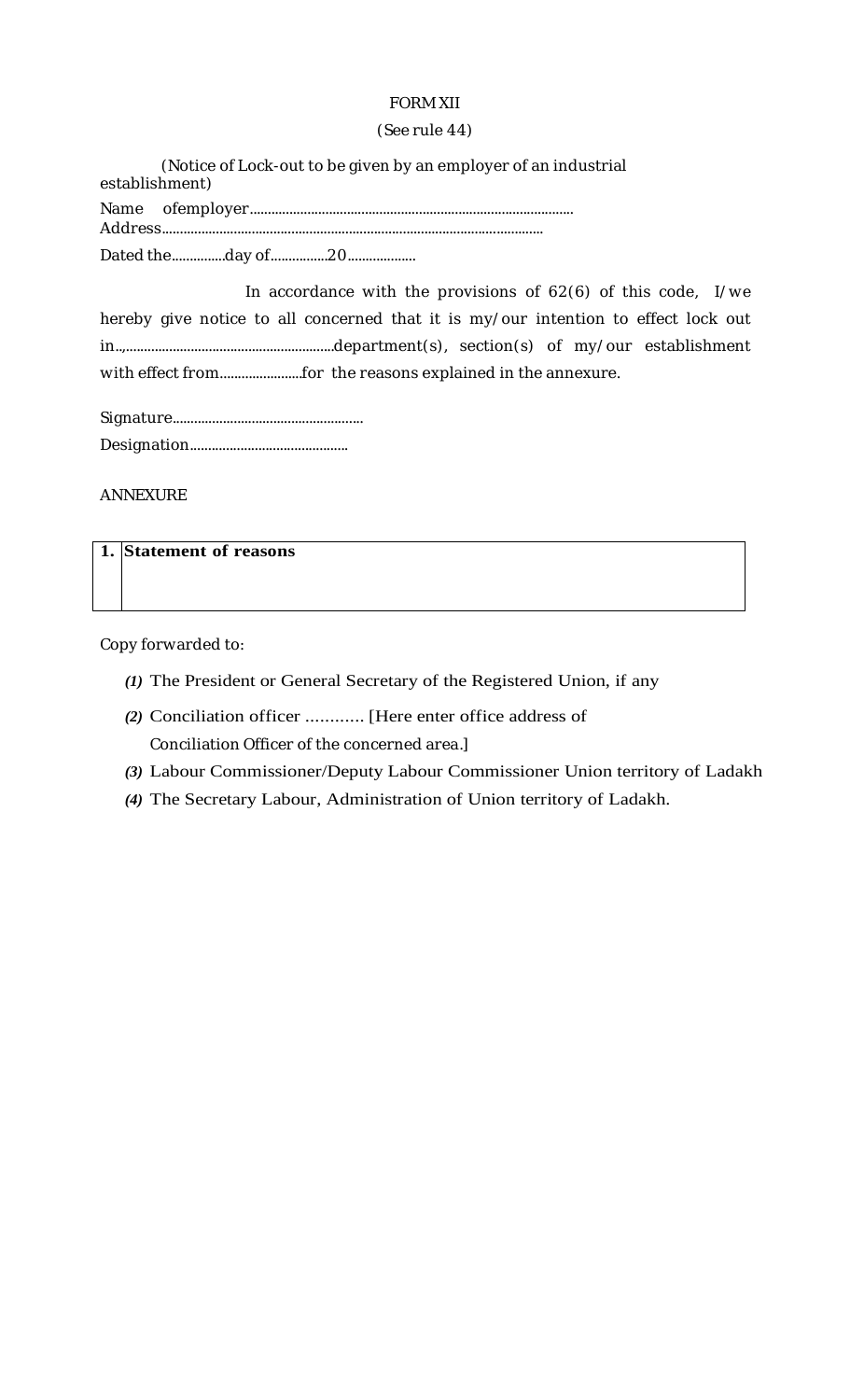# FORM XII

### (See rule 44)

| (Notice of Lock-out to be given by an employer of an industrial<br>establishment) |
|-----------------------------------------------------------------------------------|
|                                                                                   |
|                                                                                   |

In accordance with the provisions of 62(6) of this code, I/we hereby give notice to all concerned that it is my/our intention to effect lock out in..,..........................................................department(s), section(s) of my/our establishment with effect from.........................for the reasons explained in the annexure.

ANNEXURE

| 1. Statement of reasons |  |
|-------------------------|--|
|-------------------------|--|

Copy forwarded to:

- *(1)* The President or General Secretary of the Registered Union, if any
- *(2)* Conciliation officer ............ [Here enter office address of Conciliation Officer of the concerned area.]
- *(3)* Labour Commissioner/Deputy Labour Commissioner Union territory of Ladakh
- *(4)* The Secretary Labour, Administration of Union territory of Ladakh.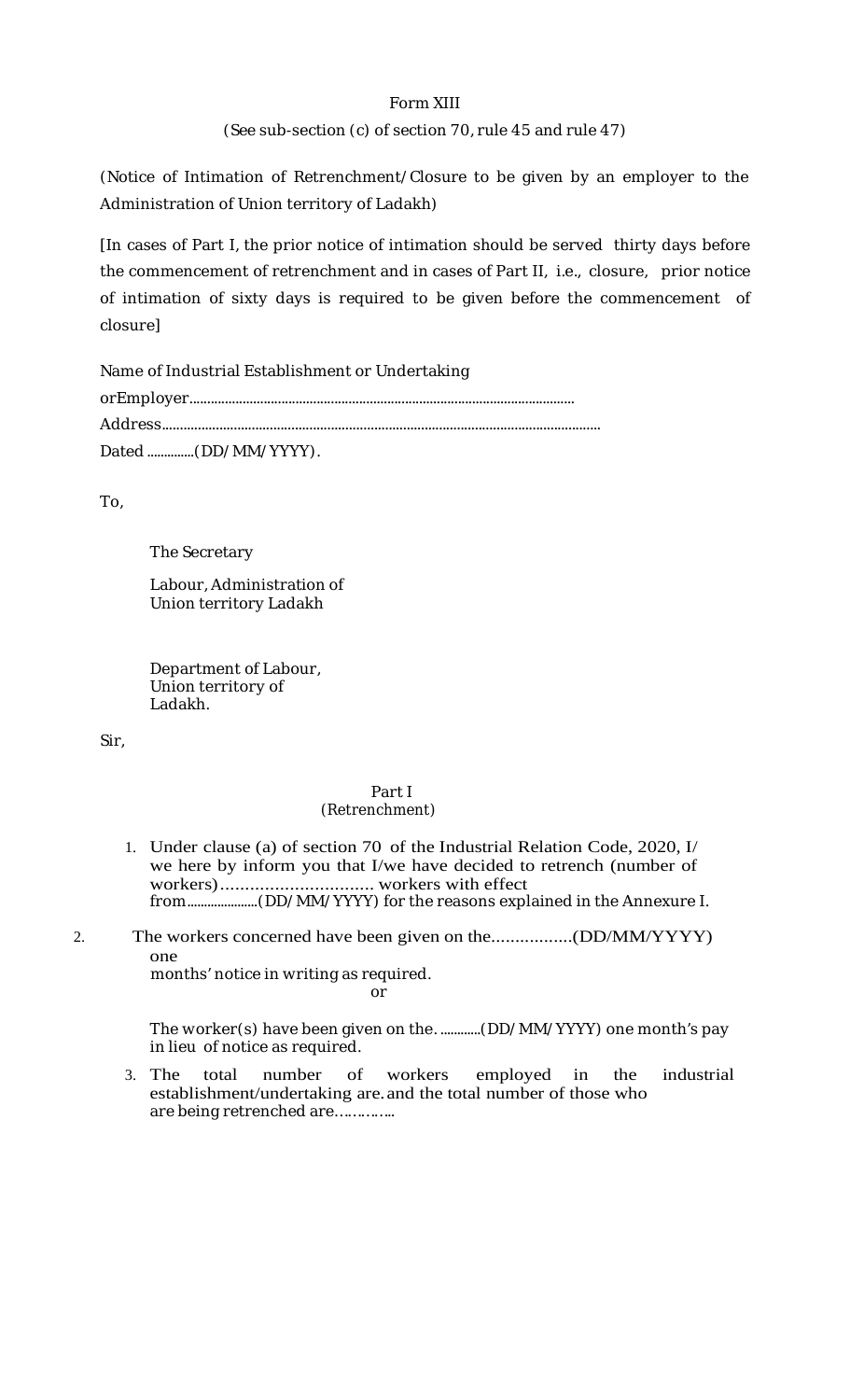## Form XIII

## (See sub-section (c) of section 70, rule 45 and rule 47)

(Notice of Intimation of Retrenchment/Closure to be given by an employer to the Administration of Union territory of Ladakh)

[In cases of Part I, the prior notice of intimation should be served thirty days before the commencement of retrenchment and in cases of Part II, i.e., closure, prior notice of intimation of sixty days is required to be given before the commencement of closure]

| Name of Industrial Establishment or Undertaking |
|-------------------------------------------------|
|                                                 |
|                                                 |
| Dated (DD/MM/YYYY).                             |

To,

The Secretary

Labour, Administration of Union territory Ladakh

Department of Labour, Union territory of Ladakh.

Sir,

### Part I (Retrenchment)

- 1. Under clause (a) of section 70 of the Industrial Relation Code, 2020, I/ we here by inform you that I/we have decided to retrench (number of workers)............................... workers with effect from.....................(DD/MM/YYYY) for the reasons explained in the Annexure I.
- 2. The workers concerned have been given on the.................(DD/MM/YYYY) one

months' notice in writing as required. or

The worker(s) have been given on the. ............(DD/MM/YYYY) one month's pay in lieu of notice as required.

3. The total number of workers employed in the industrial establishment/undertaking are. and the total number of those who are being retrenched are…………..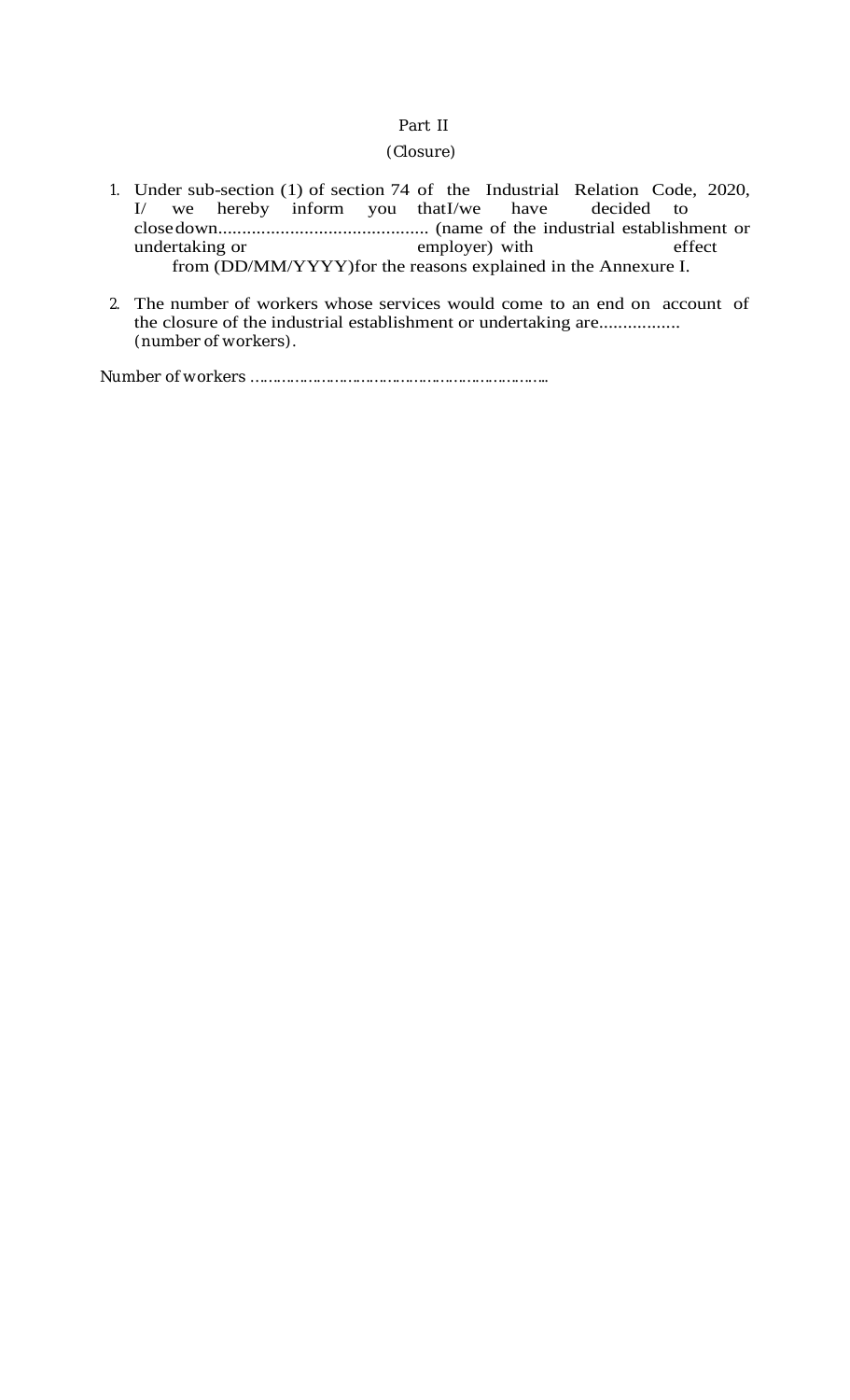## Part II

### (Closure)

- 1. Under sub-section (1) of section 74 of the Industrial Relation Code, 2020, I/ we hereby inform you thatI/we have decided to closedown............................................ (name of the industrial establishment or undertaking or employer) with effect from (DD/MM/YYYY)for the reasons explained in the Annexure I.
- 2. The number of workers whose services would come to an end on account of the closure of the industrial establishment or undertaking are................. (number of workers).

Number of workers …………………………………………………………..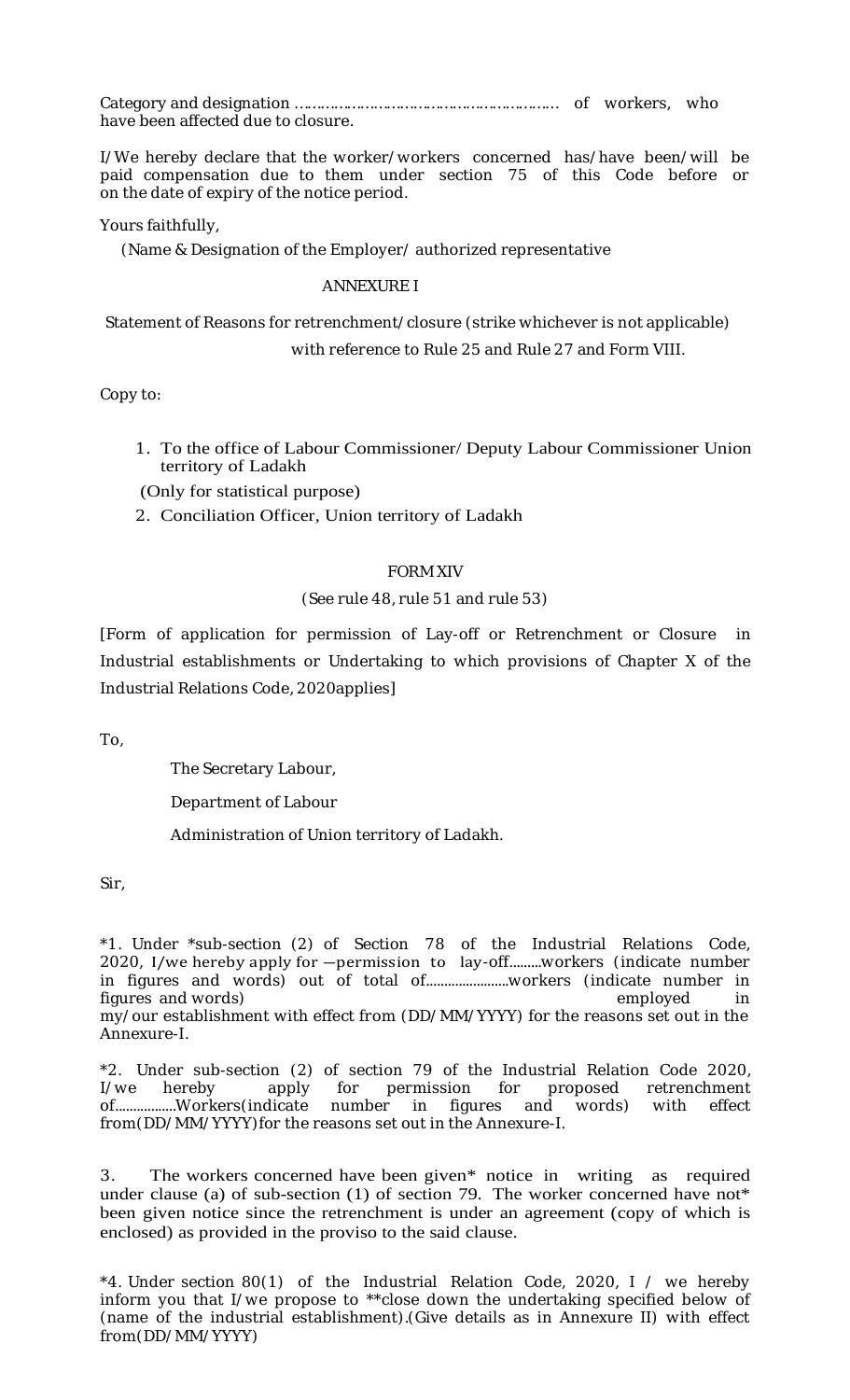Category and designation …………………………………………………… of workers, who have been affected due to closure.

I/We hereby declare that the worker/workers concerned has/have been/will be paid compensation due to them under section 75 of this Code before or on the date of expiry of the notice period.

Yours faithfully,

(Name & Designation of the Employer/ authorized representative

## ANNEXURE I

Statement of Reasons for retrenchment/closure (strike whichever is not applicable)

with reference to Rule 25 and Rule 27 and Form VIII.

Copy to:

- 1. To the office of Labour Commissioner/ Deputy Labour Commissioner Union territory of Ladakh
- (Only for statistical purpose)
- 2. Conciliation Officer, Union territory of Ladakh

## FORM XIV

## (See rule 48, rule 51 and rule 53)

[Form of application for permission of Lay-off or Retrenchment or Closure in Industrial establishments or Undertaking to which provisions of Chapter X of the Industrial Relations Code, 2020applies]

To,

The Secretary Labour,

Department of Labour

Administration of Union territory of Ladakh.

Sir,

\*1. Under \*sub-section (2) of Section 78 of the Industrial Relations Code, 2020, I/we hereby apply for ―permission to lay-off.........workers (indicate number in figures and words) out of total of.......................workers (indicate number in figures and words) employed in the state of the state of the state of the state of the state of the state of the state of the state of the state of the state of the state of the state of the state of the state of the state my/our establishment with effect from (DD/MM/YYYY) for the reasons set out in the Annexure-I.

\*2. Under sub-section (2) of section 79 of the Industrial Relation Code 2020,<br>I/we hereby apply for permission for proposed retrenchment I/we hereby apply for permission for proposed retrenchment of.................Workers(indicate number in figures and words) with effect from(DD/MM/YYYY)for the reasons set out in the Annexure-I.

3. The workers concerned have been given\* notice in writing as required under clause (a) of sub-section  $(1)$  of section 79. The worker concerned have not\* been given notice since the retrenchment is under an agreement (copy of which is enclosed) as provided in the proviso to the said clause.

\*4. Under section 80(1) of the Industrial Relation Code, 2020, I / we hereby inform you that I/we propose to \*\*close down the undertaking specified below of (name of the industrial establishment).(Give details as in Annexure II) with effect from(DD/MM/YYYY)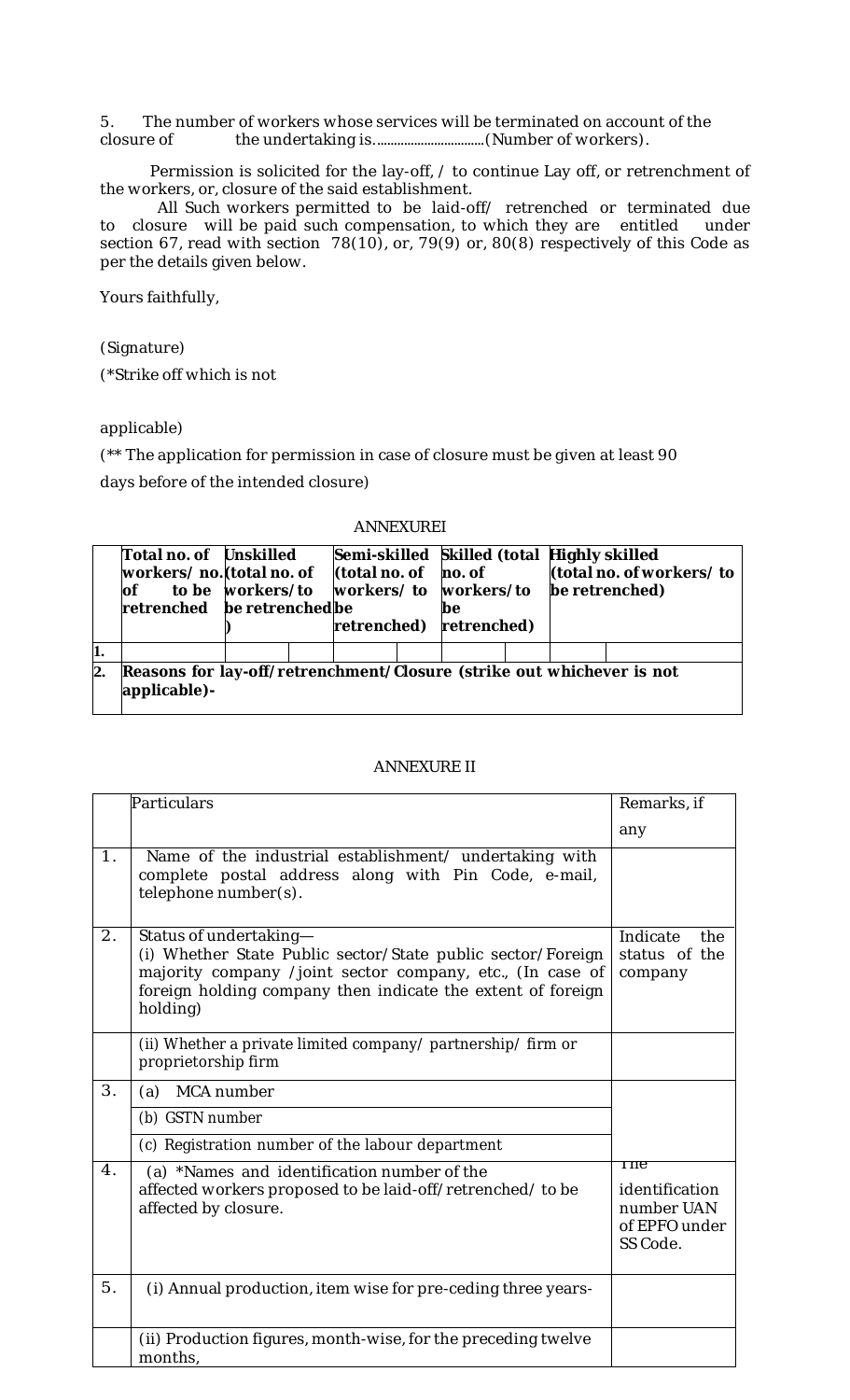5. The number of workers whose services will be terminated on account of the closure of the undertaking is.................................(Number of workers).

Permission is solicited for the lay-off, / to continue Lay off, or retrenchment of the workers, or, closure of the said establishment.

All Such workers permitted to be laid-off/ retrenched or terminated due<br>sure will be paid such compensation, to which they are entitled under to closure will be paid such compensation, to which they are entitled section 67, read with section 78(10), or, 79(9) or, 80(8) respectively of this Code as per the details given below.

Yours faithfully,

(Signature)

(\*Strike off which is not

applicable)

(\*\* The application for permission in case of closure must be given at least 90 days before of the intended closure)

### ANNEXUREI

|     | Total no. of Unskilled<br>workers/ no. (total no. of<br><b>lof</b><br>retrenched be retrenched be | to be workers/to | (total no. of<br>retrenched) | Semi-skilled Skilled (total Highly skilled<br>no. of<br>workers/to workers/to<br>be<br>retrenched) |  | (total no. of workers/to<br>be retrenched) |
|-----|---------------------------------------------------------------------------------------------------|------------------|------------------------------|----------------------------------------------------------------------------------------------------|--|--------------------------------------------|
| 11. |                                                                                                   |                  |                              |                                                                                                    |  |                                            |
| 2.  | Reasons for lay-off/retrenchment/Closure (strike out whichever is not<br>applicable)-             |                  |                              |                                                                                                    |  |                                            |

### ANNEXURE II

|                  | Particulars                                                                                                                                                                                                                   | Remarks, if                                                       |
|------------------|-------------------------------------------------------------------------------------------------------------------------------------------------------------------------------------------------------------------------------|-------------------------------------------------------------------|
|                  |                                                                                                                                                                                                                               | any                                                               |
| 1 <sub>1</sub>   | Name of the industrial establishment/ undertaking with<br>complete postal address along with Pin Code, e-mail,<br>telephone number(s).                                                                                        |                                                                   |
| $\overline{2}$ . | Status of undertaking-<br>(i) Whether State Public sector/State public sector/Foreign<br>majority company /joint sector company, etc., (In case of<br>foreign holding company then indicate the extent of foreign<br>holding) | Indicate<br>the<br>status of the<br>company                       |
|                  | (ii) Whether a private limited company/ partnership/ firm or<br>proprietorship firm                                                                                                                                           |                                                                   |
| 3.               | (a) MCA number                                                                                                                                                                                                                |                                                                   |
|                  | (b) GSTN number                                                                                                                                                                                                               |                                                                   |
|                  | (c) Registration number of the labour department                                                                                                                                                                              |                                                                   |
| $\overline{4}$ . | (a) *Names and identification number of the<br>affected workers proposed to be laid-off/retrenched/ to be<br>affected by closure.                                                                                             | Tne.<br>identification<br>number UAN<br>of EPFO under<br>SS Code. |
| 5.               | (i) Annual production, item wise for pre-ceding three years-                                                                                                                                                                  |                                                                   |
|                  | (ii) Production figures, month-wise, for the preceding twelve<br>months,                                                                                                                                                      |                                                                   |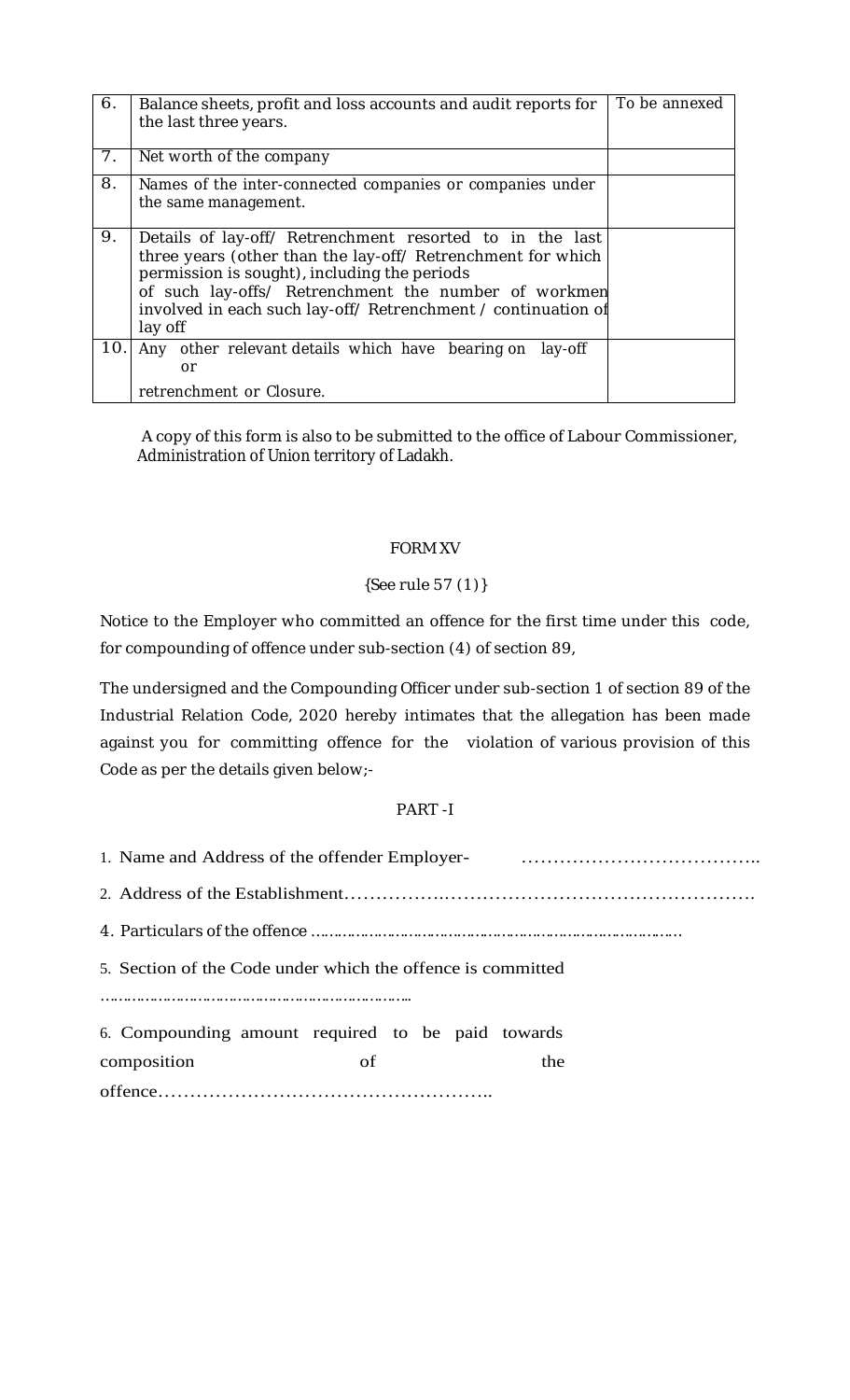| 6.             | Balance sheets, profit and loss accounts and audit reports for<br>the last three years.                                                                                                                                                                                                                     | To be annexed |
|----------------|-------------------------------------------------------------------------------------------------------------------------------------------------------------------------------------------------------------------------------------------------------------------------------------------------------------|---------------|
| 7 <sub>1</sub> | Net worth of the company                                                                                                                                                                                                                                                                                    |               |
| 8.             | Names of the inter-connected companies or companies under<br>the same management.                                                                                                                                                                                                                           |               |
| 9.             | Details of lay-off/ Retrenchment resorted to in the last<br>three years (other than the lay-off/ Retrenchment for which<br>permission is sought), including the periods<br>of such lay-offs/ Retrenchment the number of workmen<br>involved in each such lay-off/ Retrenchment / continuation of<br>lay off |               |
| 10.            | Any other relevant details which have bearing on<br>lay-off<br>or                                                                                                                                                                                                                                           |               |
|                | retrenchment or Closure.                                                                                                                                                                                                                                                                                    |               |

A copy of this form is also to be submitted to the office of Labour Commissioner, Administration of Union territory of Ladakh.

## FORM XV

# {See rule 57 (1)}

Notice to the Employer who committed an offence for the first time under this code, for compounding of offence under sub-section (4) of section 89,

The undersigned and the Compounding Officer under sub-section 1 of section 89 of the Industrial Relation Code, 2020 hereby intimates that the allegation has been made against you for committing offence for the violation of various provision of this Code as per the details given below;-

# PART -I

| 1. Name and Address of the offender Employer-<br>1. Name and Address of the offender Employer- |    |     |  |
|------------------------------------------------------------------------------------------------|----|-----|--|
|                                                                                                |    |     |  |
|                                                                                                |    |     |  |
| 5. Section of the Code under which the offence is committed                                    |    |     |  |
|                                                                                                |    |     |  |
| 6. Compounding amount required to be paid towards                                              |    |     |  |
| composition                                                                                    | of | the |  |
|                                                                                                |    |     |  |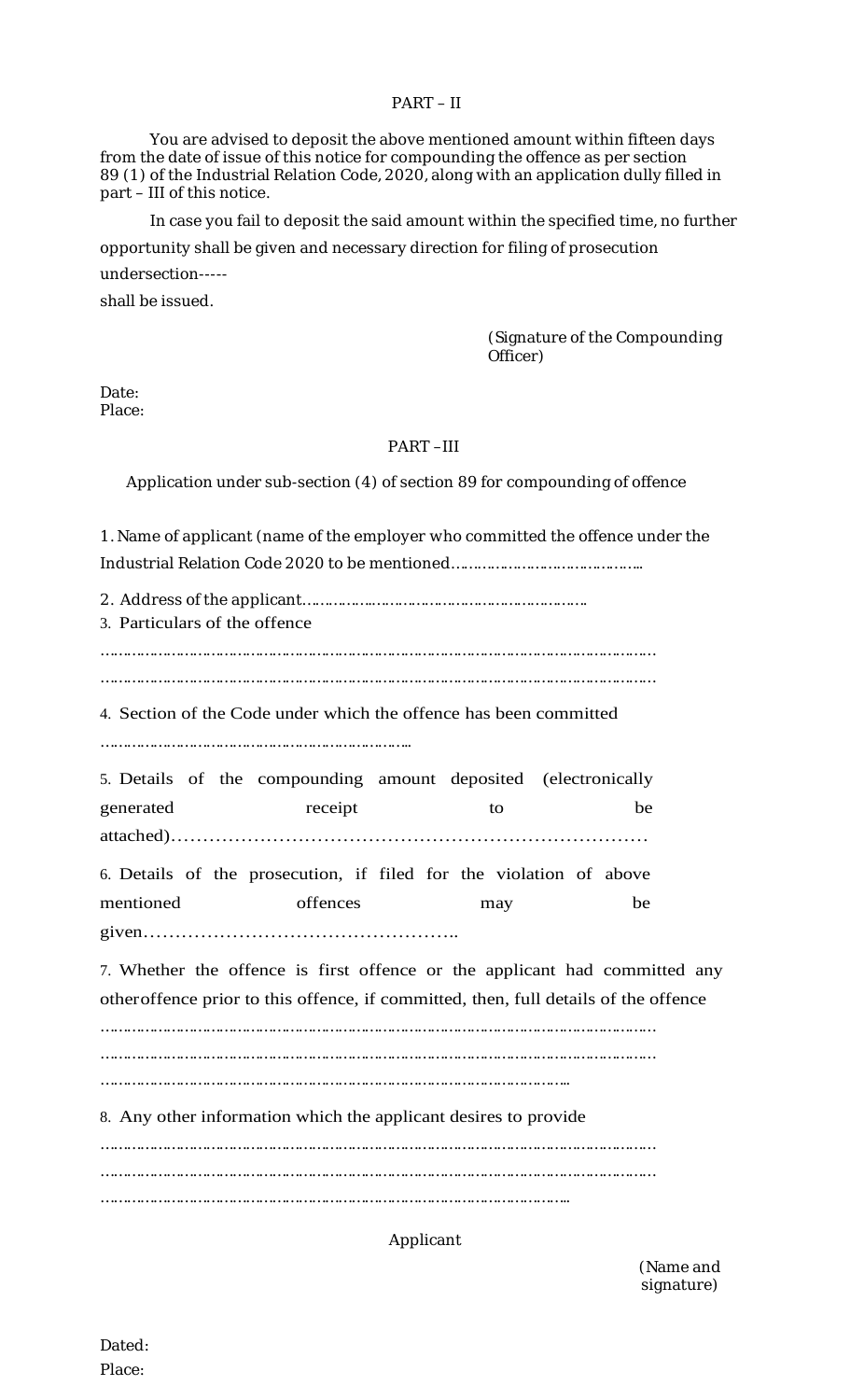### PART – II

You are advised to deposit the above mentioned amount within fifteen days from the date of issue of this notice for compounding the offence as per section 89 (1) of the Industrial Relation Code, 2020, along with an application dully filled in part – III of this notice.

In case you fail to deposit the said amount within the specified time, no further opportunity shall be given and necessary direction for filing of prosecution undersection---- shall be issued.

> (Signature of the Compounding Officer)

Date: Place:

### PART –III

Application under sub-section (4) of section 89 for compounding of offence

1. Name of applicant (name of the employer who committed the offence under the Industrial Relation Code 2020 to be mentioned……………………………………..

2. Address of the applicant…………….…………………………………………. 3. Particulars of the offence ………………………………………………………………………………………………………………

………………………………………………………………………………………………………………

4. Section of the Code under which the offence has been committed

……………………………………………………………..

5. Details of the compounding amount deposited (electronically generated receipt to be attached)…………………………………………………………………

6. Details of the prosecution, if filed for the violation of above mentioned offences may be given…………………………………………..

7. Whether the offence is first offence or the applicant had committed any otheroffence prior to this offence, if committed, then, full details of the offence

……………………………………………………………………………………………………………… ………………………………………………………………………………………………………………

……………………………………………………………………………………………..

8. Any other information which the applicant desires to provide

………………………………………………………………………………………………………………

………………………………………………………………………………………………………………

……………………………………………………………………………………………..

# Applicant

(Name and signature)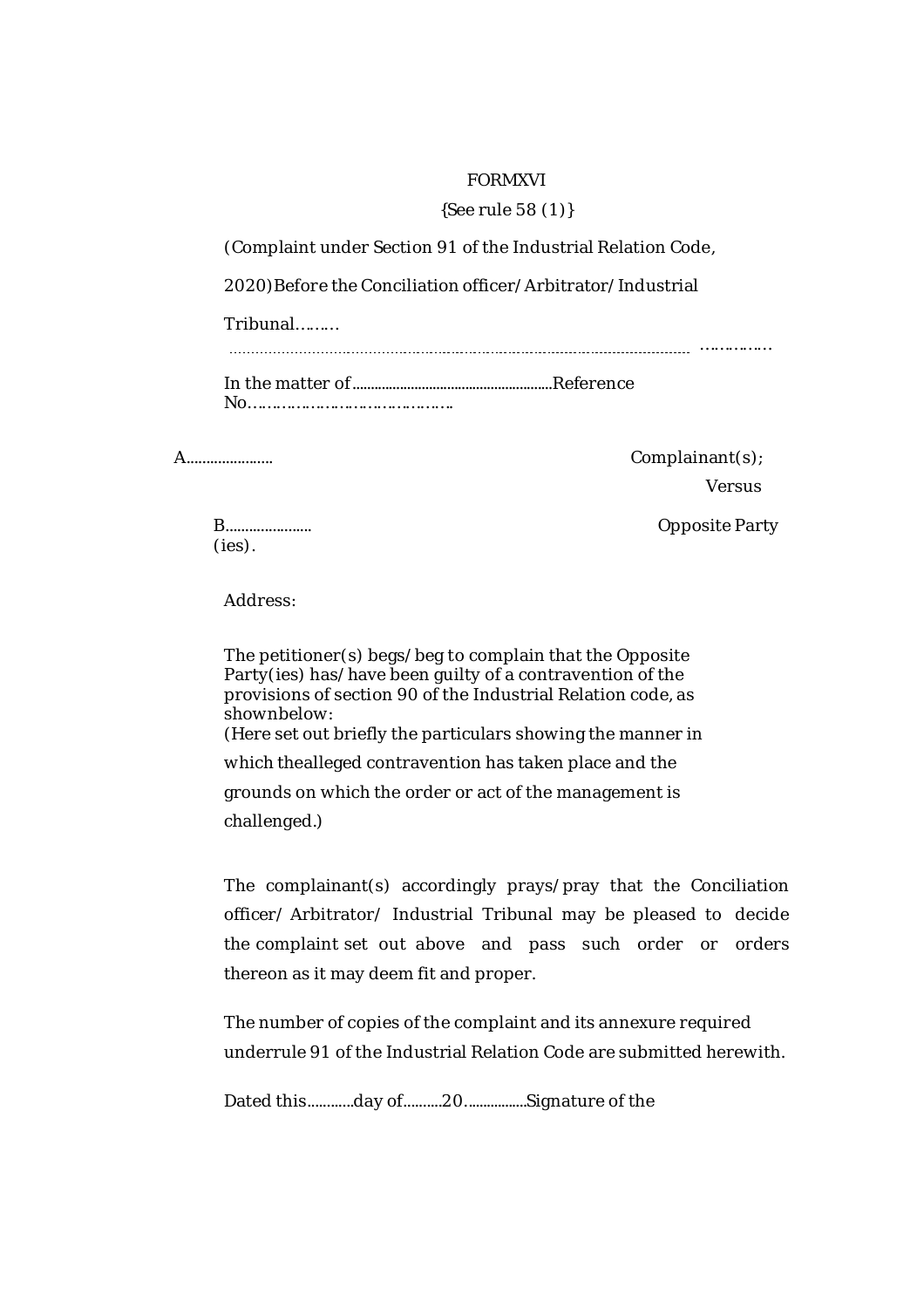### FORMXVI

### {See rule 58 (1)}

(Complaint under Section 91 of the Industrial Relation Code,

2020)Before the Conciliation officer/Arbitrator/Industrial

Tribunal………

……………

In the matter of.......................................................Reference No…………………………………….

A...................... Complainant(s);

Versus

(ies).

B...................... Opposite Party

Address:

The petitioner(s) begs/beg to complain that the Opposite Party(ies) has/have been guilty of a contravention of the provisions of section 90 of the Industrial Relation code, as shownbelow: (Here set out briefly the particulars showing the manner in which thealleged contravention has taken place and the grounds on which the order or act of the management is challenged.)

The complainant(s) accordingly prays/pray that the Conciliation officer/ Arbitrator/ Industrial Tribunal may be pleased to decide the complaint set out above and pass such order or orders thereon as it may deem fit and proper.

The number of copies of the complaint and its annexure required underrule 91 of the Industrial Relation Code are submitted herewith.

Dated this............day of..........20.................Signature of the